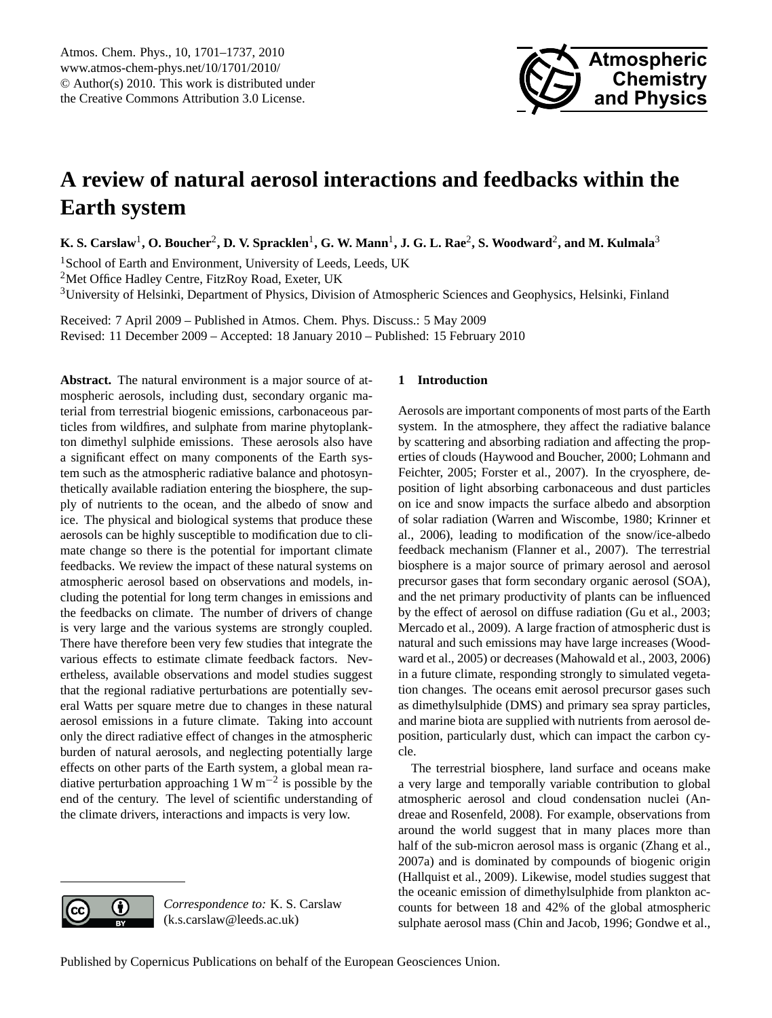

# <span id="page-0-0"></span>**A review of natural aerosol interactions and feedbacks within the Earth system**

 $K$ . S. Carslaw<sup>1</sup>, O. Boucher<sup>2</sup>, D. V. Spracklen<sup>1</sup>, G. W. Mann<sup>1</sup>, J. G. L. Rae<sup>2</sup>, S. Woodward<sup>2</sup>, and M. Kulmala<sup>3</sup>

<sup>1</sup>School of Earth and Environment, University of Leeds, Leeds, UK

<sup>2</sup>Met Office Hadley Centre, FitzRoy Road, Exeter, UK

<sup>3</sup>University of Helsinki, Department of Physics, Division of Atmospheric Sciences and Geophysics, Helsinki, Finland

Received: 7 April 2009 – Published in Atmos. Chem. Phys. Discuss.: 5 May 2009 Revised: 11 December 2009 – Accepted: 18 January 2010 – Published: 15 February 2010

**Abstract.** The natural environment is a major source of atmospheric aerosols, including dust, secondary organic material from terrestrial biogenic emissions, carbonaceous particles from wildfires, and sulphate from marine phytoplankton dimethyl sulphide emissions. These aerosols also have a significant effect on many components of the Earth system such as the atmospheric radiative balance and photosynthetically available radiation entering the biosphere, the supply of nutrients to the ocean, and the albedo of snow and ice. The physical and biological systems that produce these aerosols can be highly susceptible to modification due to climate change so there is the potential for important climate feedbacks. We review the impact of these natural systems on atmospheric aerosol based on observations and models, including the potential for long term changes in emissions and the feedbacks on climate. The number of drivers of change is very large and the various systems are strongly coupled. There have therefore been very few studies that integrate the various effects to estimate climate feedback factors. Nevertheless, available observations and model studies suggest that the regional radiative perturbations are potentially several Watts per square metre due to changes in these natural aerosol emissions in a future climate. Taking into account only the direct radiative effect of changes in the atmospheric burden of natural aerosols, and neglecting potentially large effects on other parts of the Earth system, a global mean radiative perturbation approaching  $1 \text{ W m}^{-2}$  is possible by the end of the century. The level of scientific understanding of the climate drivers, interactions and impacts is very low.

# **1 Introduction**

Aerosols are important components of most parts of the Earth system. In the atmosphere, they affect the radiative balance by scattering and absorbing radiation and affecting the properties of clouds (Haywood and Boucher, 2000; Lohmann and Feichter, 2005; Forster et al., 2007). In the cryosphere, deposition of light absorbing carbonaceous and dust particles on ice and snow impacts the surface albedo and absorption of solar radiation (Warren and Wiscombe, 1980; Krinner et al., 2006), leading to modification of the snow/ice-albedo feedback mechanism (Flanner et al., 2007). The terrestrial biosphere is a major source of primary aerosol and aerosol precursor gases that form secondary organic aerosol (SOA), and the net primary productivity of plants can be influenced by the effect of aerosol on diffuse radiation (Gu et al., 2003; Mercado et al., 2009). A large fraction of atmospheric dust is natural and such emissions may have large increases (Woodward et al., 2005) or decreases (Mahowald et al., 2003, 2006) in a future climate, responding strongly to simulated vegetation changes. The oceans emit aerosol precursor gases such as dimethylsulphide (DMS) and primary sea spray particles, and marine biota are supplied with nutrients from aerosol deposition, particularly dust, which can impact the carbon cycle.

The terrestrial biosphere, land surface and oceans make a very large and temporally variable contribution to global atmospheric aerosol and cloud condensation nuclei (Andreae and Rosenfeld, 2008). For example, observations from around the world suggest that in many places more than half of the sub-micron aerosol mass is organic (Zhang et al., 2007a) and is dominated by compounds of biogenic origin (Hallquist et al., 2009). Likewise, model studies suggest that the oceanic emission of dimethylsulphide from plankton accounts for between 18 and 42% of the global atmospheric sulphate aerosol mass (Chin and Jacob, 1996; Gondwe et al.,

*Correspondence to:* K. S. Carslaw

(k.s.carslaw@leeds.ac.uk)

0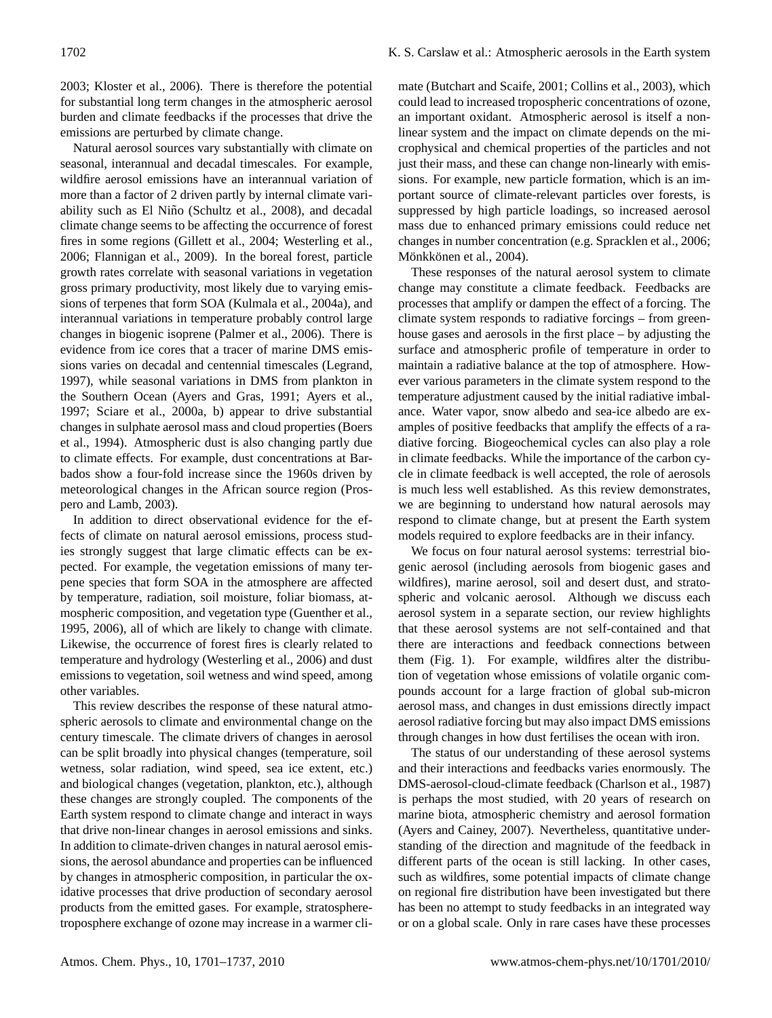2003; Kloster et al., 2006). There is therefore the potential for substantial long term changes in the atmospheric aerosol burden and climate feedbacks if the processes that drive the emissions are perturbed by climate change.

Natural aerosol sources vary substantially with climate on seasonal, interannual and decadal timescales. For example, wildfire aerosol emissions have an interannual variation of more than a factor of 2 driven partly by internal climate variability such as El Niño (Schultz et al., 2008), and decadal climate change seems to be affecting the occurrence of forest fires in some regions (Gillett et al., 2004; Westerling et al., 2006; Flannigan et al., 2009). In the boreal forest, particle growth rates correlate with seasonal variations in vegetation gross primary productivity, most likely due to varying emissions of terpenes that form SOA (Kulmala et al., 2004a), and interannual variations in temperature probably control large changes in biogenic isoprene (Palmer et al., 2006). There is evidence from ice cores that a tracer of marine DMS emissions varies on decadal and centennial timescales (Legrand, 1997), while seasonal variations in DMS from plankton in the Southern Ocean (Ayers and Gras, 1991; Ayers et al., 1997; Sciare et al., 2000a, b) appear to drive substantial changes in sulphate aerosol mass and cloud properties (Boers et al., 1994). Atmospheric dust is also changing partly due to climate effects. For example, dust concentrations at Barbados show a four-fold increase since the 1960s driven by meteorological changes in the African source region (Prospero and Lamb, 2003).

In addition to direct observational evidence for the effects of climate on natural aerosol emissions, process studies strongly suggest that large climatic effects can be expected. For example, the vegetation emissions of many terpene species that form SOA in the atmosphere are affected by temperature, radiation, soil moisture, foliar biomass, atmospheric composition, and vegetation type (Guenther et al., 1995, 2006), all of which are likely to change with climate. Likewise, the occurrence of forest fires is clearly related to temperature and hydrology (Westerling et al., 2006) and dust emissions to vegetation, soil wetness and wind speed, among other variables.

This review describes the response of these natural atmospheric aerosols to climate and environmental change on the century timescale. The climate drivers of changes in aerosol can be split broadly into physical changes (temperature, soil wetness, solar radiation, wind speed, sea ice extent, etc.) and biological changes (vegetation, plankton, etc.), although these changes are strongly coupled. The components of the Earth system respond to climate change and interact in ways that drive non-linear changes in aerosol emissions and sinks. In addition to climate-driven changes in natural aerosol emissions, the aerosol abundance and properties can be influenced by changes in atmospheric composition, in particular the oxidative processes that drive production of secondary aerosol products from the emitted gases. For example, stratospheretroposphere exchange of ozone may increase in a warmer cli-

mate (Butchart and Scaife, 2001; Collins et al., 2003), which could lead to increased tropospheric concentrations of ozone, an important oxidant. Atmospheric aerosol is itself a nonlinear system and the impact on climate depends on the microphysical and chemical properties of the particles and not just their mass, and these can change non-linearly with emissions. For example, new particle formation, which is an important source of climate-relevant particles over forests, is suppressed by high particle loadings, so increased aerosol mass due to enhanced primary emissions could reduce net changes in number concentration (e.g. Spracklen et al., 2006; Mönkkönen et al., 2004).

These responses of the natural aerosol system to climate change may constitute a climate feedback. Feedbacks are processes that amplify or dampen the effect of a forcing. The climate system responds to radiative forcings – from greenhouse gases and aerosols in the first place – by adjusting the surface and atmospheric profile of temperature in order to maintain a radiative balance at the top of atmosphere. However various parameters in the climate system respond to the temperature adjustment caused by the initial radiative imbalance. Water vapor, snow albedo and sea-ice albedo are examples of positive feedbacks that amplify the effects of a radiative forcing. Biogeochemical cycles can also play a role in climate feedbacks. While the importance of the carbon cycle in climate feedback is well accepted, the role of aerosols is much less well established. As this review demonstrates, we are beginning to understand how natural aerosols may respond to climate change, but at present the Earth system models required to explore feedbacks are in their infancy.

We focus on four natural aerosol systems: terrestrial biogenic aerosol (including aerosols from biogenic gases and wildfires), marine aerosol, soil and desert dust, and stratospheric and volcanic aerosol. Although we discuss each aerosol system in a separate section, our review highlights that these aerosol systems are not self-contained and that there are interactions and feedback connections between them (Fig. 1). For example, wildfires alter the distribution of vegetation whose emissions of volatile organic compounds account for a large fraction of global sub-micron aerosol mass, and changes in dust emissions directly impact aerosol radiative forcing but may also impact DMS emissions through changes in how dust fertilises the ocean with iron.

The status of our understanding of these aerosol systems and their interactions and feedbacks varies enormously. The DMS-aerosol-cloud-climate feedback (Charlson et al., 1987) is perhaps the most studied, with 20 years of research on marine biota, atmospheric chemistry and aerosol formation (Ayers and Cainey, 2007). Nevertheless, quantitative understanding of the direction and magnitude of the feedback in different parts of the ocean is still lacking. In other cases, such as wildfires, some potential impacts of climate change on regional fire distribution have been investigated but there has been no attempt to study feedbacks in an integrated way or on a global scale. Only in rare cases have these processes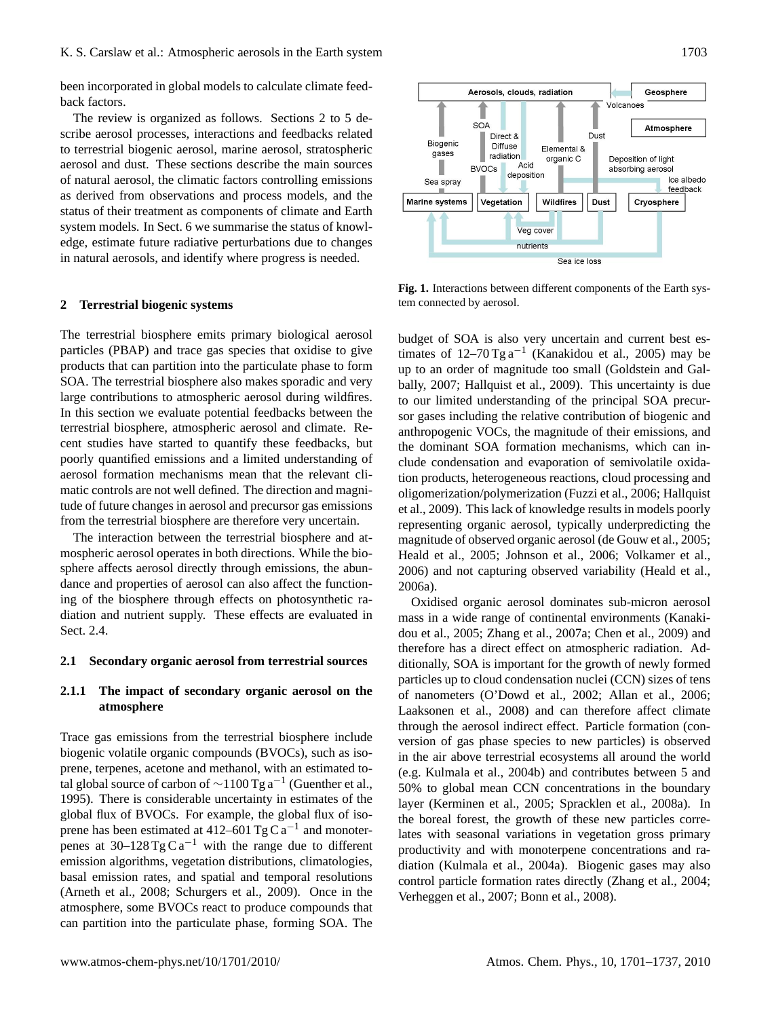been incorporated in global models to calculate climate feedback factors.

The review is organized as follows. Sections 2 to 5 describe aerosol processes, interactions and feedbacks related to terrestrial biogenic aerosol, marine aerosol, stratospheric aerosol and dust. These sections describe the main sources of natural aerosol, the climatic factors controlling emissions as derived from observations and process models, and the status of their treatment as components of climate and Earth system models. In Sect. 6 we summarise the status of knowledge, estimate future radiative perturbations due to changes in natural aerosols, and identify where progress is needed.

# **2 Terrestrial biogenic systems**

The terrestrial biosphere emits primary biological aerosol particles (PBAP) and trace gas species that oxidise to give products that can partition into the particulate phase to form SOA. The terrestrial biosphere also makes sporadic and very large contributions to atmospheric aerosol during wildfires. In this section we evaluate potential feedbacks between the terrestrial biosphere, atmospheric aerosol and climate. Recent studies have started to quantify these feedbacks, but poorly quantified emissions and a limited understanding of aerosol formation mechanisms mean that the relevant climatic controls are not well defined. The direction and magnitude of future changes in aerosol and precursor gas emissions from the terrestrial biosphere are therefore very uncertain.

The interaction between the terrestrial biosphere and atmospheric aerosol operates in both directions. While the biosphere affects aerosol directly through emissions, the abundance and properties of aerosol can also affect the functioning of the biosphere through effects on photosynthetic radiation and nutrient supply. These effects are evaluated in Sect. 2.4.

#### **2.1 Secondary organic aerosol from terrestrial sources**

# **2.1.1 The impact of secondary organic aerosol on the atmosphere**

Trace gas emissions from the terrestrial biosphere include biogenic volatile organic compounds (BVOCs), such as isoprene, terpenes, acetone and methanol, with an estimated total global source of carbon of  $\sim$ 1100 Tg a<sup>-1</sup> (Guenther et al., 1995). There is considerable uncertainty in estimates of the global flux of BVOCs. For example, the global flux of isoprene has been estimated at 412–601 Tg C $a^{-1}$  and monoterpenes at 30–128 Tg C  $a^{-1}$  with the range due to different emission algorithms, vegetation distributions, climatologies, basal emission rates, and spatial and temporal resolutions (Arneth et al., 2008; Schurgers et al., 2009). Once in the atmosphere, some BVOCs react to produce compounds that can partition into the particulate phase, forming SOA. The



**Fig. 1.** Interactions between different components of the Earth system connected by aerosol.

budget of SOA is also very uncertain and current best estimates of  $12-70$  Tg a<sup>-1</sup> (Kanakidou et al., 2005) may be up to an order of magnitude too small (Goldstein and Galbally, 2007; Hallquist et al., 2009). This uncertainty is due to our limited understanding of the principal SOA precursor gases including the relative contribution of biogenic and anthropogenic VOCs, the magnitude of their emissions, and the dominant SOA formation mechanisms, which can include condensation and evaporation of semivolatile oxidation products, heterogeneous reactions, cloud processing and oligomerization/polymerization (Fuzzi et al., 2006; Hallquist et al., 2009). This lack of knowledge results in models poorly representing organic aerosol, typically underpredicting the magnitude of observed organic aerosol (de Gouw et al., 2005; Heald et al., 2005; Johnson et al., 2006; Volkamer et al., 2006) and not capturing observed variability (Heald et al., 2006a).

Oxidised organic aerosol dominates sub-micron aerosol mass in a wide range of continental environments (Kanakidou et al., 2005; Zhang et al., 2007a; Chen et al., 2009) and therefore has a direct effect on atmospheric radiation. Additionally, SOA is important for the growth of newly formed particles up to cloud condensation nuclei (CCN) sizes of tens of nanometers (O'Dowd et al., 2002; Allan et al., 2006; Laaksonen et al., 2008) and can therefore affect climate through the aerosol indirect effect. Particle formation (conversion of gas phase species to new particles) is observed in the air above terrestrial ecosystems all around the world (e.g. Kulmala et al., 2004b) and contributes between 5 and 50% to global mean CCN concentrations in the boundary layer (Kerminen et al., 2005; Spracklen et al., 2008a). In the boreal forest, the growth of these new particles correlates with seasonal variations in vegetation gross primary productivity and with monoterpene concentrations and radiation (Kulmala et al., 2004a). Biogenic gases may also control particle formation rates directly (Zhang et al., 2004; Verheggen et al., 2007; Bonn et al., 2008).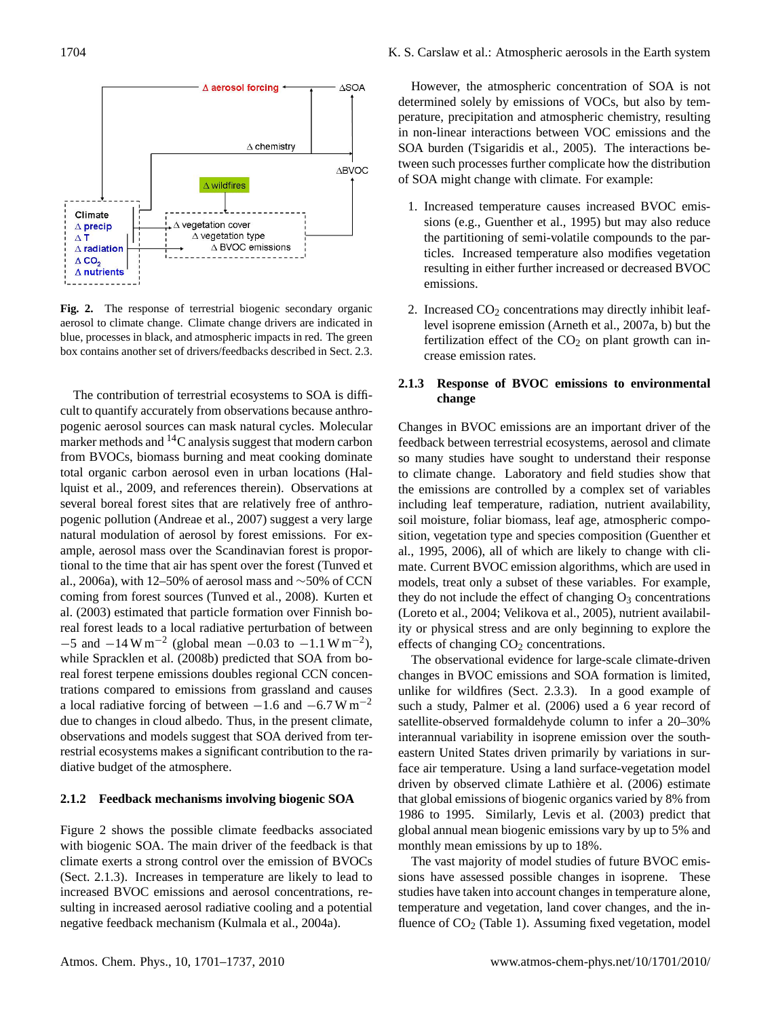

<span id="page-3-0"></span>**Fig. 2.** The response of terrestrial biogenic secondary organic aerosol to climate change. Climate change drivers are indicated in blue, processes in black, and atmospheric impacts in red. The green box contains another set of drivers/feedbacks described in Sect. 2.3.

The contribution of terrestrial ecosystems to SOA is difficult to quantify accurately from observations because anthropogenic aerosol sources can mask natural cycles. Molecular marker methods and <sup>14</sup>C analysis suggest that modern carbon from BVOCs, biomass burning and meat cooking dominate total organic carbon aerosol even in urban locations (Hallquist et al., 2009, and references therein). Observations at several boreal forest sites that are relatively free of anthropogenic pollution (Andreae et al., 2007) suggest a very large natural modulation of aerosol by forest emissions. For example, aerosol mass over the Scandinavian forest is proportional to the time that air has spent over the forest (Tunved et al., 2006a), with 12–50% of aerosol mass and ∼50% of CCN coming from forest sources (Tunved et al., 2008). Kurten et al. (2003) estimated that particle formation over Finnish boreal forest leads to a local radiative perturbation of between  $-5$  and  $-14$  W m<sup>-2</sup> (global mean  $-0.03$  to  $-1.1$  W m<sup>-2</sup>), while Spracklen et al. (2008b) predicted that SOA from boreal forest terpene emissions doubles regional CCN concentrations compared to emissions from grassland and causes a local radiative forcing of between  $-1.6$  and  $-6.7$  W m<sup>-2</sup> due to changes in cloud albedo. Thus, in the present climate, observations and models suggest that SOA derived from terrestrial ecosystems makes a significant contribution to the radiative budget of the atmosphere.

#### **2.1.2 Feedback mechanisms involving biogenic SOA**

Figure [2](#page-3-0) shows the possible climate feedbacks associated with biogenic SOA. The main driver of the feedback is that climate exerts a strong control over the emission of BVOCs (Sect. 2.1.3). Increases in temperature are likely to lead to increased BVOC emissions and aerosol concentrations, resulting in increased aerosol radiative cooling and a potential negative feedback mechanism (Kulmala et al., 2004a).

However, the atmospheric concentration of SOA is not determined solely by emissions of VOCs, but also by temperature, precipitation and atmospheric chemistry, resulting in non-linear interactions between VOC emissions and the SOA burden (Tsigaridis et al., 2005). The interactions between such processes further complicate how the distribution of SOA might change with climate. For example:

- 1. Increased temperature causes increased BVOC emissions (e.g., Guenther et al., 1995) but may also reduce the partitioning of semi-volatile compounds to the particles. Increased temperature also modifies vegetation resulting in either further increased or decreased BVOC emissions.
- 2. Increased  $CO<sub>2</sub>$  concentrations may directly inhibit leaflevel isoprene emission (Arneth et al., 2007a, b) but the fertilization effect of the  $CO<sub>2</sub>$  on plant growth can increase emission rates.

# **2.1.3 Response of BVOC emissions to environmental change**

Changes in BVOC emissions are an important driver of the feedback between terrestrial ecosystems, aerosol and climate so many studies have sought to understand their response to climate change. Laboratory and field studies show that the emissions are controlled by a complex set of variables including leaf temperature, radiation, nutrient availability, soil moisture, foliar biomass, leaf age, atmospheric composition, vegetation type and species composition (Guenther et al., 1995, 2006), all of which are likely to change with climate. Current BVOC emission algorithms, which are used in models, treat only a subset of these variables. For example, they do not include the effect of changing  $O_3$  concentrations (Loreto et al., 2004; Velikova et al., 2005), nutrient availability or physical stress and are only beginning to explore the effects of changing  $CO<sub>2</sub>$  concentrations.

The observational evidence for large-scale climate-driven changes in BVOC emissions and SOA formation is limited, unlike for wildfires (Sect. 2.3.3). In a good example of such a study, Palmer et al. (2006) used a 6 year record of satellite-observed formaldehyde column to infer a 20–30% interannual variability in isoprene emission over the southeastern United States driven primarily by variations in surface air temperature. Using a land surface-vegetation model driven by observed climate Lathière et al. (2006) estimate that global emissions of biogenic organics varied by 8% from 1986 to 1995. Similarly, Levis et al. (2003) predict that global annual mean biogenic emissions vary by up to 5% and monthly mean emissions by up to 18%.

The vast majority of model studies of future BVOC emissions have assessed possible changes in isoprene. These studies have taken into account changes in temperature alone, temperature and vegetation, land cover changes, and the influence of  $CO<sub>2</sub>$  (Table 1). Assuming fixed vegetation, model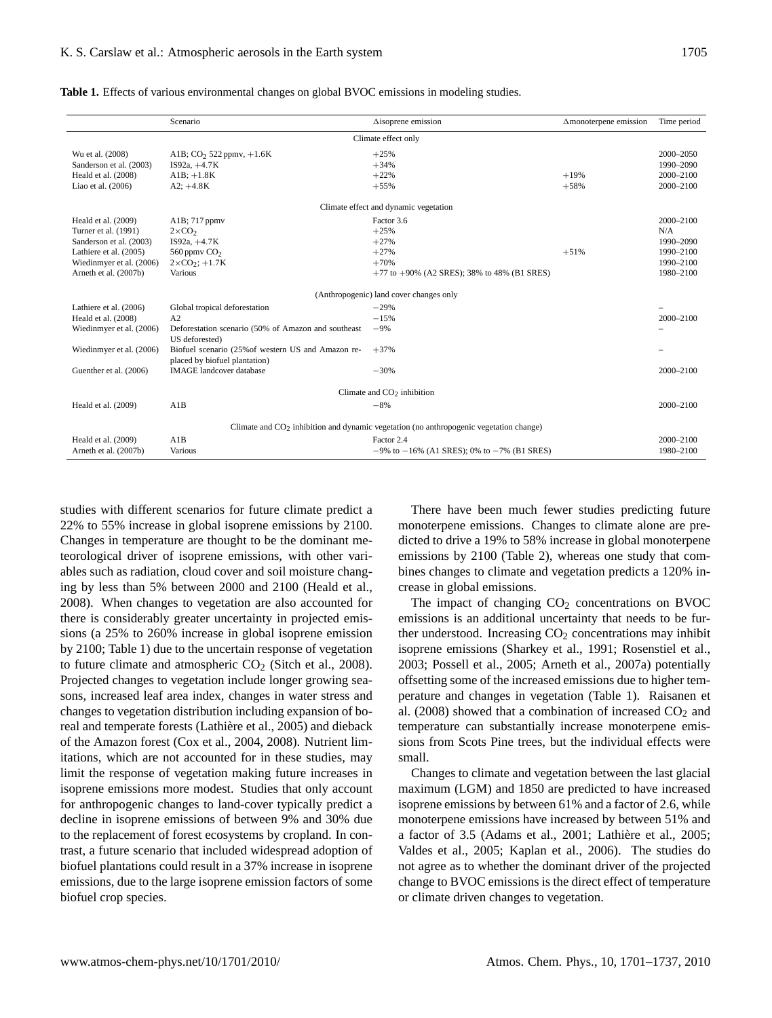**Table 1.** Effects of various environmental changes on global BVOC emissions in modeling studies.

|                          | Scenario                                                              | $\Delta$ isoprene emission                                                               | $\Delta$ monoterpene emission | Time period |  |  |  |  |
|--------------------------|-----------------------------------------------------------------------|------------------------------------------------------------------------------------------|-------------------------------|-------------|--|--|--|--|
|                          | Climate effect only                                                   |                                                                                          |                               |             |  |  |  |  |
| Wu et al. (2008)         | A1B; $CO_2$ 522 ppmv, $+1.6K$                                         | $+25%$                                                                                   |                               | 2000-2050   |  |  |  |  |
| Sanderson et al. (2003)  | IS92a, $+4.7K$                                                        | $+34%$                                                                                   |                               | 1990-2090   |  |  |  |  |
| Heald et al. (2008)      | $A1B: +1.8K$                                                          | $+22%$                                                                                   | $+19%$                        | 2000-2100   |  |  |  |  |
| Liao et al. (2006)       | $A2: +4.8K$                                                           | $+55%$                                                                                   | $+58%$                        | 2000-2100   |  |  |  |  |
|                          |                                                                       | Climate effect and dynamic vegetation                                                    |                               |             |  |  |  |  |
| Heald et al. (2009)      | A1B; 717 ppmv                                                         | Factor 3.6                                                                               |                               | 2000-2100   |  |  |  |  |
| Turner et al. (1991)     | $2\times CO2$                                                         | $+25%$                                                                                   |                               | N/A         |  |  |  |  |
| Sanderson et al. (2003)  | IS92a, $+4.7K$                                                        | $+27%$                                                                                   |                               | 1990-2090   |  |  |  |  |
| Lathiere et al. (2005)   | 560 ppmv CO <sub>2</sub>                                              | $+27%$                                                                                   | $+51%$                        | 1990-2100   |  |  |  |  |
| Wiedinmyer et al. (2006) | $2 \times CO_2$ ; +1.7K                                               | $+70%$                                                                                   |                               | 1990-2100   |  |  |  |  |
| Arneth et al. (2007b)    | Various                                                               | $+77$ to $+90\%$ (A2 SRES); 38% to 48% (B1 SRES)                                         |                               | 1980-2100   |  |  |  |  |
|                          |                                                                       | (Anthropogenic) land cover changes only                                                  |                               |             |  |  |  |  |
| Lathiere et al. (2006)   | Global tropical deforestation                                         | $-29%$                                                                                   |                               |             |  |  |  |  |
| Heald et al. (2008)      | A2                                                                    | $-15%$                                                                                   |                               | 2000-2100   |  |  |  |  |
| Wiedinmyer et al. (2006) | Deforestation scenario (50% of Amazon and southeast<br>US deforested) | $-9%$                                                                                    |                               |             |  |  |  |  |
| Wiedinmyer et al. (2006) | Biofuel scenario (25% of western US and Amazon re-                    | $+37%$                                                                                   |                               |             |  |  |  |  |
|                          | placed by biofuel plantation)                                         |                                                                                          |                               |             |  |  |  |  |
| Guenther et al. (2006)   | <b>IMAGE</b> landcover database                                       | $-30%$                                                                                   |                               | 2000-2100   |  |  |  |  |
|                          | Climate and $CO2$ inhibition                                          |                                                                                          |                               |             |  |  |  |  |
| Heald et al. (2009)      | A1B                                                                   | $-8%$                                                                                    |                               | 2000-2100   |  |  |  |  |
|                          |                                                                       | Climate and $CO2$ inhibition and dynamic vegetation (no anthropogenic vegetation change) |                               |             |  |  |  |  |
| Heald et al. (2009)      | A1B                                                                   | Factor 2.4                                                                               |                               | 2000-2100   |  |  |  |  |
| Arneth et al. (2007b)    | Various                                                               | $-9\%$ to $-16\%$ (A1 SRES); 0% to $-7\%$ (B1 SRES)                                      |                               | 1980-2100   |  |  |  |  |

studies with different scenarios for future climate predict a 22% to 55% increase in global isoprene emissions by 2100. Changes in temperature are thought to be the dominant meteorological driver of isoprene emissions, with other variables such as radiation, cloud cover and soil moisture changing by less than 5% between 2000 and 2100 (Heald et al., 2008). When changes to vegetation are also accounted for there is considerably greater uncertainty in projected emissions (a 25% to 260% increase in global isoprene emission by 2100; Table 1) due to the uncertain response of vegetation to future climate and atmospheric  $CO<sub>2</sub>$  (Sitch et al., 2008). Projected changes to vegetation include longer growing seasons, increased leaf area index, changes in water stress and changes to vegetation distribution including expansion of boreal and temperate forests (Lathiere et al., 2005) and dieback ` of the Amazon forest (Cox et al., 2004, 2008). Nutrient limitations, which are not accounted for in these studies, may limit the response of vegetation making future increases in isoprene emissions more modest. Studies that only account for anthropogenic changes to land-cover typically predict a decline in isoprene emissions of between 9% and 30% due to the replacement of forest ecosystems by cropland. In contrast, a future scenario that included widespread adoption of biofuel plantations could result in a 37% increase in isoprene emissions, due to the large isoprene emission factors of some biofuel crop species.

There have been much fewer studies predicting future monoterpene emissions. Changes to climate alone are predicted to drive a 19% to 58% increase in global monoterpene emissions by 2100 (Table 2), whereas one study that combines changes to climate and vegetation predicts a 120% increase in global emissions.

The impact of changing  $CO<sub>2</sub>$  concentrations on BVOC emissions is an additional uncertainty that needs to be further understood. Increasing  $CO<sub>2</sub>$  concentrations may inhibit isoprene emissions (Sharkey et al., 1991; Rosenstiel et al., 2003; Possell et al., 2005; Arneth et al., 2007a) potentially offsetting some of the increased emissions due to higher temperature and changes in vegetation (Table 1). Raisanen et al. (2008) showed that a combination of increased  $CO<sub>2</sub>$  and temperature can substantially increase monoterpene emissions from Scots Pine trees, but the individual effects were small.

Changes to climate and vegetation between the last glacial maximum (LGM) and 1850 are predicted to have increased isoprene emissions by between 61% and a factor of 2.6, while monoterpene emissions have increased by between 51% and a factor of 3.5 (Adams et al., 2001; Lathiere et al., 2005; ` Valdes et al., 2005; Kaplan et al., 2006). The studies do not agree as to whether the dominant driver of the projected change to BVOC emissions is the direct effect of temperature or climate driven changes to vegetation.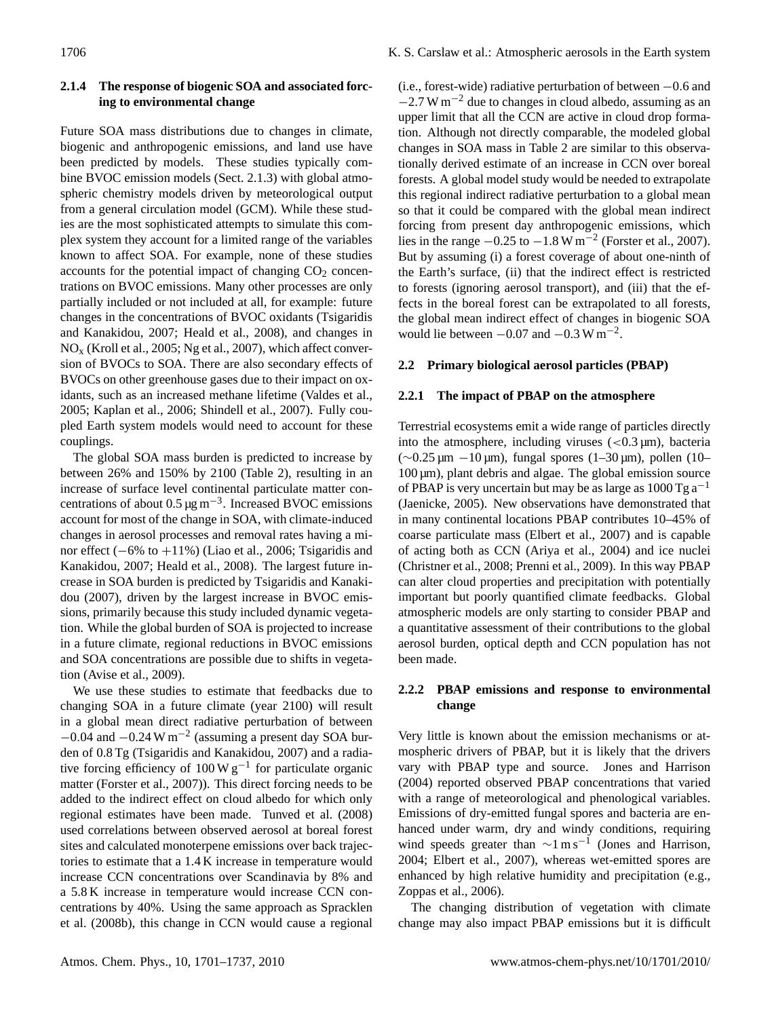# **2.1.4 The response of biogenic SOA and associated forcing to environmental change**

Future SOA mass distributions due to changes in climate, biogenic and anthropogenic emissions, and land use have been predicted by models. These studies typically combine BVOC emission models (Sect. 2.1.3) with global atmospheric chemistry models driven by meteorological output from a general circulation model (GCM). While these studies are the most sophisticated attempts to simulate this complex system they account for a limited range of the variables known to affect SOA. For example, none of these studies accounts for the potential impact of changing  $CO<sub>2</sub>$  concentrations on BVOC emissions. Many other processes are only partially included or not included at all, for example: future changes in the concentrations of BVOC oxidants (Tsigaridis and Kanakidou, 2007; Heald et al., 2008), and changes in  $NO<sub>x</sub>$  (Kroll et al., 2005; Ng et al., 2007), which affect conversion of BVOCs to SOA. There are also secondary effects of BVOCs on other greenhouse gases due to their impact on oxidants, such as an increased methane lifetime (Valdes et al., 2005; Kaplan et al., 2006; Shindell et al., 2007). Fully coupled Earth system models would need to account for these couplings.

The global SOA mass burden is predicted to increase by between 26% and 150% by 2100 (Table 2), resulting in an increase of surface level continental particulate matter concentrations of about  $0.5 \,\mathrm{\upmu g\,m}^{-3}$ . Increased BVOC emissions account for most of the change in SOA, with climate-induced changes in aerosol processes and removal rates having a minor effect (−6% to +11%) (Liao et al., 2006; Tsigaridis and Kanakidou, 2007; Heald et al., 2008). The largest future increase in SOA burden is predicted by Tsigaridis and Kanakidou (2007), driven by the largest increase in BVOC emissions, primarily because this study included dynamic vegetation. While the global burden of SOA is projected to increase in a future climate, regional reductions in BVOC emissions and SOA concentrations are possible due to shifts in vegetation (Avise et al., 2009).

We use these studies to estimate that feedbacks due to changing SOA in a future climate (year 2100) will result in a global mean direct radiative perturbation of between  $-0.04$  and  $-0.24$  W m<sup>-2</sup> (assuming a present day SOA burden of 0.8 Tg (Tsigaridis and Kanakidou, 2007) and a radiative forcing efficiency of 100 W  $g^{-1}$  for particulate organic matter (Forster et al., 2007)). This direct forcing needs to be added to the indirect effect on cloud albedo for which only regional estimates have been made. Tunved et al. (2008) used correlations between observed aerosol at boreal forest sites and calculated monoterpene emissions over back trajectories to estimate that a 1.4 K increase in temperature would increase CCN concentrations over Scandinavia by 8% and a 5.8 K increase in temperature would increase CCN concentrations by 40%. Using the same approach as Spracklen et al. (2008b), this change in CCN would cause a regional (i.e., forest-wide) radiative perturbation of between −0.6 and  $-2.7 W m^{-2}$  due to changes in cloud albedo, assuming as an upper limit that all the CCN are active in cloud drop formation. Although not directly comparable, the modeled global changes in SOA mass in Table 2 are similar to this observationally derived estimate of an increase in CCN over boreal forests. A global model study would be needed to extrapolate this regional indirect radiative perturbation to a global mean so that it could be compared with the global mean indirect forcing from present day anthropogenic emissions, which lies in the range  $-0.25$  to  $-1.8$  W m<sup>-2</sup> (Forster et al., 2007). But by assuming (i) a forest coverage of about one-ninth of the Earth's surface, (ii) that the indirect effect is restricted to forests (ignoring aerosol transport), and (iii) that the effects in the boreal forest can be extrapolated to all forests, the global mean indirect effect of changes in biogenic SOA would lie between  $-0.07$  and  $-0.3$  W m<sup>-2</sup>.

# **2.2 Primary biological aerosol particles (PBAP)**

## **2.2.1 The impact of PBAP on the atmosphere**

Terrestrial ecosystems emit a wide range of particles directly into the atmosphere, including viruses  $\left($  <0.3  $\mu$ m), bacteria (∼0.25 µm −10 µm), fungal spores (1–30 µm), pollen (10– 100 µm), plant debris and algae. The global emission source of PBAP is very uncertain but may be as large as  $1000$  Tg a<sup>-1</sup> (Jaenicke, 2005). New observations have demonstrated that in many continental locations PBAP contributes 10–45% of coarse particulate mass (Elbert et al., 2007) and is capable of acting both as CCN (Ariya et al., 2004) and ice nuclei (Christner et al., 2008; Prenni et al., 2009). In this way PBAP can alter cloud properties and precipitation with potentially important but poorly quantified climate feedbacks. Global atmospheric models are only starting to consider PBAP and a quantitative assessment of their contributions to the global aerosol burden, optical depth and CCN population has not been made.

# **2.2.2 PBAP emissions and response to environmental change**

Very little is known about the emission mechanisms or atmospheric drivers of PBAP, but it is likely that the drivers vary with PBAP type and source. Jones and Harrison (2004) reported observed PBAP concentrations that varied with a range of meteorological and phenological variables. Emissions of dry-emitted fungal spores and bacteria are enhanced under warm, dry and windy conditions, requiring wind speeds greater than  $\sim 1 \text{ m s}^{-1}$  (Jones and Harrison, 2004; Elbert et al., 2007), whereas wet-emitted spores are enhanced by high relative humidity and precipitation (e.g., Zoppas et al., 2006).

The changing distribution of vegetation with climate change may also impact PBAP emissions but it is difficult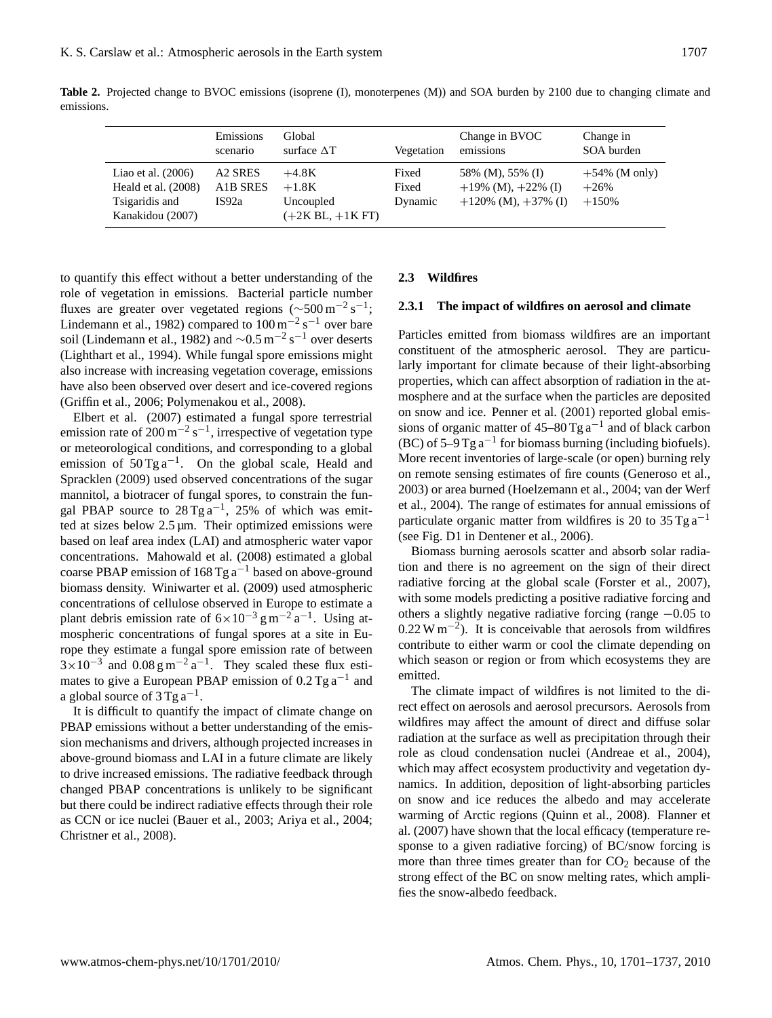|                                                                                   | Emissions<br>scenario                    | Global<br>surface $\Delta T$                         | Vegetation                | Change in BVOC<br>emissions                                               | Change in<br>SOA burden               |
|-----------------------------------------------------------------------------------|------------------------------------------|------------------------------------------------------|---------------------------|---------------------------------------------------------------------------|---------------------------------------|
| Liao et al. $(2006)$<br>Heald et al. (2008)<br>Tsigaridis and<br>Kanakidou (2007) | A <sub>2</sub> SRES<br>A1B SRES<br>IS92a | $+4.8K$<br>$+1.8K$<br>Uncoupled<br>$(+2K BL,+1K FT)$ | Fixed<br>Fixed<br>Dynamic | 58% (M), 55% (I)<br>$+19\%$ (M), $+22\%$ (I)<br>$+120\%$ (M), $+37\%$ (I) | $+54\%$ (M only)<br>$+26%$<br>$+150%$ |

**Table 2.** Projected change to BVOC emissions (isoprene (I), monoterpenes (M)) and SOA burden by 2100 due to changing climate and emissions.

to quantify this effect without a better understanding of the role of vegetation in emissions. Bacterial particle number fluxes are greater over vegetated regions  $(\sim 500 \,\mathrm{m}^{-2}\,\mathrm{s}^{-1})$ ; Lindemann et al., 1982) compared to  $100 \text{ m}^{-2} \text{ s}^{-1}$  over bare soil (Lindemann et al., 1982) and  $\sim 0.5 \,\mathrm{m}^{-2} \,\mathrm{s}^{-1}$  over deserts (Lighthart et al., 1994). While fungal spore emissions might also increase with increasing vegetation coverage, emissions have also been observed over desert and ice-covered regions (Griffin et al., 2006; Polymenakou et al., 2008).

Elbert et al. (2007) estimated a fungal spore terrestrial emission rate of 200 m<sup>-2</sup> s<sup>-1</sup>, irrespective of vegetation type or meteorological conditions, and corresponding to a global emission of  $50$  Tg a<sup>-1</sup>. On the global scale, Heald and Spracklen (2009) used observed concentrations of the sugar mannitol, a biotracer of fungal spores, to constrain the fungal PBAP source to  $28 \text{ Tg} \text{a}^{-1}$ , 25% of which was emitted at sizes below 2.5 µm. Their optimized emissions were based on leaf area index (LAI) and atmospheric water vapor concentrations. Mahowald et al. (2008) estimated a global coarse PBAP emission of  $168$  Tg a<sup>-1</sup> based on above-ground biomass density. Winiwarter et al. (2009) used atmospheric concentrations of cellulose observed in Europe to estimate a plant debris emission rate of  $6 \times 10^{-3}$  g m<sup>-2</sup> a<sup>-1</sup>. Using atmospheric concentrations of fungal spores at a site in Europe they estimate a fungal spore emission rate of between  $3 \times 10^{-3}$  and  $0.08 \text{ g m}^{-2} \text{ a}^{-1}$ . They scaled these flux estimates to give a European PBAP emission of  $0.2$  Tg a<sup>-1</sup> and a global source of  $3 \text{ Tg} a^{-1}$ .

It is difficult to quantify the impact of climate change on PBAP emissions without a better understanding of the emission mechanisms and drivers, although projected increases in above-ground biomass and LAI in a future climate are likely to drive increased emissions. The radiative feedback through changed PBAP concentrations is unlikely to be significant but there could be indirect radiative effects through their role as CCN or ice nuclei (Bauer et al., 2003; Ariya et al., 2004; Christner et al., 2008).

# **2.3 Wildfires**

# **2.3.1 The impact of wildfires on aerosol and climate**

Particles emitted from biomass wildfires are an important constituent of the atmospheric aerosol. They are particularly important for climate because of their light-absorbing properties, which can affect absorption of radiation in the atmosphere and at the surface when the particles are deposited on snow and ice. Penner et al. (2001) reported global emissions of organic matter of 45–80 Tg  $a^{-1}$  and of black carbon (BC) of  $5-9$  Tg a<sup>-1</sup> for biomass burning (including biofuels). More recent inventories of large-scale (or open) burning rely on remote sensing estimates of fire counts (Generoso et al., 2003) or area burned (Hoelzemann et al., 2004; van der Werf et al., 2004). The range of estimates for annual emissions of particulate organic matter from wildfires is 20 to  $35$  Tg a<sup>-1</sup> (see Fig. D1 in Dentener et al., 2006).

Biomass burning aerosols scatter and absorb solar radiation and there is no agreement on the sign of their direct radiative forcing at the global scale (Forster et al., 2007), with some models predicting a positive radiative forcing and others a slightly negative radiative forcing (range −0.05 to  $0.22 \text{ W m}^{-2}$ ). It is conceivable that aerosols from wildfires contribute to either warm or cool the climate depending on which season or region or from which ecosystems they are emitted.

The climate impact of wildfires is not limited to the direct effect on aerosols and aerosol precursors. Aerosols from wildfires may affect the amount of direct and diffuse solar radiation at the surface as well as precipitation through their role as cloud condensation nuclei (Andreae et al., 2004), which may affect ecosystem productivity and vegetation dynamics. In addition, deposition of light-absorbing particles on snow and ice reduces the albedo and may accelerate warming of Arctic regions (Quinn et al., 2008). Flanner et al. (2007) have shown that the local efficacy (temperature response to a given radiative forcing) of BC/snow forcing is more than three times greater than for  $CO<sub>2</sub>$  because of the strong effect of the BC on snow melting rates, which amplifies the snow-albedo feedback.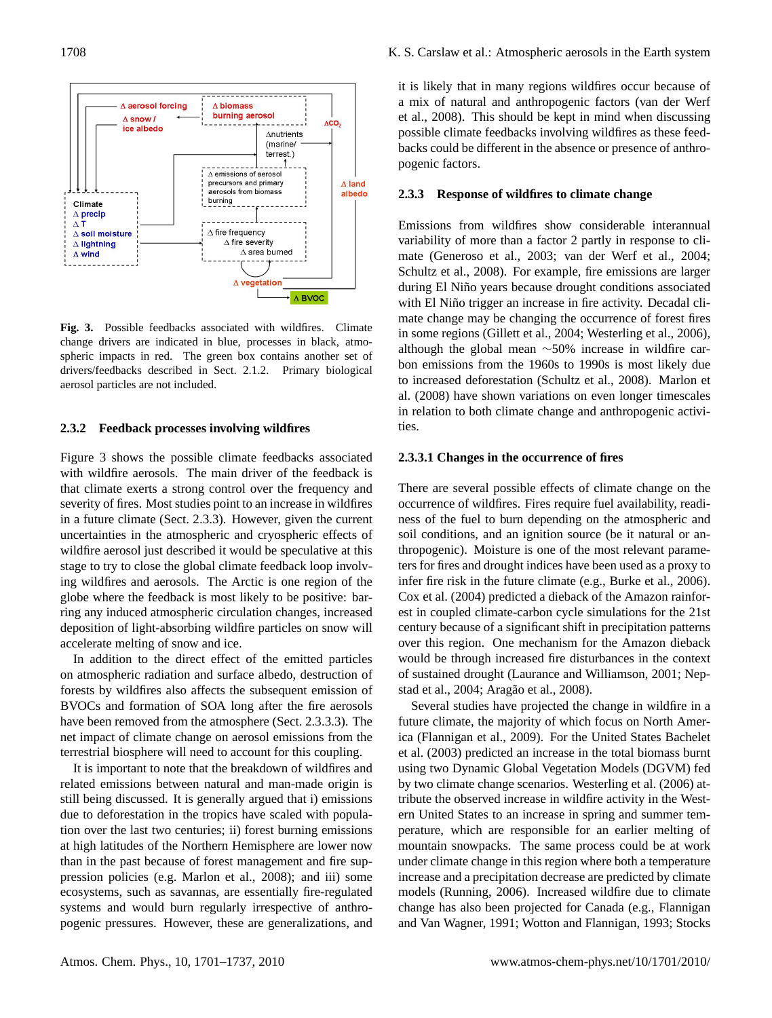

**Fig. 3.** Possible feedbacks associated with wildfires. Climate change drivers are indicated in blue, processes in black, atmospheric impacts in red. The green box contains another set of drivers/feedbacks described in Sect. 2.1.2. Primary biological aerosol particles are not included.

#### **2.3.2 Feedback processes involving wildfires**

Figure 3 shows the possible climate feedbacks associated with wildfire aerosols. The main driver of the feedback is that climate exerts a strong control over the frequency and severity of fires. Most studies point to an increase in wildfires in a future climate (Sect. 2.3.3). However, given the current uncertainties in the atmospheric and cryospheric effects of wildfire aerosol just described it would be speculative at this stage to try to close the global climate feedback loop involving wildfires and aerosols. The Arctic is one region of the globe where the feedback is most likely to be positive: barring any induced atmospheric circulation changes, increased deposition of light-absorbing wildfire particles on snow will accelerate melting of snow and ice.

In addition to the direct effect of the emitted particles on atmospheric radiation and surface albedo, destruction of forests by wildfires also affects the subsequent emission of BVOCs and formation of SOA long after the fire aerosols have been removed from the atmosphere (Sect. 2.3.3.3). The net impact of climate change on aerosol emissions from the terrestrial biosphere will need to account for this coupling.

It is important to note that the breakdown of wildfires and related emissions between natural and man-made origin is still being discussed. It is generally argued that i) emissions due to deforestation in the tropics have scaled with population over the last two centuries; ii) forest burning emissions at high latitudes of the Northern Hemisphere are lower now than in the past because of forest management and fire suppression policies (e.g. Marlon et al., 2008); and iii) some ecosystems, such as savannas, are essentially fire-regulated systems and would burn regularly irrespective of anthropogenic pressures. However, these are generalizations, and it is likely that in many regions wildfires occur because of a mix of natural and anthropogenic factors (van der Werf et al., 2008). This should be kept in mind when discussing possible climate feedbacks involving wildfires as these feedbacks could be different in the absence or presence of anthropogenic factors.

# **2.3.3 Response of wildfires to climate change**

Emissions from wildfires show considerable interannual variability of more than a factor 2 partly in response to climate (Generoso et al., 2003; van der Werf et al., 2004; Schultz et al., 2008). For example, fire emissions are larger during El Niño years because drought conditions associated with El Niño trigger an increase in fire activity. Decadal climate change may be changing the occurrence of forest fires in some regions (Gillett et al., 2004; Westerling et al., 2006), although the global mean ∼50% increase in wildfire carbon emissions from the 1960s to 1990s is most likely due to increased deforestation (Schultz et al., 2008). Marlon et al. (2008) have shown variations on even longer timescales in relation to both climate change and anthropogenic activities.

# **2.3.3.1 Changes in the occurrence of fires**

There are several possible effects of climate change on the occurrence of wildfires. Fires require fuel availability, readiness of the fuel to burn depending on the atmospheric and soil conditions, and an ignition source (be it natural or anthropogenic). Moisture is one of the most relevant parameters for fires and drought indices have been used as a proxy to infer fire risk in the future climate (e.g., Burke et al., 2006). Cox et al. (2004) predicted a dieback of the Amazon rainforest in coupled climate-carbon cycle simulations for the 21st century because of a significant shift in precipitation patterns over this region. One mechanism for the Amazon dieback would be through increased fire disturbances in the context of sustained drought (Laurance and Williamson, 2001; Nepstad et al., 2004; Aragão et al., 2008).

Several studies have projected the change in wildfire in a future climate, the majority of which focus on North America (Flannigan et al., 2009). For the United States Bachelet et al. (2003) predicted an increase in the total biomass burnt using two Dynamic Global Vegetation Models (DGVM) fed by two climate change scenarios. Westerling et al. (2006) attribute the observed increase in wildfire activity in the Western United States to an increase in spring and summer temperature, which are responsible for an earlier melting of mountain snowpacks. The same process could be at work under climate change in this region where both a temperature increase and a precipitation decrease are predicted by climate models (Running, 2006). Increased wildfire due to climate change has also been projected for Canada (e.g., Flannigan and Van Wagner, 1991; Wotton and Flannigan, 1993; Stocks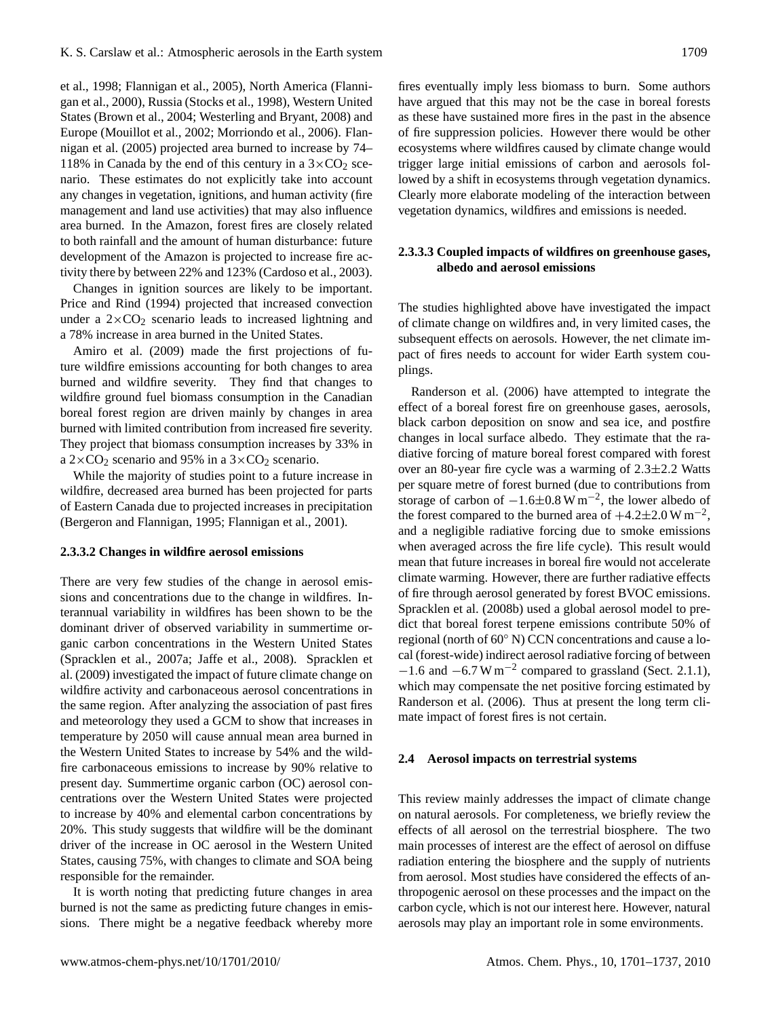et al., 1998; Flannigan et al., 2005), North America (Flannigan et al., 2000), Russia (Stocks et al., 1998), Western United States (Brown et al., 2004; Westerling and Bryant, 2008) and Europe (Mouillot et al., 2002; Morriondo et al., 2006). Flannigan et al. (2005) projected area burned to increase by 74– 118% in Canada by the end of this century in a  $3 \times CO_2$  scenario. These estimates do not explicitly take into account any changes in vegetation, ignitions, and human activity (fire management and land use activities) that may also influence area burned. In the Amazon, forest fires are closely related to both rainfall and the amount of human disturbance: future development of the Amazon is projected to increase fire activity there by between 22% and 123% (Cardoso et al., 2003).

Changes in ignition sources are likely to be important. Price and Rind (1994) projected that increased convection under a  $2\times$ CO<sub>2</sub> scenario leads to increased lightning and a 78% increase in area burned in the United States.

Amiro et al. (2009) made the first projections of future wildfire emissions accounting for both changes to area burned and wildfire severity. They find that changes to wildfire ground fuel biomass consumption in the Canadian boreal forest region are driven mainly by changes in area burned with limited contribution from increased fire severity. They project that biomass consumption increases by 33% in a  $2 \times CO_2$  scenario and 95% in a  $3 \times CO_2$  scenario.

While the majority of studies point to a future increase in wildfire, decreased area burned has been projected for parts of Eastern Canada due to projected increases in precipitation (Bergeron and Flannigan, 1995; Flannigan et al., 2001).

## **2.3.3.2 Changes in wildfire aerosol emissions**

There are very few studies of the change in aerosol emissions and concentrations due to the change in wildfires. Interannual variability in wildfires has been shown to be the dominant driver of observed variability in summertime organic carbon concentrations in the Western United States (Spracklen et al., 2007a; Jaffe et al., 2008). Spracklen et al. (2009) investigated the impact of future climate change on wildfire activity and carbonaceous aerosol concentrations in the same region. After analyzing the association of past fires and meteorology they used a GCM to show that increases in temperature by 2050 will cause annual mean area burned in the Western United States to increase by 54% and the wildfire carbonaceous emissions to increase by 90% relative to present day. Summertime organic carbon (OC) aerosol concentrations over the Western United States were projected to increase by 40% and elemental carbon concentrations by 20%. This study suggests that wildfire will be the dominant driver of the increase in OC aerosol in the Western United States, causing 75%, with changes to climate and SOA being responsible for the remainder.

It is worth noting that predicting future changes in area burned is not the same as predicting future changes in emissions. There might be a negative feedback whereby more

fires eventually imply less biomass to burn. Some authors have argued that this may not be the case in boreal forests as these have sustained more fires in the past in the absence of fire suppression policies. However there would be other ecosystems where wildfires caused by climate change would trigger large initial emissions of carbon and aerosols followed by a shift in ecosystems through vegetation dynamics. Clearly more elaborate modeling of the interaction between vegetation dynamics, wildfires and emissions is needed.

# **2.3.3.3 Coupled impacts of wildfires on greenhouse gases, albedo and aerosol emissions**

The studies highlighted above have investigated the impact of climate change on wildfires and, in very limited cases, the subsequent effects on aerosols. However, the net climate impact of fires needs to account for wider Earth system couplings.

Randerson et al. (2006) have attempted to integrate the effect of a boreal forest fire on greenhouse gases, aerosols, black carbon deposition on snow and sea ice, and postfire changes in local surface albedo. They estimate that the radiative forcing of mature boreal forest compared with forest over an 80-year fire cycle was a warming of 2.3±2.2 Watts per square metre of forest burned (due to contributions from storage of carbon of  $-1.6\pm0.8$  W m<sup>-2</sup>, the lower albedo of the forest compared to the burned area of  $+4.2 \pm 2.0$  W m<sup>-2</sup>, and a negligible radiative forcing due to smoke emissions when averaged across the fire life cycle). This result would mean that future increases in boreal fire would not accelerate climate warming. However, there are further radiative effects of fire through aerosol generated by forest BVOC emissions. Spracklen et al. (2008b) used a global aerosol model to predict that boreal forest terpene emissions contribute 50% of regional (north of 60◦ N) CCN concentrations and cause a local (forest-wide) indirect aerosol radiative forcing of between  $-1.6$  and  $-6.7$  W m<sup>-2</sup> compared to grassland (Sect. 2.1.1), which may compensate the net positive forcing estimated by Randerson et al. (2006). Thus at present the long term climate impact of forest fires is not certain.

#### **2.4 Aerosol impacts on terrestrial systems**

This review mainly addresses the impact of climate change on natural aerosols. For completeness, we briefly review the effects of all aerosol on the terrestrial biosphere. The two main processes of interest are the effect of aerosol on diffuse radiation entering the biosphere and the supply of nutrients from aerosol. Most studies have considered the effects of anthropogenic aerosol on these processes and the impact on the carbon cycle, which is not our interest here. However, natural aerosols may play an important role in some environments.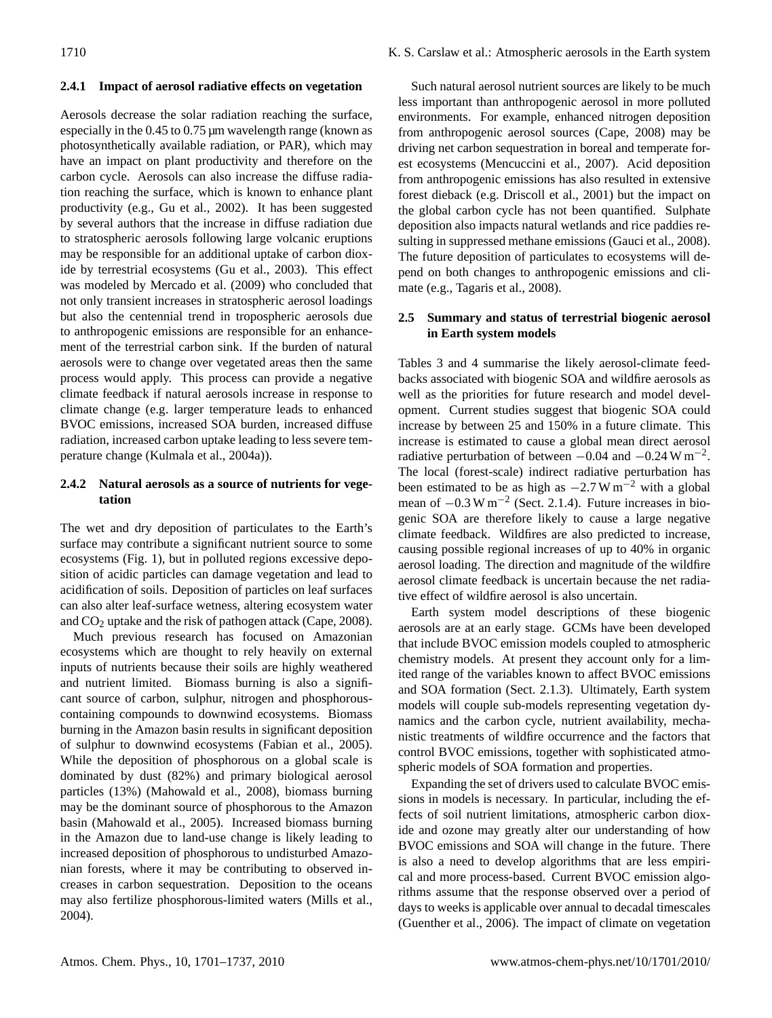## **2.4.1 Impact of aerosol radiative effects on vegetation**

Aerosols decrease the solar radiation reaching the surface, especially in the 0.45 to 0.75 µm wavelength range (known as photosynthetically available radiation, or PAR), which may have an impact on plant productivity and therefore on the carbon cycle. Aerosols can also increase the diffuse radiation reaching the surface, which is known to enhance plant productivity (e.g., Gu et al., 2002). It has been suggested by several authors that the increase in diffuse radiation due to stratospheric aerosols following large volcanic eruptions may be responsible for an additional uptake of carbon dioxide by terrestrial ecosystems (Gu et al., 2003). This effect was modeled by Mercado et al. (2009) who concluded that not only transient increases in stratospheric aerosol loadings but also the centennial trend in tropospheric aerosols due to anthropogenic emissions are responsible for an enhancement of the terrestrial carbon sink. If the burden of natural aerosols were to change over vegetated areas then the same process would apply. This process can provide a negative climate feedback if natural aerosols increase in response to climate change (e.g. larger temperature leads to enhanced BVOC emissions, increased SOA burden, increased diffuse radiation, increased carbon uptake leading to less severe temperature change (Kulmala et al., 2004a)).

# **2.4.2 Natural aerosols as a source of nutrients for vegetation**

The wet and dry deposition of particulates to the Earth's surface may contribute a significant nutrient source to some ecosystems (Fig. 1), but in polluted regions excessive deposition of acidic particles can damage vegetation and lead to acidification of soils. Deposition of particles on leaf surfaces can also alter leaf-surface wetness, altering ecosystem water and  $CO<sub>2</sub>$  uptake and the risk of pathogen attack (Cape, 2008).

Much previous research has focused on Amazonian ecosystems which are thought to rely heavily on external inputs of nutrients because their soils are highly weathered and nutrient limited. Biomass burning is also a significant source of carbon, sulphur, nitrogen and phosphorouscontaining compounds to downwind ecosystems. Biomass burning in the Amazon basin results in significant deposition of sulphur to downwind ecosystems (Fabian et al., 2005). While the deposition of phosphorous on a global scale is dominated by dust (82%) and primary biological aerosol particles (13%) (Mahowald et al., 2008), biomass burning may be the dominant source of phosphorous to the Amazon basin (Mahowald et al., 2005). Increased biomass burning in the Amazon due to land-use change is likely leading to increased deposition of phosphorous to undisturbed Amazonian forests, where it may be contributing to observed increases in carbon sequestration. Deposition to the oceans may also fertilize phosphorous-limited waters (Mills et al., 2004).

Such natural aerosol nutrient sources are likely to be much less important than anthropogenic aerosol in more polluted environments. For example, enhanced nitrogen deposition from anthropogenic aerosol sources (Cape, 2008) may be driving net carbon sequestration in boreal and temperate forest ecosystems (Mencuccini et al., 2007). Acid deposition from anthropogenic emissions has also resulted in extensive forest dieback (e.g. Driscoll et al., 2001) but the impact on the global carbon cycle has not been quantified. Sulphate deposition also impacts natural wetlands and rice paddies resulting in suppressed methane emissions (Gauci et al., 2008). The future deposition of particulates to ecosystems will depend on both changes to anthropogenic emissions and climate (e.g., Tagaris et al., 2008).

# **2.5 Summary and status of terrestrial biogenic aerosol in Earth system models**

Tables 3 and 4 summarise the likely aerosol-climate feedbacks associated with biogenic SOA and wildfire aerosols as well as the priorities for future research and model development. Current studies suggest that biogenic SOA could increase by between 25 and 150% in a future climate. This increase is estimated to cause a global mean direct aerosol radiative perturbation of between  $-0.04$  and  $-0.24$  W m<sup>-2</sup>. The local (forest-scale) indirect radiative perturbation has been estimated to be as high as  $-2.7 \text{ W m}^{-2}$  with a global mean of  $-0.3 \text{ W m}^{-2}$  (Sect. 2.1.4). Future increases in biogenic SOA are therefore likely to cause a large negative climate feedback. Wildfires are also predicted to increase, causing possible regional increases of up to 40% in organic aerosol loading. The direction and magnitude of the wildfire aerosol climate feedback is uncertain because the net radiative effect of wildfire aerosol is also uncertain.

Earth system model descriptions of these biogenic aerosols are at an early stage. GCMs have been developed that include BVOC emission models coupled to atmospheric chemistry models. At present they account only for a limited range of the variables known to affect BVOC emissions and SOA formation (Sect. 2.1.3). Ultimately, Earth system models will couple sub-models representing vegetation dynamics and the carbon cycle, nutrient availability, mechanistic treatments of wildfire occurrence and the factors that control BVOC emissions, together with sophisticated atmospheric models of SOA formation and properties.

Expanding the set of drivers used to calculate BVOC emissions in models is necessary. In particular, including the effects of soil nutrient limitations, atmospheric carbon dioxide and ozone may greatly alter our understanding of how BVOC emissions and SOA will change in the future. There is also a need to develop algorithms that are less empirical and more process-based. Current BVOC emission algorithms assume that the response observed over a period of days to weeks is applicable over annual to decadal timescales (Guenther et al., 2006). The impact of climate on vegetation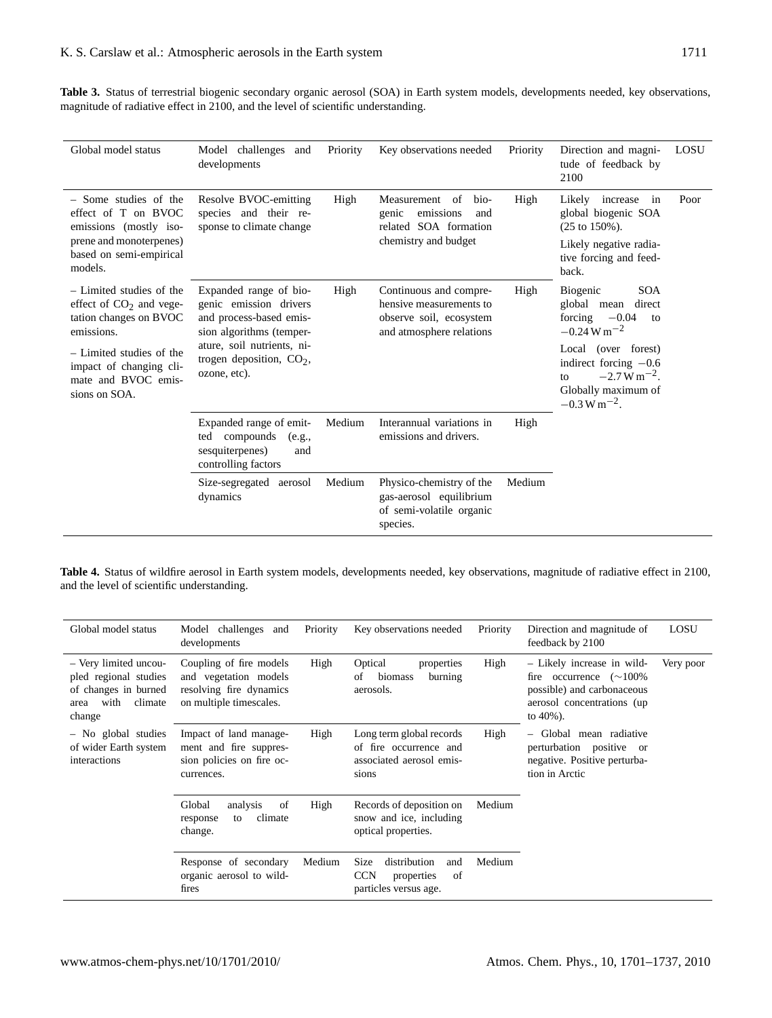**Table 3.** Status of terrestrial biogenic secondary organic aerosol (SOA) in Earth system models, developments needed, key observations, magnitude of radiative effect in 2100, and the level of scientific understanding.

| Global model status                                                                                                                                                                          | Model challenges<br>and<br>developments                                                                                                                                             | Priority | Key observations needed                                                                                  | Priority | Direction and magni-<br>tude of feedback by<br>2100                                                                                                                                                                   | <b>LOSU</b> |
|----------------------------------------------------------------------------------------------------------------------------------------------------------------------------------------------|-------------------------------------------------------------------------------------------------------------------------------------------------------------------------------------|----------|----------------------------------------------------------------------------------------------------------|----------|-----------------------------------------------------------------------------------------------------------------------------------------------------------------------------------------------------------------------|-------------|
| - Some studies of the<br>effect of T on BVOC<br>emissions (mostly iso-<br>prene and monoterpenes)<br>based on semi-empirical<br>models.                                                      | Resolve BVOC-emitting<br>species and their re-<br>sponse to climate change                                                                                                          | High     | Measurement of<br>bio-<br>genic<br>emissions<br>and<br>related SOA formation<br>chemistry and budget     | High     | Likely increase in<br>global biogenic SOA<br>$(25 \text{ to } 150\%)$ .<br>Likely negative radia-<br>tive forcing and feed-<br>back.                                                                                  | Poor        |
| - Limited studies of the<br>effect of $CO2$ and vege-<br>tation changes on BVOC<br>emissions.<br>- Limited studies of the<br>impact of changing cli-<br>mate and BVOC emis-<br>sions on SOA. | Expanded range of bio-<br>genic emission drivers<br>and process-based emis-<br>sion algorithms (temper-<br>ature, soil nutrients, ni-<br>trogen deposition, $CO2$ ,<br>ozone, etc). | High     | Continuous and compre-<br>hensive measurements to<br>observe soil, ecosystem<br>and atmosphere relations | High     | <b>SOA</b><br>Biogenic<br>global mean<br>direct<br>forcing $-0.04$<br>to<br>$-0.24 W m^{-2}$<br>Local (over forest)<br>indirect forcing $-0.6$<br>$-2.7 W m^{-2}$ .<br>to<br>Globally maximum of<br>$-0.3 W m^{-2}$ . |             |
|                                                                                                                                                                                              | Expanded range of emit-<br>ted compounds<br>(e.g.,<br>sesquiterpenes)<br>and<br>controlling factors                                                                                 | Medium   | Interannual variations in<br>emissions and drivers.                                                      | High     |                                                                                                                                                                                                                       |             |
|                                                                                                                                                                                              | Size-segregated<br>aerosol<br>dynamics                                                                                                                                              | Medium   | Physico-chemistry of the<br>gas-aerosol equilibrium<br>of semi-volatile organic<br>species.              | Medium   |                                                                                                                                                                                                                       |             |

**Table 4.** Status of wildfire aerosol in Earth system models, developments needed, key observations, magnitude of radiative effect in 2100, and the level of scientific understanding.

| Global model status                                                                                      | Model challenges and<br>developments                                                                   | Priority | Key observations needed                                                                 | Priority | Direction and magnitude of<br>feedback by 2100                                                                                           | LOSU      |
|----------------------------------------------------------------------------------------------------------|--------------------------------------------------------------------------------------------------------|----------|-----------------------------------------------------------------------------------------|----------|------------------------------------------------------------------------------------------------------------------------------------------|-----------|
| - Very limited uncou-<br>pled regional studies<br>of changes in burned<br>with climate<br>area<br>change | Coupling of fire models<br>and vegetation models<br>resolving fire dynamics<br>on multiple timescales. | High     | Optical<br>properties<br>biomass<br>burning<br>of<br>aerosols.                          | High     | - Likely increase in wild-<br>fire occurrence $(\sim 100\%$<br>possible) and carbonaceous<br>aerosol concentrations (up)<br>to $40\%$ ). | Very poor |
| - No global studies<br>of wider Earth system<br>interactions                                             | Impact of land manage-<br>ment and fire suppres-<br>sion policies on fire oc-<br>currences.            | High     | Long term global records<br>of fire occurrence and<br>associated aerosol emis-<br>sions | High     | - Global mean radiative<br>perturbation positive<br><sub>or</sub><br>negative. Positive perturba-<br>tion in Arctic                      |           |
|                                                                                                          | Global<br>analysis<br>of<br>climate<br>response<br>to<br>change.                                       | High     | Records of deposition on<br>snow and ice, including<br>optical properties.              | Medium   |                                                                                                                                          |           |
|                                                                                                          | Response of secondary<br>organic aerosol to wild-<br>fires                                             | Medium   | Size<br>distribution<br>and<br><b>CCN</b><br>properties<br>of<br>particles versus age.  | Medium   |                                                                                                                                          |           |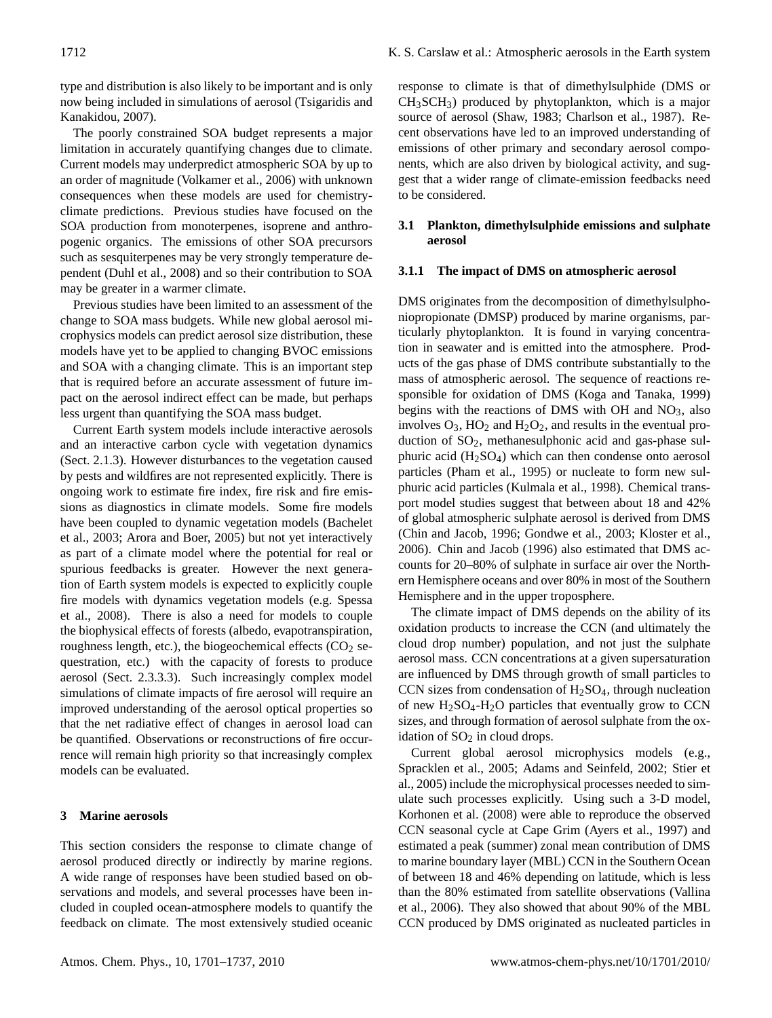type and distribution is also likely to be important and is only now being included in simulations of aerosol (Tsigaridis and Kanakidou, 2007).

The poorly constrained SOA budget represents a major limitation in accurately quantifying changes due to climate. Current models may underpredict atmospheric SOA by up to an order of magnitude (Volkamer et al., 2006) with unknown consequences when these models are used for chemistryclimate predictions. Previous studies have focused on the SOA production from monoterpenes, isoprene and anthropogenic organics. The emissions of other SOA precursors such as sesquiterpenes may be very strongly temperature dependent (Duhl et al., 2008) and so their contribution to SOA may be greater in a warmer climate.

Previous studies have been limited to an assessment of the change to SOA mass budgets. While new global aerosol microphysics models can predict aerosol size distribution, these models have yet to be applied to changing BVOC emissions and SOA with a changing climate. This is an important step that is required before an accurate assessment of future impact on the aerosol indirect effect can be made, but perhaps less urgent than quantifying the SOA mass budget.

Current Earth system models include interactive aerosols and an interactive carbon cycle with vegetation dynamics (Sect. 2.1.3). However disturbances to the vegetation caused by pests and wildfires are not represented explicitly. There is ongoing work to estimate fire index, fire risk and fire emissions as diagnostics in climate models. Some fire models have been coupled to dynamic vegetation models (Bachelet et al., 2003; Arora and Boer, 2005) but not yet interactively as part of a climate model where the potential for real or spurious feedbacks is greater. However the next generation of Earth system models is expected to explicitly couple fire models with dynamics vegetation models (e.g. Spessa et al., 2008). There is also a need for models to couple the biophysical effects of forests (albedo, evapotranspiration, roughness length, etc.), the biogeochemical effects  $(CO<sub>2</sub>$  sequestration, etc.) with the capacity of forests to produce aerosol (Sect. 2.3.3.3). Such increasingly complex model simulations of climate impacts of fire aerosol will require an improved understanding of the aerosol optical properties so that the net radiative effect of changes in aerosol load can be quantified. Observations or reconstructions of fire occurrence will remain high priority so that increasingly complex models can be evaluated.

## **3 Marine aerosols**

This section considers the response to climate change of aerosol produced directly or indirectly by marine regions. A wide range of responses have been studied based on observations and models, and several processes have been included in coupled ocean-atmosphere models to quantify the feedback on climate. The most extensively studied oceanic response to climate is that of dimethylsulphide (DMS or CH3SCH3) produced by phytoplankton, which is a major source of aerosol (Shaw, 1983; Charlson et al., 1987). Recent observations have led to an improved understanding of emissions of other primary and secondary aerosol components, which are also driven by biological activity, and suggest that a wider range of climate-emission feedbacks need to be considered.

# **3.1 Plankton, dimethylsulphide emissions and sulphate aerosol**

## **3.1.1 The impact of DMS on atmospheric aerosol**

DMS originates from the decomposition of dimethylsulphoniopropionate (DMSP) produced by marine organisms, particularly phytoplankton. It is found in varying concentration in seawater and is emitted into the atmosphere. Products of the gas phase of DMS contribute substantially to the mass of atmospheric aerosol. The sequence of reactions responsible for oxidation of DMS (Koga and Tanaka, 1999) begins with the reactions of DMS with OH and  $NO<sub>3</sub>$ , also involves  $O_3$ ,  $HO_2$  and  $H_2O_2$ , and results in the eventual production of SO<sub>2</sub>, methanesulphonic acid and gas-phase sulphuric acid  $(H_2SO_4)$  which can then condense onto aerosol particles (Pham et al., 1995) or nucleate to form new sulphuric acid particles (Kulmala et al., 1998). Chemical transport model studies suggest that between about 18 and 42% of global atmospheric sulphate aerosol is derived from DMS (Chin and Jacob, 1996; Gondwe et al., 2003; Kloster et al., 2006). Chin and Jacob (1996) also estimated that DMS accounts for 20–80% of sulphate in surface air over the Northern Hemisphere oceans and over 80% in most of the Southern Hemisphere and in the upper troposphere.

The climate impact of DMS depends on the ability of its oxidation products to increase the CCN (and ultimately the cloud drop number) population, and not just the sulphate aerosol mass. CCN concentrations at a given supersaturation are influenced by DMS through growth of small particles to CCN sizes from condensation of  $H<sub>2</sub>SO<sub>4</sub>$ , through nucleation of new  $H_2SO_4$ - $H_2O$  particles that eventually grow to CCN sizes, and through formation of aerosol sulphate from the oxidation of  $SO<sub>2</sub>$  in cloud drops.

Current global aerosol microphysics models (e.g., Spracklen et al., 2005; Adams and Seinfeld, 2002; Stier et al., 2005) include the microphysical processes needed to simulate such processes explicitly. Using such a 3-D model, Korhonen et al. (2008) were able to reproduce the observed CCN seasonal cycle at Cape Grim (Ayers et al., 1997) and estimated a peak (summer) zonal mean contribution of DMS to marine boundary layer (MBL) CCN in the Southern Ocean of between 18 and 46% depending on latitude, which is less than the 80% estimated from satellite observations (Vallina et al., 2006). They also showed that about 90% of the MBL CCN produced by DMS originated as nucleated particles in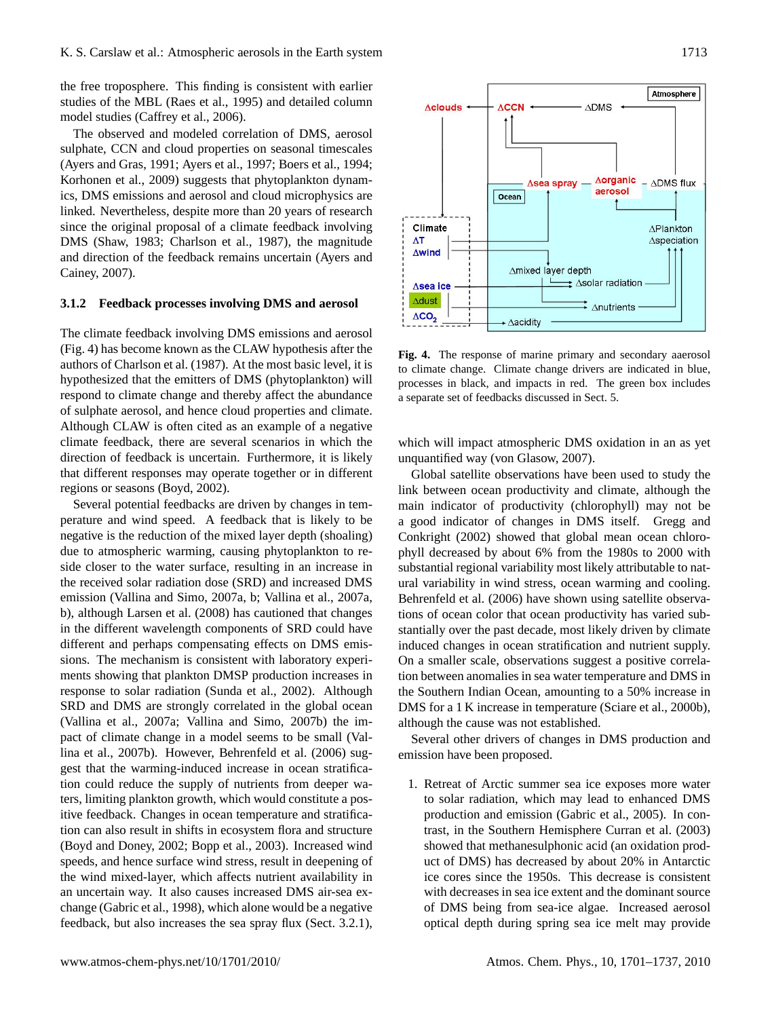the free troposphere. This finding is consistent with earlier studies of the MBL (Raes et al., 1995) and detailed column model studies (Caffrey et al., 2006).

The observed and modeled correlation of DMS, aerosol sulphate, CCN and cloud properties on seasonal timescales (Ayers and Gras, 1991; Ayers et al., 1997; Boers et al., 1994; Korhonen et al., 2009) suggests that phytoplankton dynamics, DMS emissions and aerosol and cloud microphysics are linked. Nevertheless, despite more than 20 years of research since the original proposal of a climate feedback involving DMS (Shaw, 1983; Charlson et al., 1987), the magnitude and direction of the feedback remains uncertain (Ayers and Cainey, 2007).

## **3.1.2 Feedback processes involving DMS and aerosol**

The climate feedback involving DMS emissions and aerosol (Fig. 4) has become known as the CLAW hypothesis after the authors of Charlson et al. (1987). At the most basic level, it is hypothesized that the emitters of DMS (phytoplankton) will respond to climate change and thereby affect the abundance of sulphate aerosol, and hence cloud properties and climate. Although CLAW is often cited as an example of a negative climate feedback, there are several scenarios in which the direction of feedback is uncertain. Furthermore, it is likely that different responses may operate together or in different regions or seasons (Boyd, 2002).

Several potential feedbacks are driven by changes in temperature and wind speed. A feedback that is likely to be negative is the reduction of the mixed layer depth (shoaling) due to atmospheric warming, causing phytoplankton to reside closer to the water surface, resulting in an increase in the received solar radiation dose (SRD) and increased DMS emission (Vallina and Simo, 2007a, b; Vallina et al., 2007a, b), although Larsen et al. (2008) has cautioned that changes in the different wavelength components of SRD could have different and perhaps compensating effects on DMS emissions. The mechanism is consistent with laboratory experiments showing that plankton DMSP production increases in response to solar radiation (Sunda et al., 2002). Although SRD and DMS are strongly correlated in the global ocean (Vallina et al., 2007a; Vallina and Simo, 2007b) the impact of climate change in a model seems to be small (Vallina et al., 2007b). However, Behrenfeld et al. (2006) suggest that the warming-induced increase in ocean stratification could reduce the supply of nutrients from deeper waters, limiting plankton growth, which would constitute a positive feedback. Changes in ocean temperature and stratification can also result in shifts in ecosystem flora and structure (Boyd and Doney, 2002; Bopp et al., 2003). Increased wind speeds, and hence surface wind stress, result in deepening of the wind mixed-layer, which affects nutrient availability in an uncertain way. It also causes increased DMS air-sea exchange (Gabric et al., 1998), which alone would be a negative feedback, but also increases the sea spray flux (Sect. 3.2.1),



**Fig. 4.** The response of marine primary and secondary aaerosol to climate change. Climate change drivers are indicated in blue, processes in black, and impacts in red. The green box includes a separate set of feedbacks discussed in Sect. 5.

which will impact atmospheric DMS oxidation in an as yet unquantified way (von Glasow, 2007).

Global satellite observations have been used to study the link between ocean productivity and climate, although the main indicator of productivity (chlorophyll) may not be a good indicator of changes in DMS itself. Gregg and Conkright (2002) showed that global mean ocean chlorophyll decreased by about 6% from the 1980s to 2000 with substantial regional variability most likely attributable to natural variability in wind stress, ocean warming and cooling. Behrenfeld et al. (2006) have shown using satellite observations of ocean color that ocean productivity has varied substantially over the past decade, most likely driven by climate induced changes in ocean stratification and nutrient supply. On a smaller scale, observations suggest a positive correlation between anomalies in sea water temperature and DMS in the Southern Indian Ocean, amounting to a 50% increase in DMS for a 1 K increase in temperature (Sciare et al., 2000b), although the cause was not established.

Several other drivers of changes in DMS production and emission have been proposed.

1. Retreat of Arctic summer sea ice exposes more water to solar radiation, which may lead to enhanced DMS production and emission (Gabric et al., 2005). In contrast, in the Southern Hemisphere Curran et al. (2003) showed that methanesulphonic acid (an oxidation product of DMS) has decreased by about 20% in Antarctic ice cores since the 1950s. This decrease is consistent with decreases in sea ice extent and the dominant source of DMS being from sea-ice algae. Increased aerosol optical depth during spring sea ice melt may provide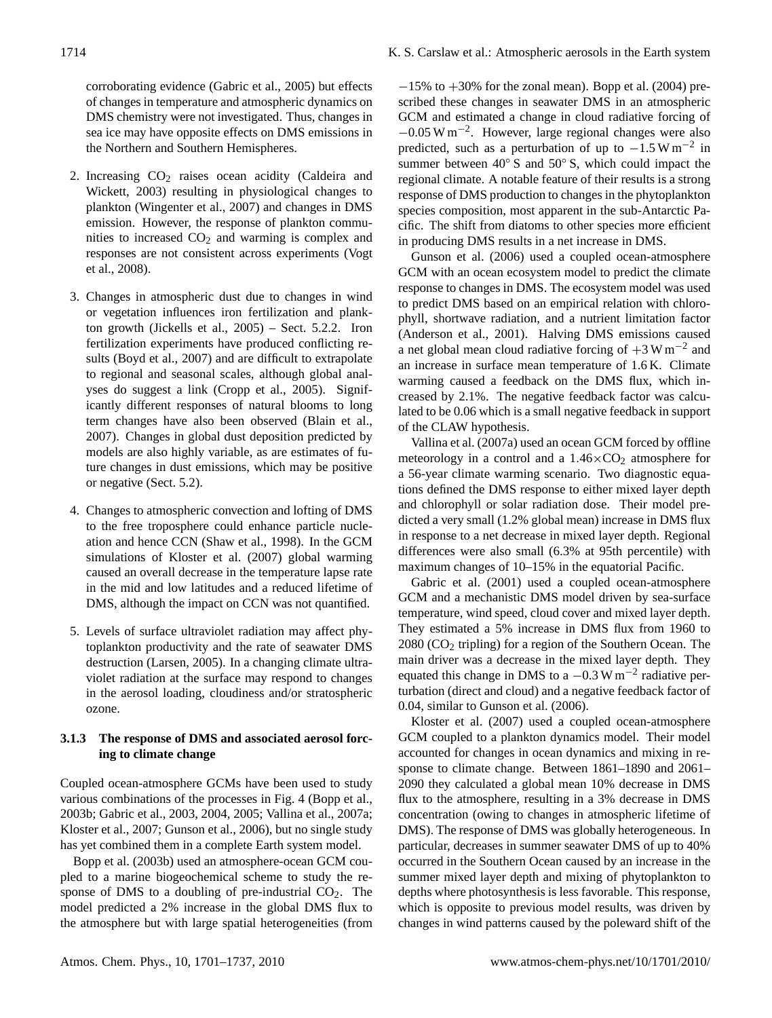corroborating evidence (Gabric et al., 2005) but effects of changes in temperature and atmospheric dynamics on DMS chemistry were not investigated. Thus, changes in sea ice may have opposite effects on DMS emissions in the Northern and Southern Hemispheres.

- 2. Increasing  $CO<sub>2</sub>$  raises ocean acidity (Caldeira and Wickett, 2003) resulting in physiological changes to plankton (Wingenter et al., 2007) and changes in DMS emission. However, the response of plankton communities to increased  $CO<sub>2</sub>$  and warming is complex and responses are not consistent across experiments (Vogt et al., 2008).
- 3. Changes in atmospheric dust due to changes in wind or vegetation influences iron fertilization and plankton growth (Jickells et al., 2005) – Sect. 5.2.2. Iron fertilization experiments have produced conflicting results (Boyd et al., 2007) and are difficult to extrapolate to regional and seasonal scales, although global analyses do suggest a link (Cropp et al., 2005). Significantly different responses of natural blooms to long term changes have also been observed (Blain et al., 2007). Changes in global dust deposition predicted by models are also highly variable, as are estimates of future changes in dust emissions, which may be positive or negative (Sect. 5.2).
- 4. Changes to atmospheric convection and lofting of DMS to the free troposphere could enhance particle nucleation and hence CCN (Shaw et al., 1998). In the GCM simulations of Kloster et al. (2007) global warming caused an overall decrease in the temperature lapse rate in the mid and low latitudes and a reduced lifetime of DMS, although the impact on CCN was not quantified.
- 5. Levels of surface ultraviolet radiation may affect phytoplankton productivity and the rate of seawater DMS destruction (Larsen, 2005). In a changing climate ultraviolet radiation at the surface may respond to changes in the aerosol loading, cloudiness and/or stratospheric ozone.

# **3.1.3 The response of DMS and associated aerosol forcing to climate change**

Coupled ocean-atmosphere GCMs have been used to study various combinations of the processes in Fig. 4 (Bopp et al., 2003b; Gabric et al., 2003, 2004, 2005; Vallina et al., 2007a; Kloster et al., 2007; Gunson et al., 2006), but no single study has yet combined them in a complete Earth system model.

Bopp et al. (2003b) used an atmosphere-ocean GCM coupled to a marine biogeochemical scheme to study the response of DMS to a doubling of pre-industrial  $CO<sub>2</sub>$ . The model predicted a 2% increase in the global DMS flux to the atmosphere but with large spatial heterogeneities (from

 $-15\%$  to  $+30\%$  for the zonal mean). Bopp et al. (2004) prescribed these changes in seawater DMS in an atmospheric GCM and estimated a change in cloud radiative forcing of −0.05 W m−<sup>2</sup> . However, large regional changes were also predicted, such as a perturbation of up to  $-1.5 \text{ W m}^{-2}$  in summer between 40° S and 50° S, which could impact the regional climate. A notable feature of their results is a strong response of DMS production to changes in the phytoplankton species composition, most apparent in the sub-Antarctic Pacific. The shift from diatoms to other species more efficient in producing DMS results in a net increase in DMS.

Gunson et al. (2006) used a coupled ocean-atmosphere GCM with an ocean ecosystem model to predict the climate response to changes in DMS. The ecosystem model was used to predict DMS based on an empirical relation with chlorophyll, shortwave radiation, and a nutrient limitation factor (Anderson et al., 2001). Halving DMS emissions caused a net global mean cloud radiative forcing of  $+3$  W m<sup>-2</sup> and an increase in surface mean temperature of 1.6 K. Climate warming caused a feedback on the DMS flux, which increased by 2.1%. The negative feedback factor was calculated to be 0.06 which is a small negative feedback in support of the CLAW hypothesis.

Vallina et al. (2007a) used an ocean GCM forced by offline meteorology in a control and a  $1.46 \times CO<sub>2</sub>$  atmosphere for a 56-year climate warming scenario. Two diagnostic equations defined the DMS response to either mixed layer depth and chlorophyll or solar radiation dose. Their model predicted a very small (1.2% global mean) increase in DMS flux in response to a net decrease in mixed layer depth. Regional differences were also small (6.3% at 95th percentile) with maximum changes of 10–15% in the equatorial Pacific.

Gabric et al. (2001) used a coupled ocean-atmosphere GCM and a mechanistic DMS model driven by sea-surface temperature, wind speed, cloud cover and mixed layer depth. They estimated a 5% increase in DMS flux from 1960 to  $2080$  (CO<sub>2</sub> tripling) for a region of the Southern Ocean. The main driver was a decrease in the mixed layer depth. They equated this change in DMS to a  $-0.3$  W m<sup>-2</sup> radiative perturbation (direct and cloud) and a negative feedback factor of 0.04, similar to Gunson et al. (2006).

Kloster et al. (2007) used a coupled ocean-atmosphere GCM coupled to a plankton dynamics model. Their model accounted for changes in ocean dynamics and mixing in response to climate change. Between 1861–1890 and 2061– 2090 they calculated a global mean 10% decrease in DMS flux to the atmosphere, resulting in a 3% decrease in DMS concentration (owing to changes in atmospheric lifetime of DMS). The response of DMS was globally heterogeneous. In particular, decreases in summer seawater DMS of up to 40% occurred in the Southern Ocean caused by an increase in the summer mixed layer depth and mixing of phytoplankton to depths where photosynthesis is less favorable. This response, which is opposite to previous model results, was driven by changes in wind patterns caused by the poleward shift of the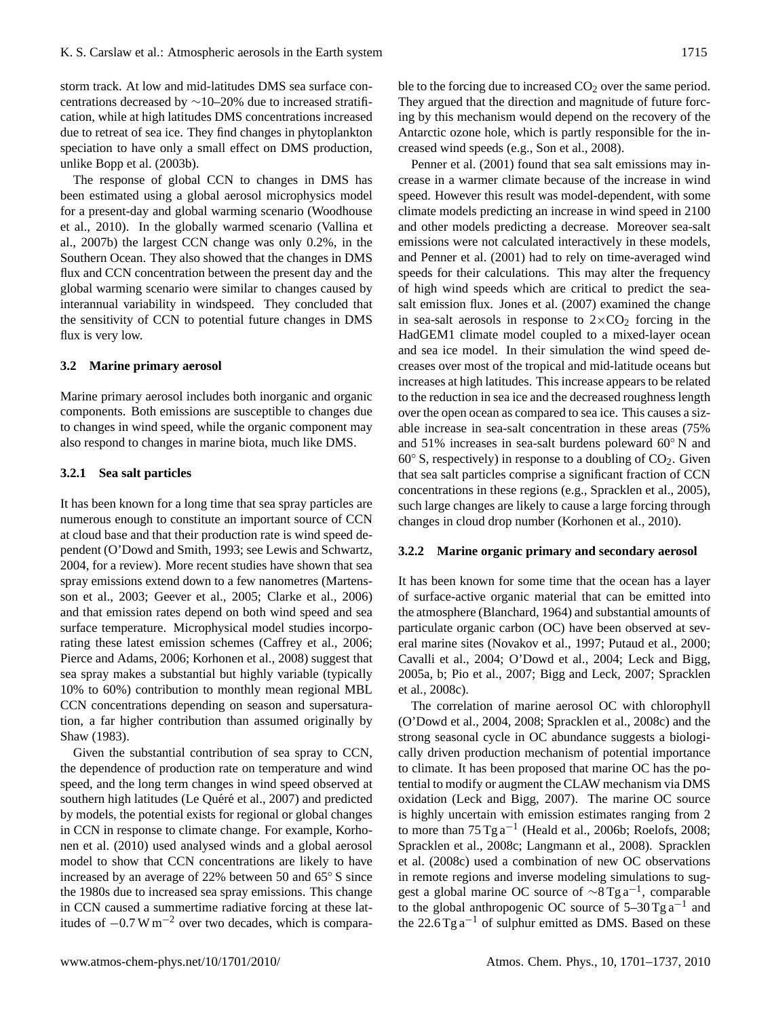storm track. At low and mid-latitudes DMS sea surface concentrations decreased by ∼10–20% due to increased stratification, while at high latitudes DMS concentrations increased due to retreat of sea ice. They find changes in phytoplankton speciation to have only a small effect on DMS production, unlike Bopp et al. (2003b).

The response of global CCN to changes in DMS has been estimated using a global aerosol microphysics model for a present-day and global warming scenario (Woodhouse et al., 2010). In the globally warmed scenario (Vallina et al., 2007b) the largest CCN change was only 0.2%, in the Southern Ocean. They also showed that the changes in DMS flux and CCN concentration between the present day and the global warming scenario were similar to changes caused by interannual variability in windspeed. They concluded that the sensitivity of CCN to potential future changes in DMS flux is very low.

# **3.2 Marine primary aerosol**

Marine primary aerosol includes both inorganic and organic components. Both emissions are susceptible to changes due to changes in wind speed, while the organic component may also respond to changes in marine biota, much like DMS.

#### **3.2.1 Sea salt particles**

It has been known for a long time that sea spray particles are numerous enough to constitute an important source of CCN at cloud base and that their production rate is wind speed dependent (O'Dowd and Smith, 1993; see Lewis and Schwartz, 2004, for a review). More recent studies have shown that sea spray emissions extend down to a few nanometres (Martensson et al., 2003; Geever et al., 2005; Clarke et al., 2006) and that emission rates depend on both wind speed and sea surface temperature. Microphysical model studies incorporating these latest emission schemes (Caffrey et al., 2006; Pierce and Adams, 2006; Korhonen et al., 2008) suggest that sea spray makes a substantial but highly variable (typically 10% to 60%) contribution to monthly mean regional MBL CCN concentrations depending on season and supersaturation, a far higher contribution than assumed originally by Shaw (1983).

Given the substantial contribution of sea spray to CCN, the dependence of production rate on temperature and wind speed, and the long term changes in wind speed observed at southern high latitudes (Le Quéré et al., 2007) and predicted by models, the potential exists for regional or global changes in CCN in response to climate change. For example, Korhonen et al. (2010) used analysed winds and a global aerosol model to show that CCN concentrations are likely to have increased by an average of 22% between 50 and 65◦ S since the 1980s due to increased sea spray emissions. This change in CCN caused a summertime radiative forcing at these latitudes of  $-0.7 W m<sup>-2</sup>$  over two decades, which is comparable to the forcing due to increased  $CO<sub>2</sub>$  over the same period. They argued that the direction and magnitude of future forcing by this mechanism would depend on the recovery of the Antarctic ozone hole, which is partly responsible for the increased wind speeds (e.g., Son et al., 2008).

Penner et al. (2001) found that sea salt emissions may increase in a warmer climate because of the increase in wind speed. However this result was model-dependent, with some climate models predicting an increase in wind speed in 2100 and other models predicting a decrease. Moreover sea-salt emissions were not calculated interactively in these models, and Penner et al. (2001) had to rely on time-averaged wind speeds for their calculations. This may alter the frequency of high wind speeds which are critical to predict the seasalt emission flux. Jones et al. (2007) examined the change in sea-salt aerosols in response to  $2 \times CO_2$  forcing in the HadGEM1 climate model coupled to a mixed-layer ocean and sea ice model. In their simulation the wind speed decreases over most of the tropical and mid-latitude oceans but increases at high latitudes. This increase appears to be related to the reduction in sea ice and the decreased roughness length over the open ocean as compared to sea ice. This causes a sizable increase in sea-salt concentration in these areas (75% and 51% increases in sea-salt burdens poleward 60◦ N and  $60°$  S, respectively) in response to a doubling of  $CO<sub>2</sub>$ . Given that sea salt particles comprise a significant fraction of CCN concentrations in these regions (e.g., Spracklen et al., 2005), such large changes are likely to cause a large forcing through changes in cloud drop number (Korhonen et al., 2010).

#### **3.2.2 Marine organic primary and secondary aerosol**

It has been known for some time that the ocean has a layer of surface-active organic material that can be emitted into the atmosphere (Blanchard, 1964) and substantial amounts of particulate organic carbon (OC) have been observed at several marine sites (Novakov et al., 1997; Putaud et al., 2000; Cavalli et al., 2004; O'Dowd et al., 2004; Leck and Bigg, 2005a, b; Pio et al., 2007; Bigg and Leck, 2007; Spracklen et al., 2008c).

The correlation of marine aerosol OC with chlorophyll (O'Dowd et al., 2004, 2008; Spracklen et al., 2008c) and the strong seasonal cycle in OC abundance suggests a biologically driven production mechanism of potential importance to climate. It has been proposed that marine OC has the potential to modify or augment the CLAW mechanism via DMS oxidation (Leck and Bigg, 2007). The marine OC source is highly uncertain with emission estimates ranging from 2 to more than  $75$  Tg  $a^{-1}$  (Heald et al., 2006b; Roelofs, 2008; Spracklen et al., 2008c; Langmann et al., 2008). Spracklen et al. (2008c) used a combination of new OC observations in remote regions and inverse modeling simulations to suggest a global marine OC source of ∼8 Tg a−<sup>1</sup> , comparable to the global anthropogenic OC source of  $5-30$  Tg a<sup>-1</sup> and the 22.6 Tg  $a^{-1}$  of sulphur emitted as DMS. Based on these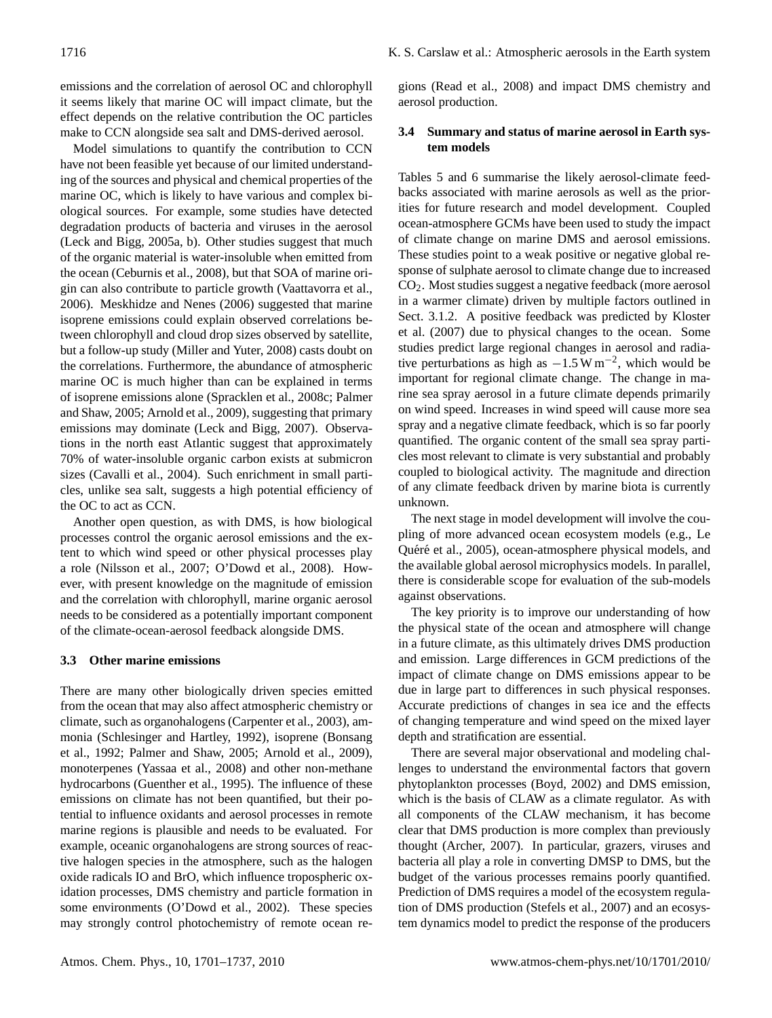emissions and the correlation of aerosol OC and chlorophyll it seems likely that marine OC will impact climate, but the effect depends on the relative contribution the OC particles make to CCN alongside sea salt and DMS-derived aerosol.

Model simulations to quantify the contribution to CCN have not been feasible yet because of our limited understanding of the sources and physical and chemical properties of the marine OC, which is likely to have various and complex biological sources. For example, some studies have detected degradation products of bacteria and viruses in the aerosol (Leck and Bigg, 2005a, b). Other studies suggest that much of the organic material is water-insoluble when emitted from the ocean (Ceburnis et al., 2008), but that SOA of marine origin can also contribute to particle growth (Vaattavorra et al., 2006). Meskhidze and Nenes (2006) suggested that marine isoprene emissions could explain observed correlations between chlorophyll and cloud drop sizes observed by satellite, but a follow-up study (Miller and Yuter, 2008) casts doubt on the correlations. Furthermore, the abundance of atmospheric marine OC is much higher than can be explained in terms of isoprene emissions alone (Spracklen et al., 2008c; Palmer and Shaw, 2005; Arnold et al., 2009), suggesting that primary emissions may dominate (Leck and Bigg, 2007). Observations in the north east Atlantic suggest that approximately 70% of water-insoluble organic carbon exists at submicron sizes (Cavalli et al., 2004). Such enrichment in small particles, unlike sea salt, suggests a high potential efficiency of the OC to act as CCN.

Another open question, as with DMS, is how biological processes control the organic aerosol emissions and the extent to which wind speed or other physical processes play a role (Nilsson et al., 2007; O'Dowd et al., 2008). However, with present knowledge on the magnitude of emission and the correlation with chlorophyll, marine organic aerosol needs to be considered as a potentially important component of the climate-ocean-aerosol feedback alongside DMS.

## **3.3 Other marine emissions**

There are many other biologically driven species emitted from the ocean that may also affect atmospheric chemistry or climate, such as organohalogens (Carpenter et al., 2003), ammonia (Schlesinger and Hartley, 1992), isoprene (Bonsang et al., 1992; Palmer and Shaw, 2005; Arnold et al., 2009), monoterpenes (Yassaa et al., 2008) and other non-methane hydrocarbons (Guenther et al., 1995). The influence of these emissions on climate has not been quantified, but their potential to influence oxidants and aerosol processes in remote marine regions is plausible and needs to be evaluated. For example, oceanic organohalogens are strong sources of reactive halogen species in the atmosphere, such as the halogen oxide radicals IO and BrO, which influence tropospheric oxidation processes, DMS chemistry and particle formation in some environments (O'Dowd et al., 2002). These species may strongly control photochemistry of remote ocean regions (Read et al., 2008) and impact DMS chemistry and aerosol production.

# **3.4 Summary and status of marine aerosol in Earth system models**

Tables 5 and 6 summarise the likely aerosol-climate feedbacks associated with marine aerosols as well as the priorities for future research and model development. Coupled ocean-atmosphere GCMs have been used to study the impact of climate change on marine DMS and aerosol emissions. These studies point to a weak positive or negative global response of sulphate aerosol to climate change due to increased CO2. Most studies suggest a negative feedback (more aerosol in a warmer climate) driven by multiple factors outlined in Sect. 3.1.2. A positive feedback was predicted by Kloster et al. (2007) due to physical changes to the ocean. Some studies predict large regional changes in aerosol and radiative perturbations as high as  $-1.5 \text{ W m}^{-2}$ , which would be important for regional climate change. The change in marine sea spray aerosol in a future climate depends primarily on wind speed. Increases in wind speed will cause more sea spray and a negative climate feedback, which is so far poorly quantified. The organic content of the small sea spray particles most relevant to climate is very substantial and probably coupled to biological activity. The magnitude and direction of any climate feedback driven by marine biota is currently unknown.

The next stage in model development will involve the coupling of more advanced ocean ecosystem models (e.g., Le Quéré et al., 2005), ocean-atmosphere physical models, and the available global aerosol microphysics models. In parallel, there is considerable scope for evaluation of the sub-models against observations.

The key priority is to improve our understanding of how the physical state of the ocean and atmosphere will change in a future climate, as this ultimately drives DMS production and emission. Large differences in GCM predictions of the impact of climate change on DMS emissions appear to be due in large part to differences in such physical responses. Accurate predictions of changes in sea ice and the effects of changing temperature and wind speed on the mixed layer depth and stratification are essential.

There are several major observational and modeling challenges to understand the environmental factors that govern phytoplankton processes (Boyd, 2002) and DMS emission, which is the basis of CLAW as a climate regulator. As with all components of the CLAW mechanism, it has become clear that DMS production is more complex than previously thought (Archer, 2007). In particular, grazers, viruses and bacteria all play a role in converting DMSP to DMS, but the budget of the various processes remains poorly quantified. Prediction of DMS requires a model of the ecosystem regulation of DMS production (Stefels et al., 2007) and an ecosystem dynamics model to predict the response of the producers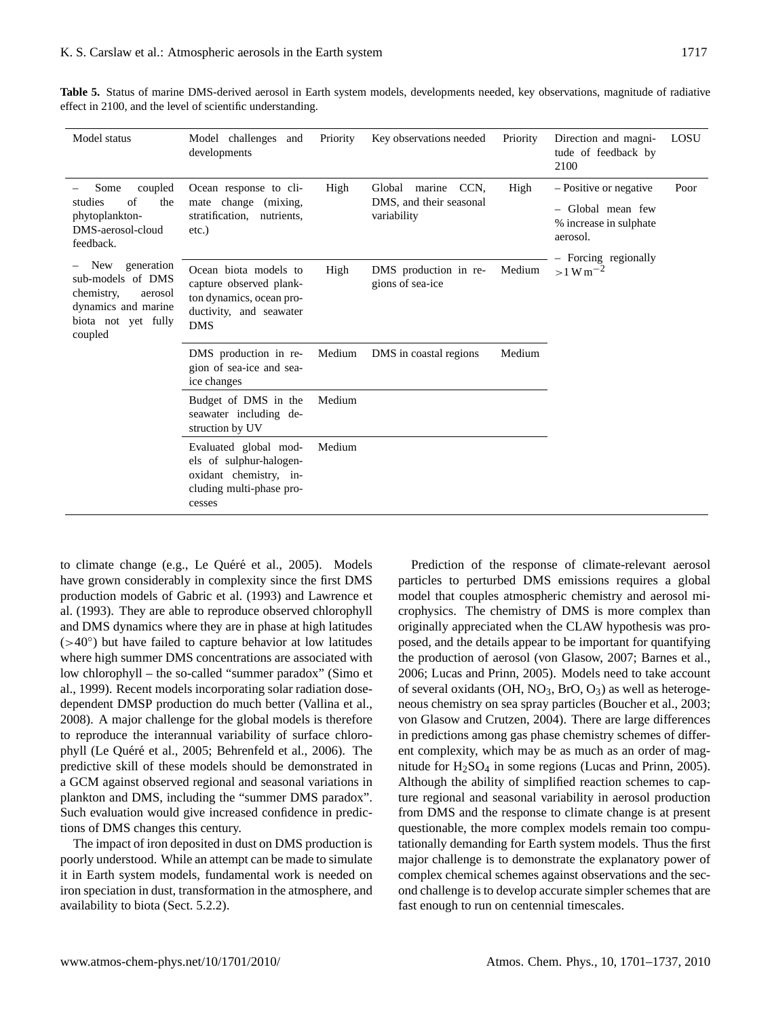| Model status                                                                                                             | Model challenges and<br>developments                                                                                  | Priority | Key observations needed                                            | Priority | Direction and magni-<br>tude of feedback by<br>2100                                                                      | <b>LOSU</b> |
|--------------------------------------------------------------------------------------------------------------------------|-----------------------------------------------------------------------------------------------------------------------|----------|--------------------------------------------------------------------|----------|--------------------------------------------------------------------------------------------------------------------------|-------------|
| coupled<br>Some<br>of<br>the<br>studies<br>phytoplankton-<br>DMS-aerosol-cloud<br>feedback.                              | Ocean response to cli-<br>change<br>(mixing,<br>mate<br>stratification,<br>nutrients,<br>$etc.$ )                     | High     | Global<br>CCN.<br>marine<br>DMS, and their seasonal<br>variability | High     | - Positive or negative<br>- Global mean few<br>% increase in sulphate<br>aerosol.<br>Forcing regionally<br>$>1 W m^{-2}$ | Poor        |
| generation<br>New<br>sub-models of DMS<br>chemistry,<br>aerosol<br>dynamics and marine<br>biota not yet fully<br>coupled | Ocean biota models to<br>capture observed plank-<br>ton dynamics, ocean pro-<br>ductivity, and seawater<br><b>DMS</b> | High     | DMS production in re-<br>gions of sea-ice                          | Medium   |                                                                                                                          |             |
|                                                                                                                          | DMS production in re-<br>gion of sea-ice and sea-<br>ice changes                                                      | Medium   | DMS in coastal regions                                             | Medium   |                                                                                                                          |             |
|                                                                                                                          | Budget of DMS in the<br>seawater including de-<br>struction by UV                                                     | Medium   |                                                                    |          |                                                                                                                          |             |
|                                                                                                                          | Evaluated global mod-<br>els of sulphur-halogen-<br>oxidant chemistry, in-<br>cluding multi-phase pro-<br>cesses      | Medium   |                                                                    |          |                                                                                                                          |             |

**Table 5.** Status of marine DMS-derived aerosol in Earth system models, developments needed, key observations, magnitude of radiative effect in 2100, and the level of scientific understanding.

to climate change (e.g., Le Quéré et al., 2005). Models have grown considerably in complexity since the first DMS production models of Gabric et al. (1993) and Lawrence et al. (1993). They are able to reproduce observed chlorophyll and DMS dynamics where they are in phase at high latitudes (>40°) but have failed to capture behavior at low latitudes where high summer DMS concentrations are associated with low chlorophyll – the so-called "summer paradox" (Simo et al., 1999). Recent models incorporating solar radiation dosedependent DMSP production do much better (Vallina et al., 2008). A major challenge for the global models is therefore to reproduce the interannual variability of surface chlorophyll (Le Quéré et al., 2005; Behrenfeld et al., 2006). The predictive skill of these models should be demonstrated in a GCM against observed regional and seasonal variations in plankton and DMS, including the "summer DMS paradox". Such evaluation would give increased confidence in predictions of DMS changes this century.

The impact of iron deposited in dust on DMS production is poorly understood. While an attempt can be made to simulate it in Earth system models, fundamental work is needed on iron speciation in dust, transformation in the atmosphere, and availability to biota (Sect. 5.2.2).

Prediction of the response of climate-relevant aerosol particles to perturbed DMS emissions requires a global model that couples atmospheric chemistry and aerosol microphysics. The chemistry of DMS is more complex than originally appreciated when the CLAW hypothesis was proposed, and the details appear to be important for quantifying the production of aerosol (von Glasow, 2007; Barnes et al., 2006; Lucas and Prinn, 2005). Models need to take account of several oxidants (OH,  $NO<sub>3</sub>$ , BrO,  $O<sub>3</sub>$ ) as well as heterogeneous chemistry on sea spray particles (Boucher et al., 2003; von Glasow and Crutzen, 2004). There are large differences in predictions among gas phase chemistry schemes of different complexity, which may be as much as an order of magnitude for  $H_2SO_4$  in some regions (Lucas and Prinn, 2005). Although the ability of simplified reaction schemes to capture regional and seasonal variability in aerosol production from DMS and the response to climate change is at present questionable, the more complex models remain too computationally demanding for Earth system models. Thus the first major challenge is to demonstrate the explanatory power of complex chemical schemes against observations and the second challenge is to develop accurate simpler schemes that are fast enough to run on centennial timescales.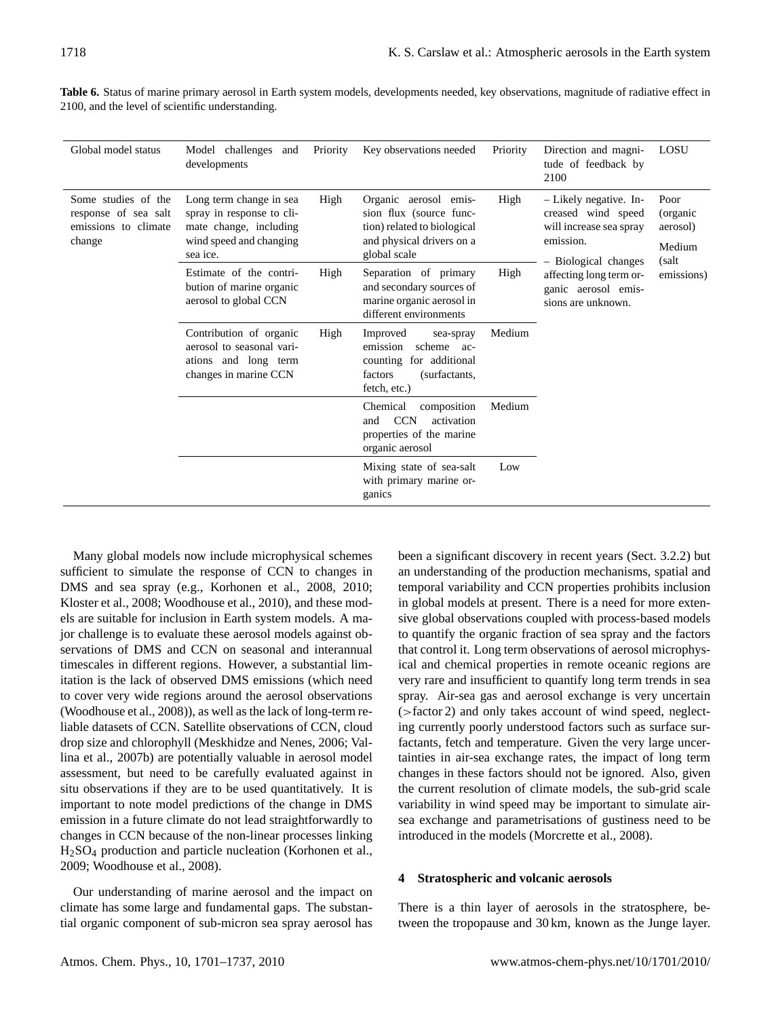| Global model status                                                           | Model challenges and<br>developments                                                                                  | Priority | Key observations needed                                                                                                      | Priority | Direction and magni-<br>tude of feedback by<br>2100                                                                                                                                | <b>LOSU</b>                                      |
|-------------------------------------------------------------------------------|-----------------------------------------------------------------------------------------------------------------------|----------|------------------------------------------------------------------------------------------------------------------------------|----------|------------------------------------------------------------------------------------------------------------------------------------------------------------------------------------|--------------------------------------------------|
| Some studies of the<br>response of sea salt<br>emissions to climate<br>change | Long term change in sea<br>spray in response to cli-<br>mate change, including<br>wind speed and changing<br>sea ice. | High     | Organic aerosol emis-<br>sion flux (source func-<br>tion) related to biological<br>and physical drivers on a<br>global scale | High     | - Likely negative. In-<br>creased wind speed<br>will increase sea spray<br>emission.<br>Biological changes<br>affecting long term or-<br>ganic aerosol emis-<br>sions are unknown. | Poor<br>(organic<br>aerosol)<br>Medium<br>(salt) |
|                                                                               | Estimate of the contri-<br>bution of marine organic<br>aerosol to global CCN                                          | High     | Separation of primary<br>and secondary sources of<br>marine organic aerosol in<br>different environments                     | High     |                                                                                                                                                                                    | emissions)                                       |
|                                                                               | Contribution of organic<br>aerosol to seasonal vari-<br>ations and long term<br>changes in marine CCN                 | High     | Improved<br>sea-spray<br>emission<br>scheme<br>$ac-$<br>counting for additional<br>factors<br>(surfactants,<br>fetch, etc.)  | Medium   |                                                                                                                                                                                    |                                                  |
|                                                                               |                                                                                                                       |          | Chemical<br>composition<br><b>CCN</b><br>activation<br>and<br>properties of the marine<br>organic aerosol                    | Medium   |                                                                                                                                                                                    |                                                  |
|                                                                               |                                                                                                                       |          | Mixing state of sea-salt<br>with primary marine or-<br>ganics                                                                | Low      |                                                                                                                                                                                    |                                                  |

**Table 6.** Status of marine primary aerosol in Earth system models, developments needed, key observations, magnitude of radiative effect in 2100, and the level of scientific understanding.

Many global models now include microphysical schemes sufficient to simulate the response of CCN to changes in DMS and sea spray (e.g., Korhonen et al., 2008, 2010; Kloster et al., 2008; Woodhouse et al., 2010), and these models are suitable for inclusion in Earth system models. A major challenge is to evaluate these aerosol models against observations of DMS and CCN on seasonal and interannual timescales in different regions. However, a substantial limitation is the lack of observed DMS emissions (which need to cover very wide regions around the aerosol observations (Woodhouse et al., 2008)), as well as the lack of long-term reliable datasets of CCN. Satellite observations of CCN, cloud drop size and chlorophyll (Meskhidze and Nenes, 2006; Vallina et al., 2007b) are potentially valuable in aerosol model assessment, but need to be carefully evaluated against in situ observations if they are to be used quantitatively. It is important to note model predictions of the change in DMS emission in a future climate do not lead straightforwardly to changes in CCN because of the non-linear processes linking H2SO<sup>4</sup> production and particle nucleation (Korhonen et al., 2009; Woodhouse et al., 2008).

Our understanding of marine aerosol and the impact on climate has some large and fundamental gaps. The substantial organic component of sub-micron sea spray aerosol has been a significant discovery in recent years (Sect. 3.2.2) but an understanding of the production mechanisms, spatial and temporal variability and CCN properties prohibits inclusion in global models at present. There is a need for more extensive global observations coupled with process-based models to quantify the organic fraction of sea spray and the factors that control it. Long term observations of aerosol microphysical and chemical properties in remote oceanic regions are very rare and insufficient to quantify long term trends in sea spray. Air-sea gas and aerosol exchange is very uncertain (>factor 2) and only takes account of wind speed, neglecting currently poorly understood factors such as surface surfactants, fetch and temperature. Given the very large uncertainties in air-sea exchange rates, the impact of long term changes in these factors should not be ignored. Also, given the current resolution of climate models, the sub-grid scale variability in wind speed may be important to simulate airsea exchange and parametrisations of gustiness need to be introduced in the models (Morcrette et al., 2008).

# **4 Stratospheric and volcanic aerosols**

There is a thin layer of aerosols in the stratosphere, between the tropopause and 30 km, known as the Junge layer.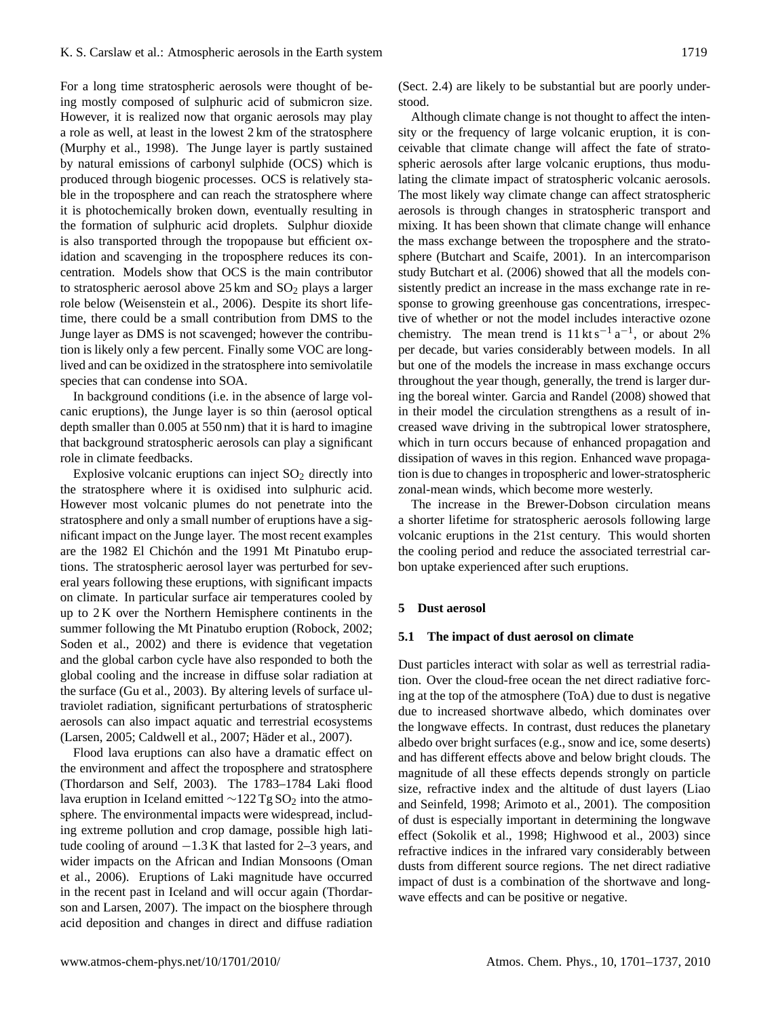For a long time stratospheric aerosols were thought of being mostly composed of sulphuric acid of submicron size. However, it is realized now that organic aerosols may play a role as well, at least in the lowest 2 km of the stratosphere (Murphy et al., 1998). The Junge layer is partly sustained by natural emissions of carbonyl sulphide (OCS) which is produced through biogenic processes. OCS is relatively stable in the troposphere and can reach the stratosphere where it is photochemically broken down, eventually resulting in the formation of sulphuric acid droplets. Sulphur dioxide is also transported through the tropopause but efficient oxidation and scavenging in the troposphere reduces its concentration. Models show that OCS is the main contributor to stratospheric aerosol above  $25 \text{ km}$  and  $SO_2$  plays a larger role below (Weisenstein et al., 2006). Despite its short lifetime, there could be a small contribution from DMS to the Junge layer as DMS is not scavenged; however the contribution is likely only a few percent. Finally some VOC are longlived and can be oxidized in the stratosphere into semivolatile species that can condense into SOA.

In background conditions (i.e. in the absence of large volcanic eruptions), the Junge layer is so thin (aerosol optical depth smaller than 0.005 at 550 nm) that it is hard to imagine that background stratospheric aerosols can play a significant role in climate feedbacks.

Explosive volcanic eruptions can inject  $SO<sub>2</sub>$  directly into the stratosphere where it is oxidised into sulphuric acid. However most volcanic plumes do not penetrate into the stratosphere and only a small number of eruptions have a significant impact on the Junge layer. The most recent examples are the 1982 El Chichón and the 1991 Mt Pinatubo eruptions. The stratospheric aerosol layer was perturbed for several years following these eruptions, with significant impacts on climate. In particular surface air temperatures cooled by up to 2 K over the Northern Hemisphere continents in the summer following the Mt Pinatubo eruption (Robock, 2002; Soden et al., 2002) and there is evidence that vegetation and the global carbon cycle have also responded to both the global cooling and the increase in diffuse solar radiation at the surface (Gu et al., 2003). By altering levels of surface ultraviolet radiation, significant perturbations of stratospheric aerosols can also impact aquatic and terrestrial ecosystems (Larsen, 2005; Caldwell et al., 2007; Häder et al., 2007).

Flood lava eruptions can also have a dramatic effect on the environment and affect the troposphere and stratosphere (Thordarson and Self, 2003). The 1783–1784 Laki flood lava eruption in Iceland emitted  $\sim$ 122 Tg SO<sub>2</sub> into the atmosphere. The environmental impacts were widespread, including extreme pollution and crop damage, possible high latitude cooling of around  $-1.3$  K that lasted for 2–3 years, and wider impacts on the African and Indian Monsoons (Oman et al., 2006). Eruptions of Laki magnitude have occurred in the recent past in Iceland and will occur again (Thordarson and Larsen, 2007). The impact on the biosphere through acid deposition and changes in direct and diffuse radiation (Sect. 2.4) are likely to be substantial but are poorly understood.

Although climate change is not thought to affect the intensity or the frequency of large volcanic eruption, it is conceivable that climate change will affect the fate of stratospheric aerosols after large volcanic eruptions, thus modulating the climate impact of stratospheric volcanic aerosols. The most likely way climate change can affect stratospheric aerosols is through changes in stratospheric transport and mixing. It has been shown that climate change will enhance the mass exchange between the troposphere and the stratosphere (Butchart and Scaife, 2001). In an intercomparison study Butchart et al. (2006) showed that all the models consistently predict an increase in the mass exchange rate in response to growing greenhouse gas concentrations, irrespective of whether or not the model includes interactive ozone chemistry. The mean trend is  $11 \text{ kt s}^{-1} \text{ a}^{-1}$ , or about 2% per decade, but varies considerably between models. In all but one of the models the increase in mass exchange occurs throughout the year though, generally, the trend is larger during the boreal winter. Garcia and Randel (2008) showed that in their model the circulation strengthens as a result of increased wave driving in the subtropical lower stratosphere, which in turn occurs because of enhanced propagation and dissipation of waves in this region. Enhanced wave propagation is due to changes in tropospheric and lower-stratospheric zonal-mean winds, which become more westerly.

The increase in the Brewer-Dobson circulation means a shorter lifetime for stratospheric aerosols following large volcanic eruptions in the 21st century. This would shorten the cooling period and reduce the associated terrestrial carbon uptake experienced after such eruptions.

## **5 Dust aerosol**

## **5.1 The impact of dust aerosol on climate**

Dust particles interact with solar as well as terrestrial radiation. Over the cloud-free ocean the net direct radiative forcing at the top of the atmosphere (ToA) due to dust is negative due to increased shortwave albedo, which dominates over the longwave effects. In contrast, dust reduces the planetary albedo over bright surfaces (e.g., snow and ice, some deserts) and has different effects above and below bright clouds. The magnitude of all these effects depends strongly on particle size, refractive index and the altitude of dust layers (Liao and Seinfeld, 1998; Arimoto et al., 2001). The composition of dust is especially important in determining the longwave effect (Sokolik et al., 1998; Highwood et al., 2003) since refractive indices in the infrared vary considerably between dusts from different source regions. The net direct radiative impact of dust is a combination of the shortwave and longwave effects and can be positive or negative.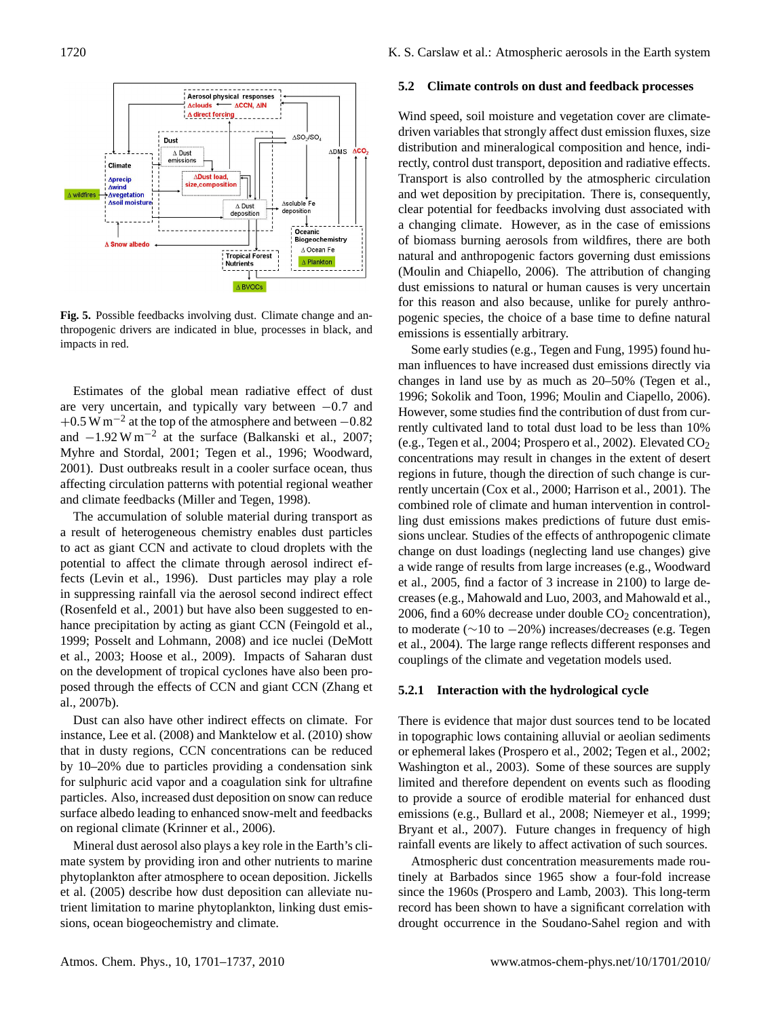

**Fig. 5.** Possible feedbacks involving dust. Climate change and anthropogenic drivers are indicated in blue, processes in black, and impacts in red.

Estimates of the global mean radiative effect of dust are very uncertain, and typically vary between −0.7 and  $+0.5 \text{ W m}^{-2}$  at the top of the atmosphere and between  $-0.82$ and  $-1.92 \text{ W m}^{-2}$  at the surface (Balkanski et al., 2007; Myhre and Stordal, 2001; Tegen et al., 1996; Woodward, 2001). Dust outbreaks result in a cooler surface ocean, thus affecting circulation patterns with potential regional weather and climate feedbacks (Miller and Tegen, 1998).

The accumulation of soluble material during transport as a result of heterogeneous chemistry enables dust particles to act as giant CCN and activate to cloud droplets with the potential to affect the climate through aerosol indirect effects (Levin et al., 1996). Dust particles may play a role in suppressing rainfall via the aerosol second indirect effect (Rosenfeld et al., 2001) but have also been suggested to enhance precipitation by acting as giant CCN (Feingold et al., 1999; Posselt and Lohmann, 2008) and ice nuclei (DeMott et al., 2003; Hoose et al., 2009). Impacts of Saharan dust on the development of tropical cyclones have also been proposed through the effects of CCN and giant CCN (Zhang et al., 2007b).

Dust can also have other indirect effects on climate. For instance, Lee et al. (2008) and Manktelow et al. (2010) show that in dusty regions, CCN concentrations can be reduced by 10–20% due to particles providing a condensation sink for sulphuric acid vapor and a coagulation sink for ultrafine particles. Also, increased dust deposition on snow can reduce surface albedo leading to enhanced snow-melt and feedbacks on regional climate (Krinner et al., 2006).

Mineral dust aerosol also plays a key role in the Earth's climate system by providing iron and other nutrients to marine phytoplankton after atmosphere to ocean deposition. Jickells et al. (2005) describe how dust deposition can alleviate nutrient limitation to marine phytoplankton, linking dust emissions, ocean biogeochemistry and climate.

#### **5.2 Climate controls on dust and feedback processes**

Wind speed, soil moisture and vegetation cover are climatedriven variables that strongly affect dust emission fluxes, size distribution and mineralogical composition and hence, indirectly, control dust transport, deposition and radiative effects. Transport is also controlled by the atmospheric circulation and wet deposition by precipitation. There is, consequently, clear potential for feedbacks involving dust associated with a changing climate. However, as in the case of emissions of biomass burning aerosols from wildfires, there are both natural and anthropogenic factors governing dust emissions (Moulin and Chiapello, 2006). The attribution of changing dust emissions to natural or human causes is very uncertain for this reason and also because, unlike for purely anthropogenic species, the choice of a base time to define natural emissions is essentially arbitrary.

Some early studies (e.g., Tegen and Fung, 1995) found human influences to have increased dust emissions directly via changes in land use by as much as 20–50% (Tegen et al., 1996; Sokolik and Toon, 1996; Moulin and Ciapello, 2006). However, some studies find the contribution of dust from currently cultivated land to total dust load to be less than 10% (e.g., Tegen et al., 2004; Prospero et al., 2002). Elevated  $CO<sub>2</sub>$ concentrations may result in changes in the extent of desert regions in future, though the direction of such change is currently uncertain (Cox et al., 2000; Harrison et al., 2001). The combined role of climate and human intervention in controlling dust emissions makes predictions of future dust emissions unclear. Studies of the effects of anthropogenic climate change on dust loadings (neglecting land use changes) give a wide range of results from large increases (e.g., Woodward et al., 2005, find a factor of 3 increase in 2100) to large decreases (e.g., Mahowald and Luo, 2003, and Mahowald et al., 2006, find a 60% decrease under double  $CO<sub>2</sub>$  concentration), to moderate (∼10 to −20%) increases/decreases (e.g. Tegen et al., 2004). The large range reflects different responses and couplings of the climate and vegetation models used.

## **5.2.1 Interaction with the hydrological cycle**

There is evidence that major dust sources tend to be located in topographic lows containing alluvial or aeolian sediments or ephemeral lakes (Prospero et al., 2002; Tegen et al., 2002; Washington et al., 2003). Some of these sources are supply limited and therefore dependent on events such as flooding to provide a source of erodible material for enhanced dust emissions (e.g., Bullard et al., 2008; Niemeyer et al., 1999; Bryant et al., 2007). Future changes in frequency of high rainfall events are likely to affect activation of such sources.

Atmospheric dust concentration measurements made routinely at Barbados since 1965 show a four-fold increase since the 1960s (Prospero and Lamb, 2003). This long-term record has been shown to have a significant correlation with drought occurrence in the Soudano-Sahel region and with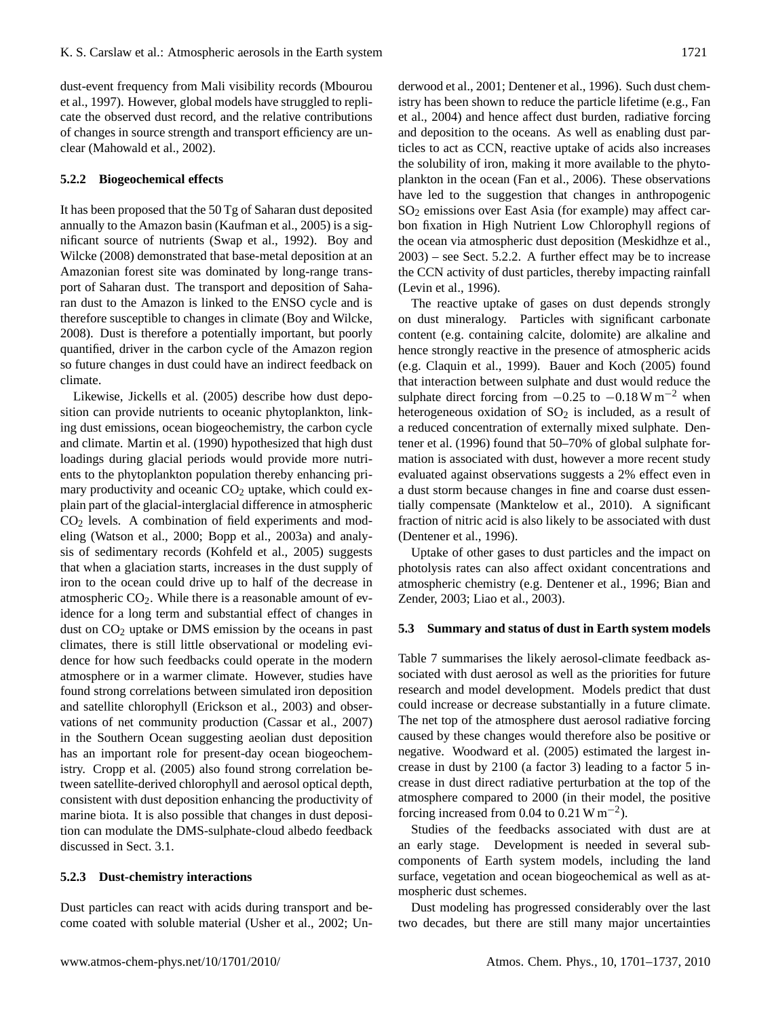dust-event frequency from Mali visibility records (Mbourou et al., 1997). However, global models have struggled to replicate the observed dust record, and the relative contributions of changes in source strength and transport efficiency are unclear (Mahowald et al., 2002).

# **5.2.2 Biogeochemical effects**

It has been proposed that the 50 Tg of Saharan dust deposited annually to the Amazon basin (Kaufman et al., 2005) is a significant source of nutrients (Swap et al., 1992). Boy and Wilcke (2008) demonstrated that base-metal deposition at an Amazonian forest site was dominated by long-range transport of Saharan dust. The transport and deposition of Saharan dust to the Amazon is linked to the ENSO cycle and is therefore susceptible to changes in climate (Boy and Wilcke, 2008). Dust is therefore a potentially important, but poorly quantified, driver in the carbon cycle of the Amazon region so future changes in dust could have an indirect feedback on climate.

Likewise, Jickells et al. (2005) describe how dust deposition can provide nutrients to oceanic phytoplankton, linking dust emissions, ocean biogeochemistry, the carbon cycle and climate. Martin et al. (1990) hypothesized that high dust loadings during glacial periods would provide more nutrients to the phytoplankton population thereby enhancing primary productivity and oceanic  $CO<sub>2</sub>$  uptake, which could explain part of the glacial-interglacial difference in atmospheric  $CO<sub>2</sub>$  levels. A combination of field experiments and modeling (Watson et al., 2000; Bopp et al., 2003a) and analysis of sedimentary records (Kohfeld et al., 2005) suggests that when a glaciation starts, increases in the dust supply of iron to the ocean could drive up to half of the decrease in atmospheric  $CO<sub>2</sub>$ . While there is a reasonable amount of evidence for a long term and substantial effect of changes in dust on  $CO<sub>2</sub>$  uptake or DMS emission by the oceans in past climates, there is still little observational or modeling evidence for how such feedbacks could operate in the modern atmosphere or in a warmer climate. However, studies have found strong correlations between simulated iron deposition and satellite chlorophyll (Erickson et al., 2003) and observations of net community production (Cassar et al., 2007) in the Southern Ocean suggesting aeolian dust deposition has an important role for present-day ocean biogeochemistry. Cropp et al. (2005) also found strong correlation between satellite-derived chlorophyll and aerosol optical depth, consistent with dust deposition enhancing the productivity of marine biota. It is also possible that changes in dust deposition can modulate the DMS-sulphate-cloud albedo feedback discussed in Sect. 3.1.

## **5.2.3 Dust-chemistry interactions**

Dust particles can react with acids during transport and become coated with soluble material (Usher et al., 2002; Un-

derwood et al., 2001; Dentener et al., 1996). Such dust chemistry has been shown to reduce the particle lifetime (e.g., Fan et al., 2004) and hence affect dust burden, radiative forcing and deposition to the oceans. As well as enabling dust particles to act as CCN, reactive uptake of acids also increases the solubility of iron, making it more available to the phytoplankton in the ocean (Fan et al., 2006). These observations have led to the suggestion that changes in anthropogenic SO<sup>2</sup> emissions over East Asia (for example) may affect carbon fixation in High Nutrient Low Chlorophyll regions of the ocean via atmospheric dust deposition (Meskidhze et al., 2003) – see Sect. 5.2.2. A further effect may be to increase the CCN activity of dust particles, thereby impacting rainfall (Levin et al., 1996).

The reactive uptake of gases on dust depends strongly on dust mineralogy. Particles with significant carbonate content (e.g. containing calcite, dolomite) are alkaline and hence strongly reactive in the presence of atmospheric acids (e.g. Claquin et al., 1999). Bauer and Koch (2005) found that interaction between sulphate and dust would reduce the sulphate direct forcing from  $-0.25$  to  $-0.18$  W m<sup>-2</sup> when heterogeneous oxidation of  $SO<sub>2</sub>$  is included, as a result of a reduced concentration of externally mixed sulphate. Dentener et al. (1996) found that 50–70% of global sulphate formation is associated with dust, however a more recent study evaluated against observations suggests a 2% effect even in a dust storm because changes in fine and coarse dust essentially compensate (Manktelow et al., 2010). A significant fraction of nitric acid is also likely to be associated with dust (Dentener et al., 1996).

Uptake of other gases to dust particles and the impact on photolysis rates can also affect oxidant concentrations and atmospheric chemistry (e.g. Dentener et al., 1996; Bian and Zender, 2003; Liao et al., 2003).

#### **5.3 Summary and status of dust in Earth system models**

Table 7 summarises the likely aerosol-climate feedback associated with dust aerosol as well as the priorities for future research and model development. Models predict that dust could increase or decrease substantially in a future climate. The net top of the atmosphere dust aerosol radiative forcing caused by these changes would therefore also be positive or negative. Woodward et al. (2005) estimated the largest increase in dust by 2100 (a factor 3) leading to a factor 5 increase in dust direct radiative perturbation at the top of the atmosphere compared to 2000 (in their model, the positive forcing increased from 0.04 to 0.21 W  $\text{m}^{-2}$ ).

Studies of the feedbacks associated with dust are at an early stage. Development is needed in several subcomponents of Earth system models, including the land surface, vegetation and ocean biogeochemical as well as atmospheric dust schemes.

Dust modeling has progressed considerably over the last two decades, but there are still many major uncertainties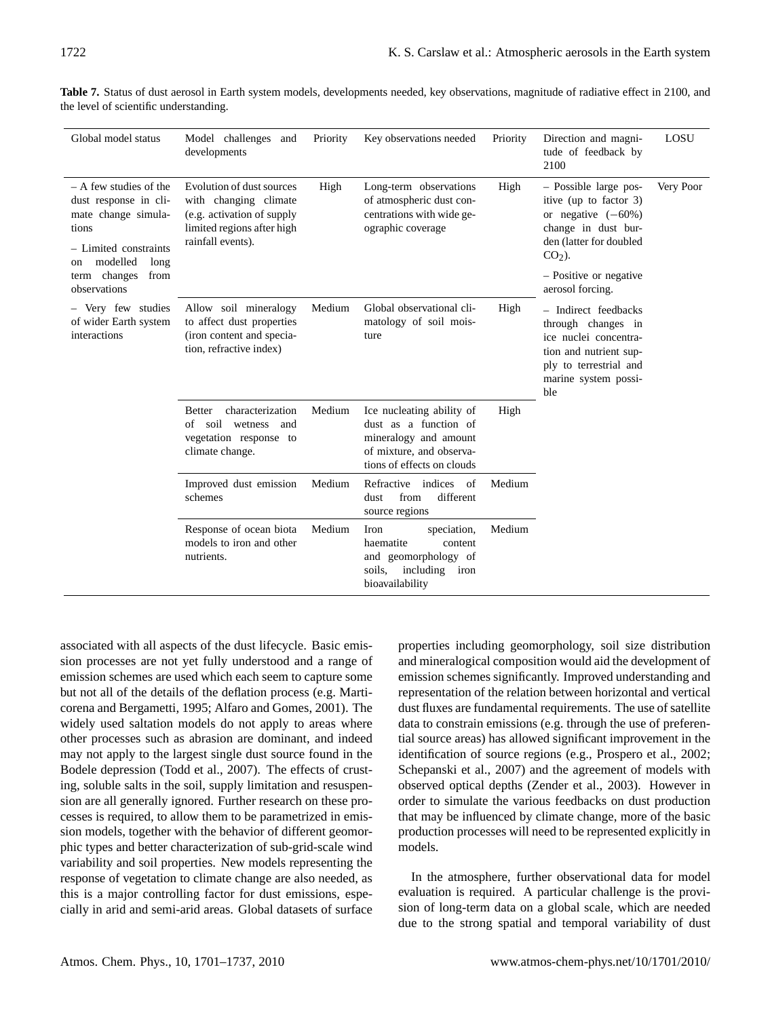| ΣZ |  |  |  |
|----|--|--|--|
|    |  |  |  |
|    |  |  |  |

| Global model status                                                                                                                                                                     | Model challenges<br>and<br>developments                                                                                             | Priority | Key observations needed                                                                                                               | Priority | Direction and magni-<br>tude of feedback by<br>2100                                                                                                                                  | LOSU      |
|-----------------------------------------------------------------------------------------------------------------------------------------------------------------------------------------|-------------------------------------------------------------------------------------------------------------------------------------|----------|---------------------------------------------------------------------------------------------------------------------------------------|----------|--------------------------------------------------------------------------------------------------------------------------------------------------------------------------------------|-----------|
| $-$ A few studies of the<br>dust response in cli-<br>mate change simula-<br>tions<br>- Limited constraints<br>modelled<br>long<br><sub>on</sub><br>term changes<br>from<br>observations | Evolution of dust sources<br>with changing climate<br>(e.g. activation of supply<br>limited regions after high<br>rainfall events). | High     | Long-term observations<br>of atmospheric dust con-<br>centrations with wide ge-<br>ographic coverage                                  | High     | - Possible large pos-<br>itive (up to factor 3)<br>or negative $(-60\%)$<br>change in dust bur-<br>den (latter for doubled<br>$CO2$ ).<br>- Positive or negative<br>aerosol forcing. | Very Poor |
| - Very few studies<br>of wider Earth system<br>interactions                                                                                                                             | Allow soil mineralogy<br>to affect dust properties<br>(iron content and specia-<br>tion, refractive index)                          | Medium   | Global observational cli-<br>matology of soil mois-<br>ture                                                                           | High     | - Indirect feedbacks<br>through changes in<br>ice nuclei concentra-<br>tion and nutrient sup-<br>ply to terrestrial and<br>marine system possi-<br>ble                               |           |
|                                                                                                                                                                                         | <b>Better</b><br>characterization<br>of soil<br>wetness<br>and<br>vegetation response to<br>climate change.                         | Medium   | Ice nucleating ability of<br>dust as a function of<br>mineralogy and amount<br>of mixture, and observa-<br>tions of effects on clouds | High     |                                                                                                                                                                                      |           |
|                                                                                                                                                                                         | Improved dust emission<br>schemes                                                                                                   | Medium   | indices of<br>Refractive<br>different<br>from<br>dust<br>source regions                                                               | Medium   |                                                                                                                                                                                      |           |
|                                                                                                                                                                                         | Response of ocean biota<br>models to iron and other<br>nutrients.                                                                   | Medium   | speciation,<br><b>Iron</b><br>haematite<br>content<br>and geomorphology of<br>including iron<br>soils,<br>bioavailability             | Medium   |                                                                                                                                                                                      |           |

**Table 7.** Status of dust aerosol in Earth system models, developments needed, key observations, magnitude of radiative effect in 2100, and the level of scientific understanding.

associated with all aspects of the dust lifecycle. Basic emission processes are not yet fully understood and a range of emission schemes are used which each seem to capture some but not all of the details of the deflation process (e.g. Marticorena and Bergametti, 1995; Alfaro and Gomes, 2001). The widely used saltation models do not apply to areas where other processes such as abrasion are dominant, and indeed may not apply to the largest single dust source found in the Bodele depression (Todd et al., 2007). The effects of crusting, soluble salts in the soil, supply limitation and resuspension are all generally ignored. Further research on these processes is required, to allow them to be parametrized in emission models, together with the behavior of different geomorphic types and better characterization of sub-grid-scale wind variability and soil properties. New models representing the response of vegetation to climate change are also needed, as this is a major controlling factor for dust emissions, especially in arid and semi-arid areas. Global datasets of surface

properties including geomorphology, soil size distribution and mineralogical composition would aid the development of emission schemes significantly. Improved understanding and representation of the relation between horizontal and vertical dust fluxes are fundamental requirements. The use of satellite data to constrain emissions (e.g. through the use of preferential source areas) has allowed significant improvement in the identification of source regions (e.g., Prospero et al., 2002; Schepanski et al., 2007) and the agreement of models with observed optical depths (Zender et al., 2003). However in order to simulate the various feedbacks on dust production that may be influenced by climate change, more of the basic production processes will need to be represented explicitly in models.

In the atmosphere, further observational data for model evaluation is required. A particular challenge is the provision of long-term data on a global scale, which are needed due to the strong spatial and temporal variability of dust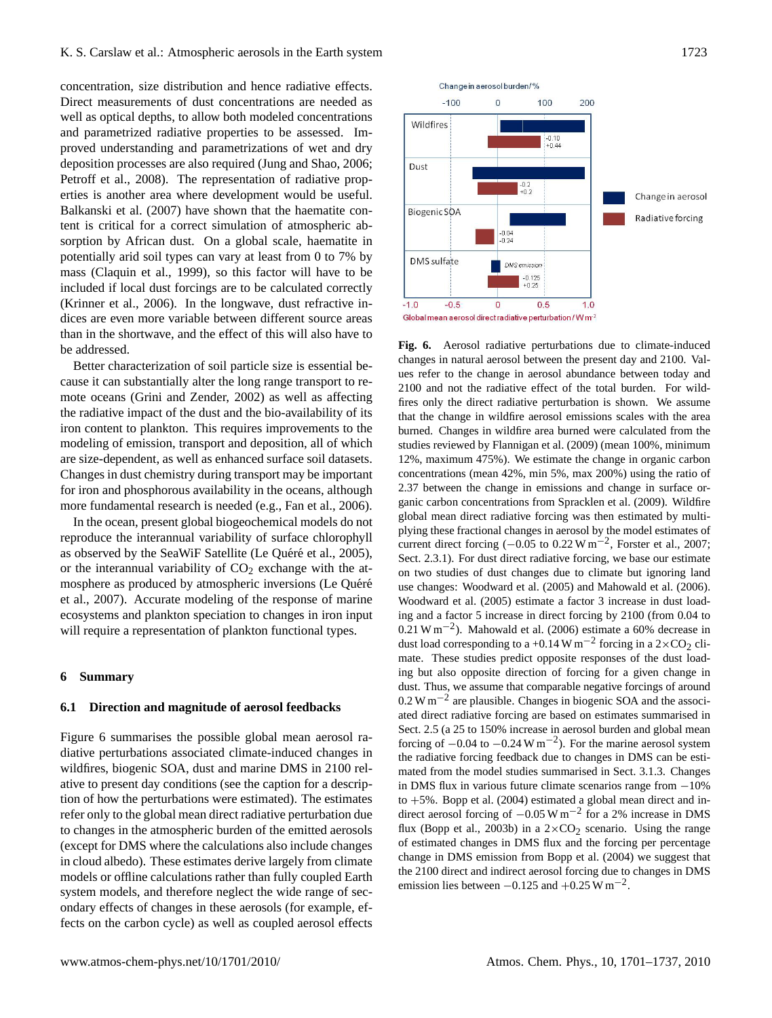concentration, size distribution and hence radiative effects. Direct measurements of dust concentrations are needed as well as optical depths, to allow both modeled concentrations and parametrized radiative properties to be assessed. Improved understanding and parametrizations of wet and dry deposition processes are also required (Jung and Shao, 2006; Petroff et al., 2008). The representation of radiative properties is another area where development would be useful. Balkanski et al. (2007) have shown that the haematite content is critical for a correct simulation of atmospheric absorption by African dust. On a global scale, haematite in potentially arid soil types can vary at least from 0 to 7% by mass (Claquin et al., 1999), so this factor will have to be included if local dust forcings are to be calculated correctly (Krinner et al., 2006). In the longwave, dust refractive indices are even more variable between different source areas than in the shortwave, and the effect of this will also have to be addressed.

Better characterization of soil particle size is essential because it can substantially alter the long range transport to remote oceans (Grini and Zender, 2002) as well as affecting the radiative impact of the dust and the bio-availability of its iron content to plankton. This requires improvements to the modeling of emission, transport and deposition, all of which are size-dependent, as well as enhanced surface soil datasets. Changes in dust chemistry during transport may be important for iron and phosphorous availability in the oceans, although more fundamental research is needed (e.g., Fan et al., 2006).

In the ocean, present global biogeochemical models do not reproduce the interannual variability of surface chlorophyll as observed by the SeaWiF Satellite (Le Quéré et al., 2005), or the interannual variability of  $CO<sub>2</sub>$  exchange with the atmosphere as produced by atmospheric inversions (Le Quéré et al., 2007). Accurate modeling of the response of marine ecosystems and plankton speciation to changes in iron input will require a representation of plankton functional types.

# **6 Summary**

#### **6.1 Direction and magnitude of aerosol feedbacks**

Figure 6 summarises the possible global mean aerosol radiative perturbations associated climate-induced changes in wildfires, biogenic SOA, dust and marine DMS in 2100 relative to present day conditions (see the caption for a description of how the perturbations were estimated). The estimates refer only to the global mean direct radiative perturbation due to changes in the atmospheric burden of the emitted aerosols (except for DMS where the calculations also include changes in cloud albedo). These estimates derive largely from climate models or offline calculations rather than fully coupled Earth system models, and therefore neglect the wide range of secondary effects of changes in these aerosols (for example, ef-<br>facts are the explanation of the country of example of the the fects on the carbon cycle) as well as coupled aerosol effects  $\frac{1}{2}$ . For the marine aerosol system the radiative forcing feedback due to changes in DMS can be changes in DMS can be changes in DMS can be changes in DMS can be changes in DMS can be changes in DMS can be changes in



Fig. 6. Attached changes in the perturbations due to climate in  $\frac{1}{2}$ ,  $\frac{1}{2}$ ,  $\frac{1}{2}$  and  $\frac{1}{2}$  and  $\frac{1}{2}$  and  $\frac{1}{2}$  and  $\frac{1}{2}$  and  $\frac{1}{2}$  and  $\frac{1}{2}$  and  $\frac{1}{2}$  and  $\frac{1}{2}$  and  $\frac{1}{2}$ needed (e.g., Fan et al., 2006). Saince caroon concentrations from Spracklen et al. (2009). When he radiative forcing was then estimated by multieffective the total burden. For which is shown buying these fractional changes in aerosol by the model estimates of ability of surface chlorophyll Euchine (Le Quere et al.,  $200J$ ), Sect. 2.3.1). For dust direct radiative forcing, we base our estimate ospheric inversions (Le Quéré use changes: Woodward et al. (2005) and Mahowald et al. (2006).  $\frac{m}{g}$  is the configuration concentration concentration concentration of  $\frac{m}{g}$  and a factor 5 increase in direct forcing by 2100 (from 0.04 to f plankton functional types.  $0.21 \text{ W m}^{-2}$ ). Mahowald et al. (2006) estimate a 60% decrease in duct load corresponding to a 10.14 W m<sup>-2</sup> foreing in a 3×CO ali mate. These studies predict opposite responses of the dust loaddust. Thus, we assume that comparable negative forcings of around de of aerosol reedbacks ated direct radiative forcing are based on estimates summarised in sible global mean aerosol ra-<br>forcing of  $-0.04$  to  $-0.24$  W m<sup>-2</sup>). For the marine aerosol system the radiative forcing feedback due to changes in DMS can be esti-<br>and marine DMS in 2100 relative to 21.0 and 0.044  $\frac{1}{2}$  or  $\frac{212}{2}$  or or a descrip- in DMS flux in various future climate scenarios range from  $-10\%$ adiative perturbation due direct aerosol forcing of  $-0.05$  W m<sup>-2</sup> for a 2% increase in DMS but direction of the change in thus, we are also include changes of estimated changes in DMS flux and the forcing per percentage comparable negative forcing the range of estimated changes in DMS flux and the forcing per p bety from climate the 2100 direct and indirect aerosol forcing due to changes in DMS the 2100 direct and indirect aerosol forcing due to changes in DMS ratuer than runy coupled Earth emission lies between  $-0.125$  and  $+0.25$  W m<sup>-2</sup>. **Fig. 6.** Aerosol radiative perturbations due to climate-induced changes in natural aerosol between the present day and 2100. Values refer to the change in aerosol abundance between today and 2100 and not the radiative effect of the total burden. For wildfires only the direct radiative perturbation is shown. We assume that the change in wildfire aerosol emissions scales with the area burned. Changes in wildfire area burned were calculated from the studies reviewed by Flannigan et al. (2009) (mean 100%, minimum 12%, maximum 475%). We estimate the change in organic carbon concentrations (mean 42%, min 5%, max 200%) using the ratio of ganic carbon concentrations from Spracklen et al. (2009). Wildfire current direct forcing  $(-0.05 \text{ to } 0.22 \text{ W m}^{-2})$ , Forster et al., 2007; on two studies of dust changes due to climate but ignoring land Woodward et al. (2005) estimate a factor 3 increase in dust loaddust load corresponding to a +0.14 W m<sup>-2</sup> forcing in a 2×CO<sub>2</sub> cliing but also opposite direction of forcing for a given change in 0.2 W m−<sup>2</sup> are plausible. Changes in biogenic SOA and the associ-Sect. 2.5 (a 25 to 150% increase in aerosol burden and global mean mated from the model studies summarised in Sect. 3.1.3. Changes to  $+5\%$ . Bopp et al. (2004) estimated a global mean direct and influx (Bopp et al., 2003b) in a  $2 \times CO_2$  scenario. Using the range change in DMS emission from Bopp et al. (2004) we suggest that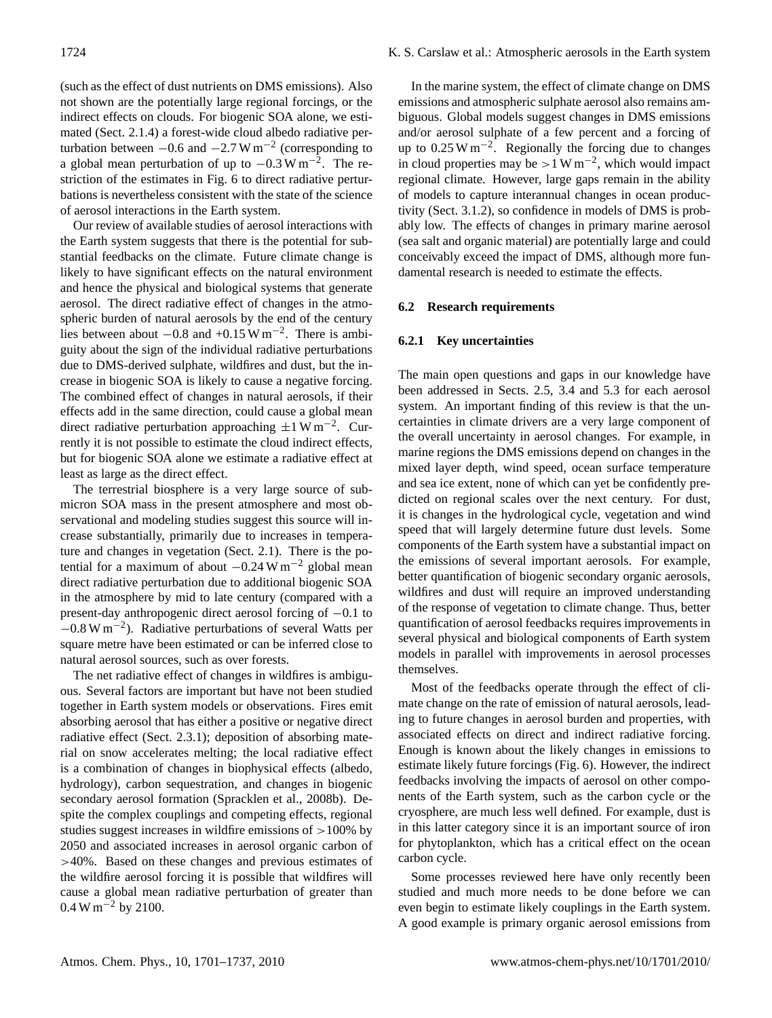(such as the effect of dust nutrients on DMS emissions). Also not shown are the potentially large regional forcings, or the indirect effects on clouds. For biogenic SOA alone, we estimated (Sect. 2.1.4) a forest-wide cloud albedo radiative perturbation between  $-0.6$  and  $-2.7$  W m<sup>-2</sup> (corresponding to a global mean perturbation of up to  $-0.3 \text{ W m}^{-2}$ . The restriction of the estimates in Fig. 6 to direct radiative perturbations is nevertheless consistent with the state of the science of aerosol interactions in the Earth system.

Our review of available studies of aerosol interactions with the Earth system suggests that there is the potential for substantial feedbacks on the climate. Future climate change is likely to have significant effects on the natural environment and hence the physical and biological systems that generate aerosol. The direct radiative effect of changes in the atmospheric burden of natural aerosols by the end of the century lies between about  $-0.8$  and  $+0.15 \text{ W m}^{-2}$ . There is ambiguity about the sign of the individual radiative perturbations due to DMS-derived sulphate, wildfires and dust, but the increase in biogenic SOA is likely to cause a negative forcing. The combined effect of changes in natural aerosols, if their effects add in the same direction, could cause a global mean direct radiative perturbation approaching  $\pm 1 \,\text{W m}^{-2}$ . Currently it is not possible to estimate the cloud indirect effects, but for biogenic SOA alone we estimate a radiative effect at least as large as the direct effect.

The terrestrial biosphere is a very large source of submicron SOA mass in the present atmosphere and most observational and modeling studies suggest this source will increase substantially, primarily due to increases in temperature and changes in vegetation (Sect. 2.1). There is the potential for a maximum of about  $-0.24 \text{ W m}^{-2}$  global mean direct radiative perturbation due to additional biogenic SOA in the atmosphere by mid to late century (compared with a present-day anthropogenic direct aerosol forcing of −0.1 to −0.8 W m−<sup>2</sup> ). Radiative perturbations of several Watts per square metre have been estimated or can be inferred close to natural aerosol sources, such as over forests.

The net radiative effect of changes in wildfires is ambiguous. Several factors are important but have not been studied together in Earth system models or observations. Fires emit absorbing aerosol that has either a positive or negative direct radiative effect (Sect. 2.3.1); deposition of absorbing material on snow accelerates melting; the local radiative effect is a combination of changes in biophysical effects (albedo, hydrology), carbon sequestration, and changes in biogenic secondary aerosol formation (Spracklen et al., 2008b). Despite the complex couplings and competing effects, regional studies suggest increases in wildfire emissions of  $>100\%$  by 2050 and associated increases in aerosol organic carbon of >40%. Based on these changes and previous estimates of the wildfire aerosol forcing it is possible that wildfires will cause a global mean radiative perturbation of greater than  $0.4 \text{ W m}^{-2}$  by 2100.

In the marine system, the effect of climate change on DMS emissions and atmospheric sulphate aerosol also remains ambiguous. Global models suggest changes in DMS emissions and/or aerosol sulphate of a few percent and a forcing of up to  $0.25 \text{ W m}^{-2}$ . Regionally the forcing due to changes in cloud properties may be >1 W m<sup>-2</sup>, which would impact regional climate. However, large gaps remain in the ability of models to capture interannual changes in ocean productivity (Sect. 3.1.2), so confidence in models of DMS is probably low. The effects of changes in primary marine aerosol (sea salt and organic material) are potentially large and could conceivably exceed the impact of DMS, although more fundamental research is needed to estimate the effects.

#### **6.2 Research requirements**

#### **6.2.1 Key uncertainties**

The main open questions and gaps in our knowledge have been addressed in Sects. 2.5, 3.4 and 5.3 for each aerosol system. An important finding of this review is that the uncertainties in climate drivers are a very large component of the overall uncertainty in aerosol changes. For example, in marine regions the DMS emissions depend on changes in the mixed layer depth, wind speed, ocean surface temperature and sea ice extent, none of which can yet be confidently predicted on regional scales over the next century. For dust, it is changes in the hydrological cycle, vegetation and wind speed that will largely determine future dust levels. Some components of the Earth system have a substantial impact on the emissions of several important aerosols. For example, better quantification of biogenic secondary organic aerosols, wildfires and dust will require an improved understanding of the response of vegetation to climate change. Thus, better quantification of aerosol feedbacks requires improvements in several physical and biological components of Earth system models in parallel with improvements in aerosol processes themselves.

Most of the feedbacks operate through the effect of climate change on the rate of emission of natural aerosols, leading to future changes in aerosol burden and properties, with associated effects on direct and indirect radiative forcing. Enough is known about the likely changes in emissions to estimate likely future forcings (Fig. 6). However, the indirect feedbacks involving the impacts of aerosol on other components of the Earth system, such as the carbon cycle or the cryosphere, are much less well defined. For example, dust is in this latter category since it is an important source of iron for phytoplankton, which has a critical effect on the ocean carbon cycle.

Some processes reviewed here have only recently been studied and much more needs to be done before we can even begin to estimate likely couplings in the Earth system. A good example is primary organic aerosol emissions from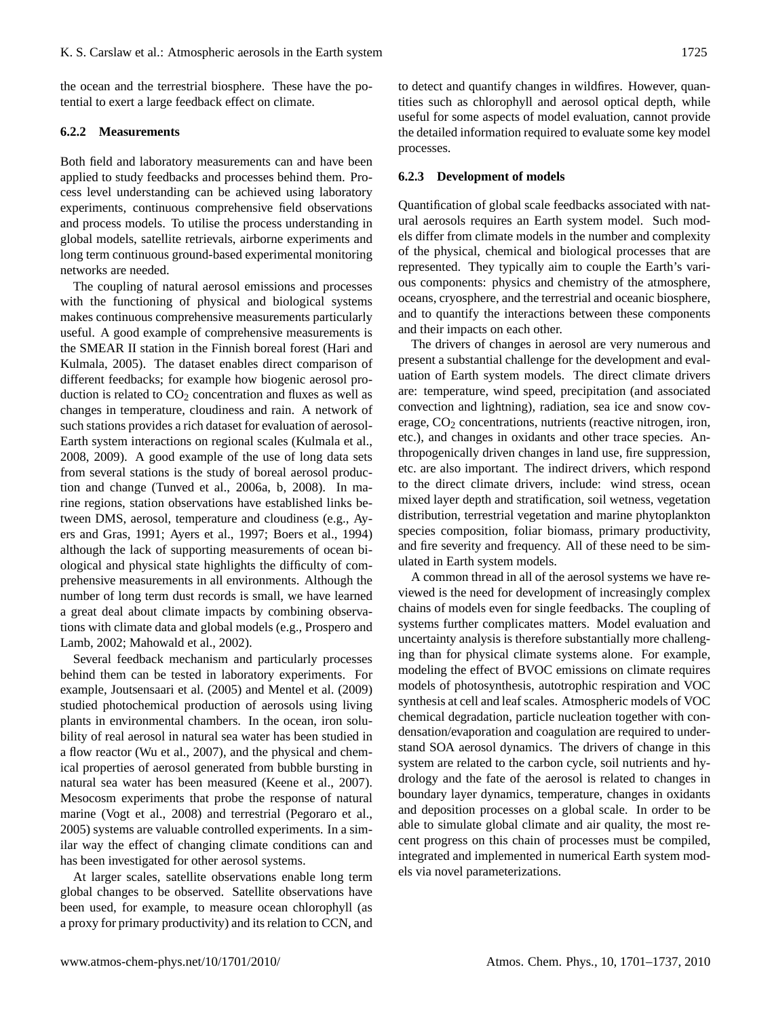the ocean and the terrestrial biosphere. These have the potential to exert a large feedback effect on climate.

# **6.2.2 Measurements**

Both field and laboratory measurements can and have been applied to study feedbacks and processes behind them. Process level understanding can be achieved using laboratory experiments, continuous comprehensive field observations and process models. To utilise the process understanding in global models, satellite retrievals, airborne experiments and long term continuous ground-based experimental monitoring networks are needed.

The coupling of natural aerosol emissions and processes with the functioning of physical and biological systems makes continuous comprehensive measurements particularly useful. A good example of comprehensive measurements is the SMEAR II station in the Finnish boreal forest (Hari and Kulmala, 2005). The dataset enables direct comparison of different feedbacks; for example how biogenic aerosol production is related to  $CO<sub>2</sub>$  concentration and fluxes as well as changes in temperature, cloudiness and rain. A network of such stations provides a rich dataset for evaluation of aerosol-Earth system interactions on regional scales (Kulmala et al., 2008, 2009). A good example of the use of long data sets from several stations is the study of boreal aerosol production and change (Tunved et al., 2006a, b, 2008). In marine regions, station observations have established links between DMS, aerosol, temperature and cloudiness (e.g., Ayers and Gras, 1991; Ayers et al., 1997; Boers et al., 1994) although the lack of supporting measurements of ocean biological and physical state highlights the difficulty of comprehensive measurements in all environments. Although the number of long term dust records is small, we have learned a great deal about climate impacts by combining observations with climate data and global models (e.g., Prospero and Lamb, 2002; Mahowald et al., 2002).

Several feedback mechanism and particularly processes behind them can be tested in laboratory experiments. For example, Joutsensaari et al. (2005) and Mentel et al. (2009) studied photochemical production of aerosols using living plants in environmental chambers. In the ocean, iron solubility of real aerosol in natural sea water has been studied in a flow reactor (Wu et al., 2007), and the physical and chemical properties of aerosol generated from bubble bursting in natural sea water has been measured (Keene et al., 2007). Mesocosm experiments that probe the response of natural marine (Vogt et al., 2008) and terrestrial (Pegoraro et al., 2005) systems are valuable controlled experiments. In a similar way the effect of changing climate conditions can and has been investigated for other aerosol systems.

At larger scales, satellite observations enable long term global changes to be observed. Satellite observations have been used, for example, to measure ocean chlorophyll (as a proxy for primary productivity) and its relation to CCN, and to detect and quantify changes in wildfires. However, quantities such as chlorophyll and aerosol optical depth, while useful for some aspects of model evaluation, cannot provide the detailed information required to evaluate some key model processes.

## **6.2.3 Development of models**

Quantification of global scale feedbacks associated with natural aerosols requires an Earth system model. Such models differ from climate models in the number and complexity of the physical, chemical and biological processes that are represented. They typically aim to couple the Earth's various components: physics and chemistry of the atmosphere, oceans, cryosphere, and the terrestrial and oceanic biosphere, and to quantify the interactions between these components and their impacts on each other.

The drivers of changes in aerosol are very numerous and present a substantial challenge for the development and evaluation of Earth system models. The direct climate drivers are: temperature, wind speed, precipitation (and associated convection and lightning), radiation, sea ice and snow coverage,  $CO<sub>2</sub>$  concentrations, nutrients (reactive nitrogen, iron, etc.), and changes in oxidants and other trace species. Anthropogenically driven changes in land use, fire suppression, etc. are also important. The indirect drivers, which respond to the direct climate drivers, include: wind stress, ocean mixed layer depth and stratification, soil wetness, vegetation distribution, terrestrial vegetation and marine phytoplankton species composition, foliar biomass, primary productivity, and fire severity and frequency. All of these need to be simulated in Earth system models.

A common thread in all of the aerosol systems we have reviewed is the need for development of increasingly complex chains of models even for single feedbacks. The coupling of systems further complicates matters. Model evaluation and uncertainty analysis is therefore substantially more challenging than for physical climate systems alone. For example, modeling the effect of BVOC emissions on climate requires models of photosynthesis, autotrophic respiration and VOC synthesis at cell and leaf scales. Atmospheric models of VOC chemical degradation, particle nucleation together with condensation/evaporation and coagulation are required to understand SOA aerosol dynamics. The drivers of change in this system are related to the carbon cycle, soil nutrients and hydrology and the fate of the aerosol is related to changes in boundary layer dynamics, temperature, changes in oxidants and deposition processes on a global scale. In order to be able to simulate global climate and air quality, the most recent progress on this chain of processes must be compiled, integrated and implemented in numerical Earth system models via novel parameterizations.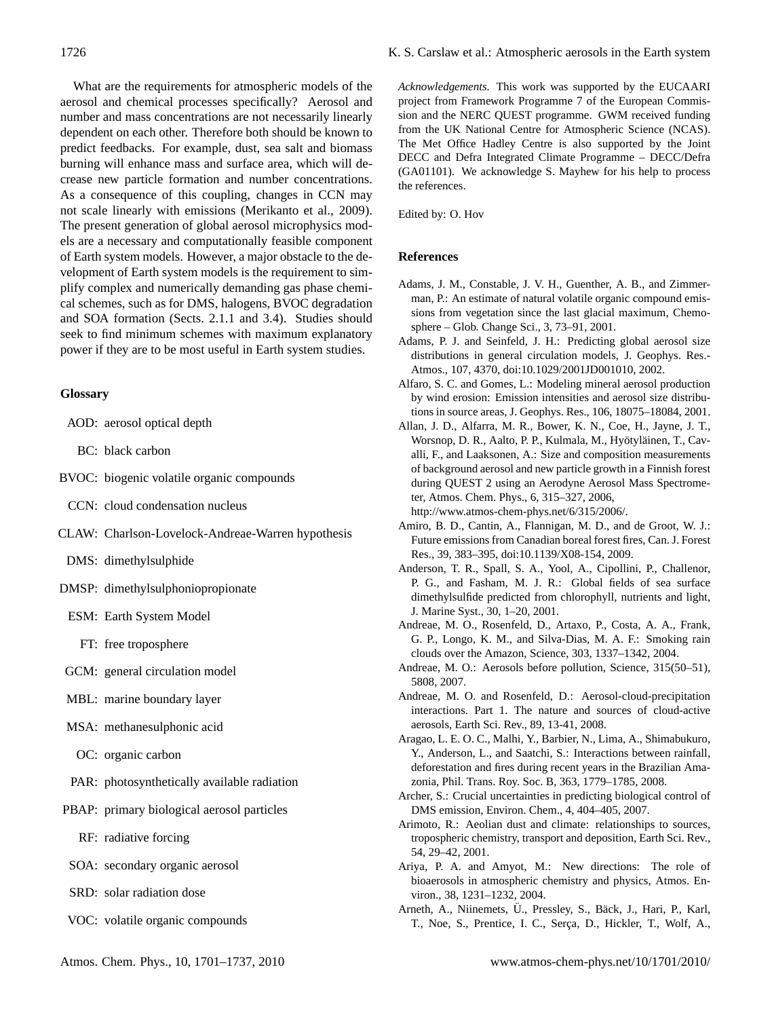What are the requirements for atmospheric models of the aerosol and chemical processes specifically? Aerosol and number and mass concentrations are not necessarily linearly dependent on each other. Therefore both should be known to predict feedbacks. For example, dust, sea salt and biomass burning will enhance mass and surface area, which will decrease new particle formation and number concentrations. As a consequence of this coupling, changes in CCN may not scale linearly with emissions (Merikanto et al., 2009). The present generation of global aerosol microphysics models are a necessary and computationally feasible component of Earth system models. However, a major obstacle to the development of Earth system models is the requirement to simplify complex and numerically demanding gas phase chemical schemes, such as for DMS, halogens, BVOC degradation and SOA formation (Sects. 2.1.1 and 3.4). Studies should seek to find minimum schemes with maximum explanatory power if they are to be most useful in Earth system studies.

## **Glossary**

- AOD: aerosol optical depth
	- BC: black carbon
- BVOC: biogenic volatile organic compounds
- CCN: cloud condensation nucleus
- CLAW: Charlson-Lovelock-Andreae-Warren hypothesis
	- DMS: dimethylsulphide
- DMSP: dimethylsulphoniopropionate
	- ESM: Earth System Model
		- FT: free troposphere
- GCM: general circulation model
- MBL: marine boundary layer
- MSA: methanesulphonic acid
	- OC: organic carbon
- PAR: photosynthetically available radiation
- PBAP: primary biological aerosol particles
	- RF: radiative forcing
	- SOA: secondary organic aerosol
- SRD: solar radiation dose
- VOC: volatile organic compounds

*Acknowledgements.* This work was supported by the EUCAARI project from Framework Programme 7 of the European Commission and the NERC QUEST programme. GWM received funding from the UK National Centre for Atmospheric Science (NCAS). The Met Office Hadley Centre is also supported by the Joint DECC and Defra Integrated Climate Programme – DECC/Defra (GA01101). We acknowledge S. Mayhew for his help to process the references.

Edited by: O. Hov

# **References**

- Adams, J. M., Constable, J. V. H., Guenther, A. B., and Zimmerman, P.: An estimate of natural volatile organic compound emissions from vegetation since the last glacial maximum, Chemosphere – Glob. Change Sci., 3, 73–91, 2001.
- Adams, P. J. and Seinfeld, J. H.: Predicting global aerosol size distributions in general circulation models, J. Geophys. Res.- Atmos., 107, 4370, doi:10.1029/2001JD001010, 2002.
- Alfaro, S. C. and Gomes, L.: Modeling mineral aerosol production by wind erosion: Emission intensities and aerosol size distributions in source areas, J. Geophys. Res., 106, 18075–18084, 2001.
- Allan, J. D., Alfarra, M. R., Bower, K. N., Coe, H., Jayne, J. T., Worsnop, D. R., Aalto, P. P., Kulmala, M., Hyötyläinen, T., Cavalli, F., and Laaksonen, A.: Size and composition measurements of background aerosol and new particle growth in a Finnish forest during QUEST 2 using an Aerodyne Aerosol Mass Spectrometer, Atmos. Chem. Phys., 6, 315–327, 2006, [http://www.atmos-chem-phys.net/6/315/2006/.](http://www.atmos-chem-phys.net/6/315/2006/)
- Amiro, B. D., Cantin, A., Flannigan, M. D., and de Groot, W. J.: Future emissions from Canadian boreal forest fires, Can. J. Forest Res., 39, 383–395, doi:10.1139/X08-154, 2009.
- Anderson, T. R., Spall, S. A., Yool, A., Cipollini, P., Challenor, P. G., and Fasham, M. J. R.: Global fields of sea surface dimethylsulfide predicted from chlorophyll, nutrients and light, J. Marine Syst., 30, 1–20, 2001.
- Andreae, M. O., Rosenfeld, D., Artaxo, P., Costa, A. A., Frank, G. P., Longo, K. M., and Silva-Dias, M. A. F.: Smoking rain clouds over the Amazon, Science, 303, 1337–1342, 2004.
- Andreae, M. O.: Aerosols before pollution, Science, 315(50–51), 5808, 2007.
- Andreae, M. O. and Rosenfeld, D.: Aerosol-cloud-precipitation interactions. Part 1. The nature and sources of cloud-active aerosols, Earth Sci. Rev., 89, 13-41, 2008.
- Aragao, L. E. O. C., Malhi, Y., Barbier, N., Lima, A., Shimabukuro, Y., Anderson, L., and Saatchi, S.: Interactions between rainfall, deforestation and fires during recent years in the Brazilian Amazonia, Phil. Trans. Roy. Soc. B, 363, 1779–1785, 2008.
- Archer, S.: Crucial uncertainties in predicting biological control of DMS emission, Environ. Chem., 4, 404–405, 2007.
- Arimoto, R.: Aeolian dust and climate: relationships to sources, tropospheric chemistry, transport and deposition, Earth Sci. Rev., 54, 29–42, 2001.
- Ariya, P. A. and Amyot, M.: New directions: The role of bioaerosols in atmospheric chemistry and physics, Atmos. Environ., 38, 1231–1232, 2004.
- Arneth, A., Niinemets, Ü., Pressley, S., Bäck, J., Hari, P., Karl, T., Noe, S., Prentice, I. C., Serça, D., Hickler, T., Wolf, A.,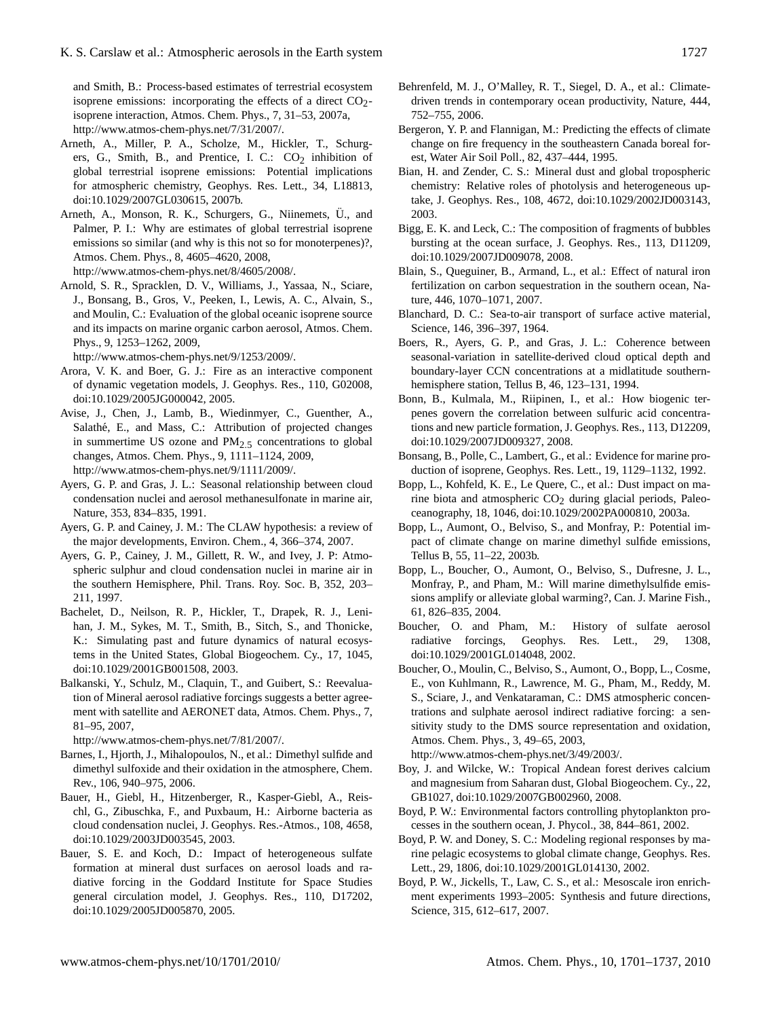and Smith, B.: Process-based estimates of terrestrial ecosystem isoprene emissions: incorporating the effects of a direct  $CO<sub>2</sub>$ isoprene interaction, Atmos. Chem. Phys., 7, 31–53, 2007a, [http://www.atmos-chem-phys.net/7/31/2007/.](http://www.atmos-chem-phys.net/7/31/2007/)

- Arneth, A., Miller, P. A., Scholze, M., Hickler, T., Schurgers, G., Smith, B., and Prentice, I. C.:  $CO<sub>2</sub>$  inhibition of global terrestrial isoprene emissions: Potential implications for atmospheric chemistry, Geophys. Res. Lett., 34, L18813, doi:10.1029/2007GL030615, 2007b.
- Arneth, A., Monson, R. K., Schurgers, G., Niinemets, U., and Palmer, P. I.: Why are estimates of global terrestrial isoprene emissions so similar (and why is this not so for monoterpenes)?, Atmos. Chem. Phys., 8, 4605–4620, 2008,
	- [http://www.atmos-chem-phys.net/8/4605/2008/.](http://www.atmos-chem-phys.net/8/4605/2008/)
- Arnold, S. R., Spracklen, D. V., Williams, J., Yassaa, N., Sciare, J., Bonsang, B., Gros, V., Peeken, I., Lewis, A. C., Alvain, S., and Moulin, C.: Evaluation of the global oceanic isoprene source and its impacts on marine organic carbon aerosol, Atmos. Chem. Phys., 9, 1253–1262, 2009,

[http://www.atmos-chem-phys.net/9/1253/2009/.](http://www.atmos-chem-phys.net/9/1253/2009/)

- Arora, V. K. and Boer, G. J.: Fire as an interactive component of dynamic vegetation models, J. Geophys. Res., 110, G02008, doi:10.1029/2005JG000042, 2005.
- Avise, J., Chen, J., Lamb, B., Wiedinmyer, C., Guenther, A., Salathé, E., and Mass, C.: Attribution of projected changes in summertime US ozone and  $PM<sub>2.5</sub>$  concentrations to global changes, Atmos. Chem. Phys., 9, 1111–1124, 2009, [http://www.atmos-chem-phys.net/9/1111/2009/.](http://www.atmos-chem-phys.net/9/1111/2009/)

Ayers, G. P. and Gras, J. L.: Seasonal relationship between cloud condensation nuclei and aerosol methanesulfonate in marine air, Nature, 353, 834–835, 1991.

- Ayers, G. P. and Cainey, J. M.: The CLAW hypothesis: a review of the major developments, Environ. Chem., 4, 366–374, 2007.
- Ayers, G. P., Cainey, J. M., Gillett, R. W., and Ivey, J. P: Atmospheric sulphur and cloud condensation nuclei in marine air in the southern Hemisphere, Phil. Trans. Roy. Soc. B, 352, 203– 211, 1997.
- Bachelet, D., Neilson, R. P., Hickler, T., Drapek, R. J., Lenihan, J. M., Sykes, M. T., Smith, B., Sitch, S., and Thonicke, K.: Simulating past and future dynamics of natural ecosystems in the United States, Global Biogeochem. Cy., 17, 1045, doi:10.1029/2001GB001508, 2003.
- Balkanski, Y., Schulz, M., Claquin, T., and Guibert, S.: Reevaluation of Mineral aerosol radiative forcings suggests a better agreement with satellite and AERONET data, Atmos. Chem. Phys., 7, 81–95, 2007,

[http://www.atmos-chem-phys.net/7/81/2007/.](http://www.atmos-chem-phys.net/7/81/2007/)

- Barnes, I., Hjorth, J., Mihalopoulos, N., et al.: Dimethyl sulfide and dimethyl sulfoxide and their oxidation in the atmosphere, Chem. Rev., 106, 940–975, 2006.
- Bauer, H., Giebl, H., Hitzenberger, R., Kasper-Giebl, A., Reischl, G., Zibuschka, F., and Puxbaum, H.: Airborne bacteria as cloud condensation nuclei, J. Geophys. Res.-Atmos., 108, 4658, doi:10.1029/2003JD003545, 2003.
- Bauer, S. E. and Koch, D.: Impact of heterogeneous sulfate formation at mineral dust surfaces on aerosol loads and radiative forcing in the Goddard Institute for Space Studies general circulation model, J. Geophys. Res., 110, D17202, doi:10.1029/2005JD005870, 2005.
- Behrenfeld, M. J., O'Malley, R. T., Siegel, D. A., et al.: Climatedriven trends in contemporary ocean productivity, Nature, 444, 752–755, 2006.
- Bergeron, Y. P. and Flannigan, M.: Predicting the effects of climate change on fire frequency in the southeastern Canada boreal forest, Water Air Soil Poll., 82, 437–444, 1995.
- Bian, H. and Zender, C. S.: Mineral dust and global tropospheric chemistry: Relative roles of photolysis and heterogeneous uptake, J. Geophys. Res., 108, 4672, doi:10.1029/2002JD003143, 2003.
- Bigg, E. K. and Leck, C.: The composition of fragments of bubbles bursting at the ocean surface, J. Geophys. Res., 113, D11209, doi:10.1029/2007JD009078, 2008.
- Blain, S., Queguiner, B., Armand, L., et al.: Effect of natural iron fertilization on carbon sequestration in the southern ocean, Nature, 446, 1070–1071, 2007.
- Blanchard, D. C.: Sea-to-air transport of surface active material, Science, 146, 396–397, 1964.
- Boers, R., Ayers, G. P., and Gras, J. L.: Coherence between seasonal-variation in satellite-derived cloud optical depth and boundary-layer CCN concentrations at a midlatitude southernhemisphere station, Tellus B, 46, 123–131, 1994.
- Bonn, B., Kulmala, M., Riipinen, I., et al.: How biogenic terpenes govern the correlation between sulfuric acid concentrations and new particle formation, J. Geophys. Res., 113, D12209, doi:10.1029/2007JD009327, 2008.
- Bonsang, B., Polle, C., Lambert, G., et al.: Evidence for marine production of isoprene, Geophys. Res. Lett., 19, 1129–1132, 1992.
- Bopp, L., Kohfeld, K. E., Le Quere, C., et al.: Dust impact on marine biota and atmospheric  $CO<sub>2</sub>$  during glacial periods, Paleoceanography, 18, 1046, doi:10.1029/2002PA000810, 2003a.
- Bopp, L., Aumont, O., Belviso, S., and Monfray, P.: Potential impact of climate change on marine dimethyl sulfide emissions, Tellus B, 55, 11–22, 2003b.
- Bopp, L., Boucher, O., Aumont, O., Belviso, S., Dufresne, J. L., Monfray, P., and Pham, M.: Will marine dimethylsulfide emissions amplify or alleviate global warming?, Can. J. Marine Fish., 61, 826–835, 2004.
- Boucher, O. and Pham, M.: History of sulfate aerosol radiative forcings, Geophys. Res. Lett., 29, 1308, doi:10.1029/2001GL014048, 2002.
- Boucher, O., Moulin, C., Belviso, S., Aumont, O., Bopp, L., Cosme, E., von Kuhlmann, R., Lawrence, M. G., Pham, M., Reddy, M. S., Sciare, J., and Venkataraman, C.: DMS atmospheric concentrations and sulphate aerosol indirect radiative forcing: a sensitivity study to the DMS source representation and oxidation, Atmos. Chem. Phys., 3, 49–65, 2003,

[http://www.atmos-chem-phys.net/3/49/2003/.](http://www.atmos-chem-phys.net/3/49/2003/)

- Boy, J. and Wilcke, W.: Tropical Andean forest derives calcium and magnesium from Saharan dust, Global Biogeochem. Cy., 22, GB1027, doi:10.1029/2007GB002960, 2008.
- Boyd, P. W.: Environmental factors controlling phytoplankton processes in the southern ocean, J. Phycol., 38, 844–861, 2002.
- Boyd, P. W. and Doney, S. C.: Modeling regional responses by marine pelagic ecosystems to global climate change, Geophys. Res. Lett., 29, 1806, doi:10.1029/2001GL014130, 2002.
- Boyd, P. W., Jickells, T., Law, C. S., et al.: Mesoscale iron enrichment experiments 1993–2005: Synthesis and future directions, Science, 315, 612–617, 2007.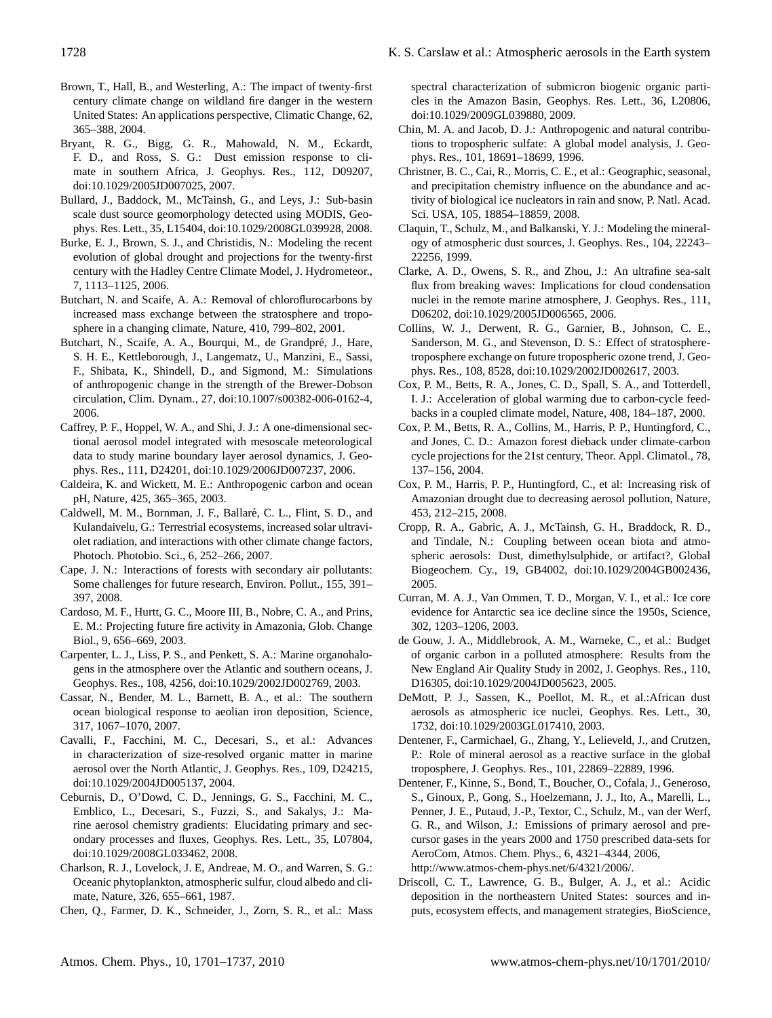- Brown, T., Hall, B., and Westerling, A.: The impact of twenty-first century climate change on wildland fire danger in the western United States: An applications perspective, Climatic Change, 62, 365–388, 2004.
- Bryant, R. G., Bigg, G. R., Mahowald, N. M., Eckardt, F. D., and Ross, S. G.: Dust emission response to climate in southern Africa, J. Geophys. Res., 112, D09207, doi:10.1029/2005JD007025, 2007.
- Bullard, J., Baddock, M., McTainsh, G., and Leys, J.: Sub-basin scale dust source geomorphology detected using MODIS, Geophys. Res. Lett., 35, L15404, doi:10.1029/2008GL039928, 2008.
- Burke, E. J., Brown, S. J., and Christidis, N.: Modeling the recent evolution of global drought and projections for the twenty-first century with the Hadley Centre Climate Model, J. Hydrometeor., 7, 1113–1125, 2006.
- Butchart, N. and Scaife, A. A.: Removal of chloroflurocarbons by increased mass exchange between the stratosphere and troposphere in a changing climate, Nature, 410, 799–802, 2001.
- Butchart, N., Scaife, A. A., Bourqui, M., de Grandpré, J., Hare, S. H. E., Kettleborough, J., Langematz, U., Manzini, E., Sassi, F., Shibata, K., Shindell, D., and Sigmond, M.: Simulations of anthropogenic change in the strength of the Brewer-Dobson circulation, Clim. Dynam., 27, doi:10.1007/s00382-006-0162-4, 2006.
- Caffrey, P. F., Hoppel, W. A., and Shi, J. J.: A one-dimensional sectional aerosol model integrated with mesoscale meteorological data to study marine boundary layer aerosol dynamics, J. Geophys. Res., 111, D24201, doi:10.1029/2006JD007237, 2006.
- Caldeira, K. and Wickett, M. E.: Anthropogenic carbon and ocean pH, Nature, 425, 365–365, 2003.
- Caldwell, M. M., Bornman, J. F., Ballaré, C. L., Flint, S. D., and Kulandaivelu, G.: Terrestrial ecosystems, increased solar ultraviolet radiation, and interactions with other climate change factors, Photoch. Photobio. Sci., 6, 252–266, 2007.
- Cape, J. N.: Interactions of forests with secondary air pollutants: Some challenges for future research, Environ. Pollut., 155, 391– 397, 2008.
- Cardoso, M. F., Hurtt, G. C., Moore III, B., Nobre, C. A., and Prins, E. M.: Projecting future fire activity in Amazonia, Glob. Change Biol., 9, 656–669, 2003.
- Carpenter, L. J., Liss, P. S., and Penkett, S. A.: Marine organohalogens in the atmosphere over the Atlantic and southern oceans, J. Geophys. Res., 108, 4256, doi:10.1029/2002JD002769, 2003.
- Cassar, N., Bender, M. L., Barnett, B. A., et al.: The southern ocean biological response to aeolian iron deposition, Science, 317, 1067–1070, 2007.
- Cavalli, F., Facchini, M. C., Decesari, S., et al.: Advances in characterization of size-resolved organic matter in marine aerosol over the North Atlantic, J. Geophys. Res., 109, D24215, doi:10.1029/2004JD005137, 2004.
- Ceburnis, D., O'Dowd, C. D., Jennings, G. S., Facchini, M. C., Emblico, L., Decesari, S., Fuzzi, S., and Sakalys, J.: Marine aerosol chemistry gradients: Elucidating primary and secondary processes and fluxes, Geophys. Res. Lett., 35, L07804, doi:10.1029/2008GL033462, 2008.
- Charlson, R. J., Lovelock, J. E, Andreae, M. O., and Warren, S. G.: Oceanic phytoplankton, atmospheric sulfur, cloud albedo and climate, Nature, 326, 655–661, 1987.
- Chen, Q., Farmer, D. K., Schneider, J., Zorn, S. R., et al.: Mass

spectral characterization of submicron biogenic organic particles in the Amazon Basin, Geophys. Res. Lett., 36, L20806, doi:10.1029/2009GL039880, 2009.

- Chin, M. A. and Jacob, D. J.: Anthropogenic and natural contributions to tropospheric sulfate: A global model analysis, J. Geophys. Res., 101, 18691–18699, 1996.
- Christner, B. C., Cai, R., Morris, C. E., et al.: Geographic, seasonal, and precipitation chemistry influence on the abundance and activity of biological ice nucleators in rain and snow, P. Natl. Acad. Sci. USA, 105, 18854–18859, 2008.
- Claquin, T., Schulz, M., and Balkanski, Y. J.: Modeling the mineralogy of atmospheric dust sources, J. Geophys. Res., 104, 22243– 22256, 1999.
- Clarke, A. D., Owens, S. R., and Zhou, J.: An ultrafine sea-salt flux from breaking waves: Implications for cloud condensation nuclei in the remote marine atmosphere, J. Geophys. Res., 111, D06202, doi:10.1029/2005JD006565, 2006.
- Collins, W. J., Derwent, R. G., Garnier, B., Johnson, C. E., Sanderson, M. G., and Stevenson, D. S.: Effect of stratospheretroposphere exchange on future tropospheric ozone trend, J. Geophys. Res., 108, 8528, doi:10.1029/2002JD002617, 2003.
- Cox, P. M., Betts, R. A., Jones, C. D., Spall, S. A., and Totterdell, I. J.: Acceleration of global warming due to carbon-cycle feedbacks in a coupled climate model, Nature, 408, 184–187, 2000.
- Cox, P. M., Betts, R. A., Collins, M., Harris, P. P., Huntingford, C., and Jones, C. D.: Amazon forest dieback under climate-carbon cycle projections for the 21st century, Theor. Appl. Climatol., 78, 137–156, 2004.
- Cox, P. M., Harris, P. P., Huntingford, C., et al: Increasing risk of Amazonian drought due to decreasing aerosol pollution, Nature, 453, 212–215, 2008.
- Cropp, R. A., Gabric, A. J., McTainsh, G. H., Braddock, R. D., and Tindale, N.: Coupling between ocean biota and atmospheric aerosols: Dust, dimethylsulphide, or artifact?, Global Biogeochem. Cy., 19, GB4002, doi:10.1029/2004GB002436, 2005.
- Curran, M. A. J., Van Ommen, T. D., Morgan, V. I., et al.: Ice core evidence for Antarctic sea ice decline since the 1950s, Science, 302, 1203–1206, 2003.
- de Gouw, J. A., Middlebrook, A. M., Warneke, C., et al.: Budget of organic carbon in a polluted atmosphere: Results from the New England Air Quality Study in 2002, J. Geophys. Res., 110, D16305, doi:10.1029/2004JD005623, 2005.
- DeMott, P. J., Sassen, K., Poellot, M. R., et al.:African dust aerosols as atmospheric ice nuclei, Geophys. Res. Lett., 30, 1732, doi:10.1029/2003GL017410, 2003.
- Dentener, F., Carmichael, G., Zhang, Y., Lelieveld, J., and Crutzen, P.: Role of mineral aerosol as a reactive surface in the global troposphere, J. Geophys. Res., 101, 22869–22889, 1996.
- Dentener, F., Kinne, S., Bond, T., Boucher, O., Cofala, J., Generoso, S., Ginoux, P., Gong, S., Hoelzemann, J. J., Ito, A., Marelli, L., Penner, J. E., Putaud, J.-P., Textor, C., Schulz, M., van der Werf, G. R., and Wilson, J.: Emissions of primary aerosol and precursor gases in the years 2000 and 1750 prescribed data-sets for AeroCom, Atmos. Chem. Phys., 6, 4321–4344, 2006, [http://www.atmos-chem-phys.net/6/4321/2006/.](http://www.atmos-chem-phys.net/6/4321/2006/)
- Driscoll, C. T., Lawrence, G. B., Bulger, A. J., et al.: Acidic deposition in the northeastern United States: sources and inputs, ecosystem effects, and management strategies, BioScience,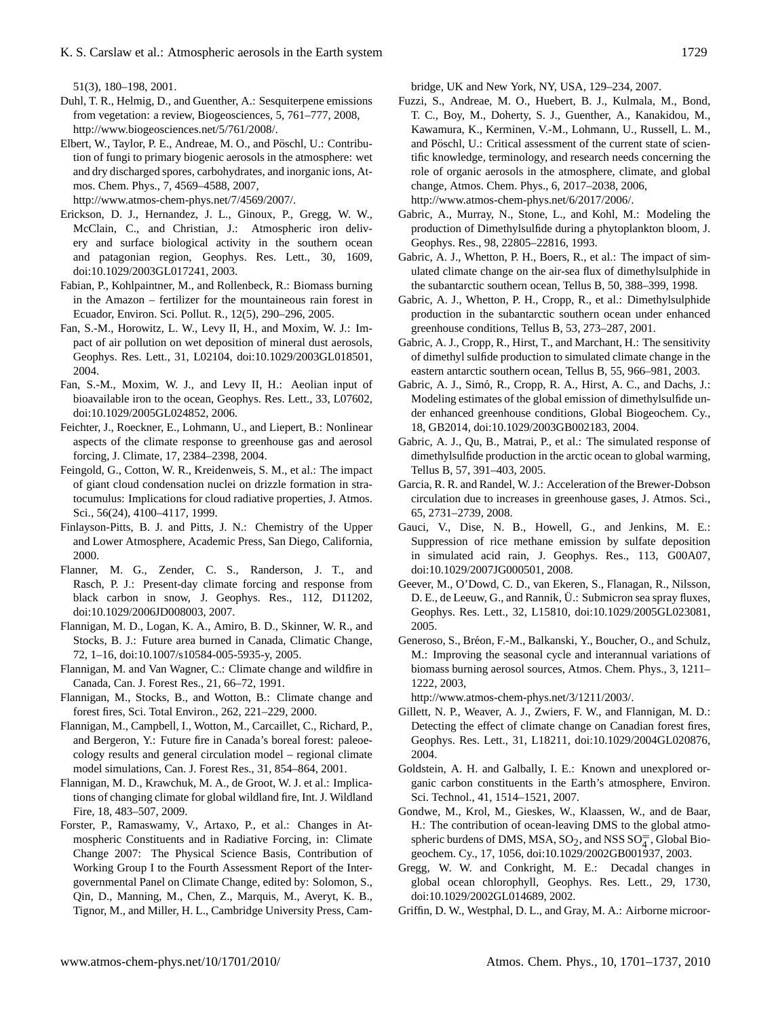51(3), 180–198, 2001.

- Duhl, T. R., Helmig, D., and Guenther, A.: Sesquiterpene emissions from vegetation: a review, Biogeosciences, 5, 761–777, 2008, [http://www.biogeosciences.net/5/761/2008/.](http://www.biogeosciences.net/5/761/2008/)
- Elbert, W., Taylor, P. E., Andreae, M. O., and Pöschl, U.: Contribution of fungi to primary biogenic aerosols in the atmosphere: wet and dry discharged spores, carbohydrates, and inorganic ions, Atmos. Chem. Phys., 7, 4569–4588, 2007, [http://www.atmos-chem-phys.net/7/4569/2007/.](http://www.atmos-chem-phys.net/7/4569/2007/)
- Erickson, D. J., Hernandez, J. L., Ginoux, P., Gregg, W. W., McClain, C., and Christian, J.: Atmospheric iron delivery and surface biological activity in the southern ocean and patagonian region, Geophys. Res. Lett., 30, 1609, doi:10.1029/2003GL017241, 2003.
- Fabian, P., Kohlpaintner, M., and Rollenbeck, R.: Biomass burning in the Amazon – fertilizer for the mountaineous rain forest in Ecuador, Environ. Sci. Pollut. R., 12(5), 290–296, 2005.
- Fan, S.-M., Horowitz, L. W., Levy II, H., and Moxim, W. J.: Impact of air pollution on wet deposition of mineral dust aerosols, Geophys. Res. Lett., 31, L02104, doi:10.1029/2003GL018501, 2004.
- Fan, S.-M., Moxim, W. J., and Levy II, H.: Aeolian input of bioavailable iron to the ocean, Geophys. Res. Lett., 33, L07602, doi:10.1029/2005GL024852, 2006.
- Feichter, J., Roeckner, E., Lohmann, U., and Liepert, B.: Nonlinear aspects of the climate response to greenhouse gas and aerosol forcing, J. Climate, 17, 2384–2398, 2004.
- Feingold, G., Cotton, W. R., Kreidenweis, S. M., et al.: The impact of giant cloud condensation nuclei on drizzle formation in stratocumulus: Implications for cloud radiative properties, J. Atmos. Sci., 56(24), 4100–4117, 1999.
- Finlayson-Pitts, B. J. and Pitts, J. N.: Chemistry of the Upper and Lower Atmosphere, Academic Press, San Diego, California, 2000.
- Flanner, M. G., Zender, C. S., Randerson, J. T., and Rasch, P. J.: Present-day climate forcing and response from black carbon in snow, J. Geophys. Res., 112, D11202, doi:10.1029/2006JD008003, 2007.
- Flannigan, M. D., Logan, K. A., Amiro, B. D., Skinner, W. R., and Stocks, B. J.: Future area burned in Canada, Climatic Change, 72, 1–16, doi:10.1007/s10584-005-5935-y, 2005.
- Flannigan, M. and Van Wagner, C.: Climate change and wildfire in Canada, Can. J. Forest Res., 21, 66–72, 1991.
- Flannigan, M., Stocks, B., and Wotton, B.: Climate change and forest fires, Sci. Total Environ., 262, 221–229, 2000.
- Flannigan, M., Campbell, I., Wotton, M., Carcaillet, C., Richard, P., and Bergeron, Y.: Future fire in Canada's boreal forest: paleoecology results and general circulation model – regional climate model simulations, Can. J. Forest Res., 31, 854–864, 2001.
- Flannigan, M. D., Krawchuk, M. A., de Groot, W. J. et al.: Implications of changing climate for global wildland fire, Int. J. Wildland Fire, 18, 483–507, 2009.
- Forster, P., Ramaswamy, V., Artaxo, P., et al.: Changes in Atmospheric Constituents and in Radiative Forcing, in: Climate Change 2007: The Physical Science Basis, Contribution of Working Group I to the Fourth Assessment Report of the Intergovernmental Panel on Climate Change, edited by: Solomon, S., Qin, D., Manning, M., Chen, Z., Marquis, M., Averyt, K. B., Tignor, M., and Miller, H. L., Cambridge University Press, Cam-

bridge, UK and New York, NY, USA, 129–234, 2007.

- Fuzzi, S., Andreae, M. O., Huebert, B. J., Kulmala, M., Bond, T. C., Boy, M., Doherty, S. J., Guenther, A., Kanakidou, M., Kawamura, K., Kerminen, V.-M., Lohmann, U., Russell, L. M., and Pöschl, U.: Critical assessment of the current state of scientific knowledge, terminology, and research needs concerning the role of organic aerosols in the atmosphere, climate, and global change, Atmos. Chem. Phys., 6, 2017–2038, 2006, [http://www.atmos-chem-phys.net/6/2017/2006/.](http://www.atmos-chem-phys.net/6/2017/2006/)
- Gabric, A., Murray, N., Stone, L., and Kohl, M.: Modeling the production of Dimethylsulfide during a phytoplankton bloom, J. Geophys. Res., 98, 22805–22816, 1993.
- Gabric, A. J., Whetton, P. H., Boers, R., et al.: The impact of simulated climate change on the air-sea flux of dimethylsulphide in the subantarctic southern ocean, Tellus B, 50, 388–399, 1998.
- Gabric, A. J., Whetton, P. H., Cropp, R., et al.: Dimethylsulphide production in the subantarctic southern ocean under enhanced greenhouse conditions, Tellus B, 53, 273–287, 2001.
- Gabric, A. J., Cropp, R., Hirst, T., and Marchant, H.: The sensitivity of dimethyl sulfide production to simulated climate change in the eastern antarctic southern ocean, Tellus B, 55, 966–981, 2003.
- Gabric, A. J., Simó, R., Cropp, R. A., Hirst, A. C., and Dachs, J.: Modeling estimates of the global emission of dimethylsulfide under enhanced greenhouse conditions, Global Biogeochem. Cy., 18, GB2014, doi:10.1029/2003GB002183, 2004.
- Gabric, A. J., Qu, B., Matrai, P., et al.: The simulated response of dimethylsulfide production in the arctic ocean to global warming, Tellus B, 57, 391–403, 2005.
- Garcia, R. R. and Randel, W. J.: Acceleration of the Brewer-Dobson circulation due to increases in greenhouse gases, J. Atmos. Sci., 65, 2731–2739, 2008.
- Gauci, V., Dise, N. B., Howell, G., and Jenkins, M. E.: Suppression of rice methane emission by sulfate deposition in simulated acid rain, J. Geophys. Res., 113, G00A07, doi:10.1029/2007JG000501, 2008.
- Geever, M., O'Dowd, C. D., van Ekeren, S., Flanagan, R., Nilsson, D. E., de Leeuw, G., and Rannik, Ü.: Submicron sea spray fluxes, Geophys. Res. Lett., 32, L15810, doi:10.1029/2005GL023081, 2005.
- Generoso, S., Bréon, F.-M., Balkanski, Y., Boucher, O., and Schulz, M.: Improving the seasonal cycle and interannual variations of biomass burning aerosol sources, Atmos. Chem. Phys., 3, 1211– 1222, 2003,

[http://www.atmos-chem-phys.net/3/1211/2003/.](http://www.atmos-chem-phys.net/3/1211/2003/)

- Gillett, N. P., Weaver, A. J., Zwiers, F. W., and Flannigan, M. D.: Detecting the effect of climate change on Canadian forest fires, Geophys. Res. Lett., 31, L18211, doi:10.1029/2004GL020876, 2004.
- Goldstein, A. H. and Galbally, I. E.: Known and unexplored organic carbon constituents in the Earth's atmosphere, Environ. Sci. Technol., 41, 1514–1521, 2007.
- Gondwe, M., Krol, M., Gieskes, W., Klaassen, W., and de Baar, H.: The contribution of ocean-leaving DMS to the global atmospheric burdens of DMS, MSA,  $SO_2$ , and NSS  $SO_4^=$ , Global Biogeochem. Cy., 17, 1056, doi:10.1029/2002GB001937, 2003.
- Gregg, W. W. and Conkright, M. E.: Decadal changes in global ocean chlorophyll, Geophys. Res. Lett., 29, 1730, doi:10.1029/2002GL014689, 2002.
- Griffin, D. W., Westphal, D. L., and Gray, M. A.: Airborne microor-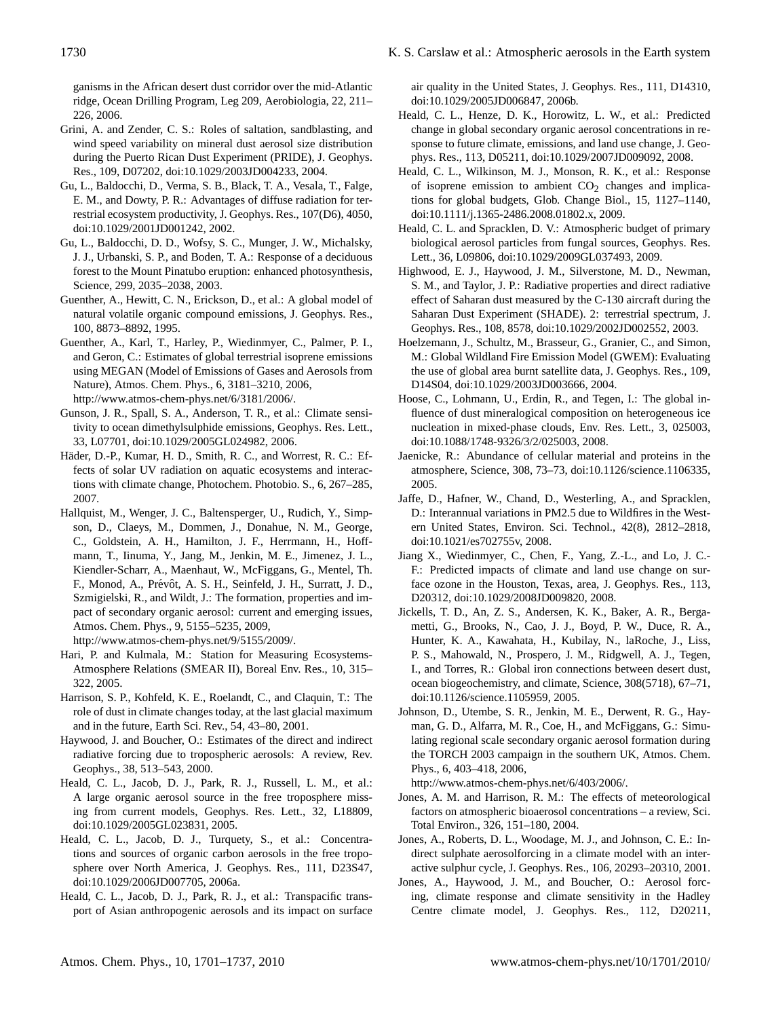ganisms in the African desert dust corridor over the mid-Atlantic ridge, Ocean Drilling Program, Leg 209, Aerobiologia, 22, 211– 226, 2006.

- Grini, A. and Zender, C. S.: Roles of saltation, sandblasting, and wind speed variability on mineral dust aerosol size distribution during the Puerto Rican Dust Experiment (PRIDE), J. Geophys. Res., 109, D07202, doi:10.1029/2003JD004233, 2004.
- Gu, L., Baldocchi, D., Verma, S. B., Black, T. A., Vesala, T., Falge, E. M., and Dowty, P. R.: Advantages of diffuse radiation for terrestrial ecosystem productivity, J. Geophys. Res., 107(D6), 4050, doi:10.1029/2001JD001242, 2002.
- Gu, L., Baldocchi, D. D., Wofsy, S. C., Munger, J. W., Michalsky, J. J., Urbanski, S. P., and Boden, T. A.: Response of a deciduous forest to the Mount Pinatubo eruption: enhanced photosynthesis, Science, 299, 2035–2038, 2003.
- Guenther, A., Hewitt, C. N., Erickson, D., et al.: A global model of natural volatile organic compound emissions, J. Geophys. Res., 100, 8873–8892, 1995.
- Guenther, A., Karl, T., Harley, P., Wiedinmyer, C., Palmer, P. I., and Geron, C.: Estimates of global terrestrial isoprene emissions using MEGAN (Model of Emissions of Gases and Aerosols from Nature), Atmos. Chem. Phys., 6, 3181–3210, 2006, [http://www.atmos-chem-phys.net/6/3181/2006/.](http://www.atmos-chem-phys.net/6/3181/2006/)
- Gunson, J. R., Spall, S. A., Anderson, T. R., et al.: Climate sensitivity to ocean dimethylsulphide emissions, Geophys. Res. Lett., 33, L07701, doi:10.1029/2005GL024982, 2006.
- Häder, D.-P., Kumar, H. D., Smith, R. C., and Worrest, R. C.: Effects of solar UV radiation on aquatic ecosystems and interactions with climate change, Photochem. Photobio. S., 6, 267–285, 2007.
- Hallquist, M., Wenger, J. C., Baltensperger, U., Rudich, Y., Simpson, D., Claeys, M., Dommen, J., Donahue, N. M., George, C., Goldstein, A. H., Hamilton, J. F., Herrmann, H., Hoffmann, T., Iinuma, Y., Jang, M., Jenkin, M. E., Jimenez, J. L., Kiendler-Scharr, A., Maenhaut, W., McFiggans, G., Mentel, Th. F., Monod, A., Prévôt, A. S. H., Seinfeld, J. H., Surratt, J. D., Szmigielski, R., and Wildt, J.: The formation, properties and impact of secondary organic aerosol: current and emerging issues, Atmos. Chem. Phys., 9, 5155–5235, 2009,

[http://www.atmos-chem-phys.net/9/5155/2009/.](http://www.atmos-chem-phys.net/9/5155/2009/)

- Hari, P. and Kulmala, M.: Station for Measuring Ecosystems-Atmosphere Relations (SMEAR II), Boreal Env. Res., 10, 315– 322, 2005.
- Harrison, S. P., Kohfeld, K. E., Roelandt, C., and Claquin, T.: The role of dust in climate changes today, at the last glacial maximum and in the future, Earth Sci. Rev., 54, 43–80, 2001.
- Haywood, J. and Boucher, O.: Estimates of the direct and indirect radiative forcing due to tropospheric aerosols: A review, Rev. Geophys., 38, 513–543, 2000.
- Heald, C. L., Jacob, D. J., Park, R. J., Russell, L. M., et al.: A large organic aerosol source in the free troposphere missing from current models, Geophys. Res. Lett., 32, L18809, doi:10.1029/2005GL023831, 2005.
- Heald, C. L., Jacob, D. J., Turquety, S., et al.: Concentrations and sources of organic carbon aerosols in the free troposphere over North America, J. Geophys. Res., 111, D23S47, doi:10.1029/2006JD007705, 2006a.
- Heald, C. L., Jacob, D. J., Park, R. J., et al.: Transpacific transport of Asian anthropogenic aerosols and its impact on surface

air quality in the United States, J. Geophys. Res., 111, D14310, doi:10.1029/2005JD006847, 2006b.

- Heald, C. L., Henze, D. K., Horowitz, L. W., et al.: Predicted change in global secondary organic aerosol concentrations in response to future climate, emissions, and land use change, J. Geophys. Res., 113, D05211, doi:10.1029/2007JD009092, 2008.
- Heald, C. L., Wilkinson, M. J., Monson, R. K., et al.: Response of isoprene emission to ambient  $CO<sub>2</sub>$  changes and implications for global budgets, Glob. Change Biol., 15, 1127–1140, doi:10.1111/j.1365-2486.2008.01802.x, 2009.
- Heald, C. L. and Spracklen, D. V.: Atmospheric budget of primary biological aerosol particles from fungal sources, Geophys. Res. Lett., 36, L09806, doi:10.1029/2009GL037493, 2009.
- Highwood, E. J., Haywood, J. M., Silverstone, M. D., Newman, S. M., and Taylor, J. P.: Radiative properties and direct radiative effect of Saharan dust measured by the C-130 aircraft during the Saharan Dust Experiment (SHADE). 2: terrestrial spectrum, J. Geophys. Res., 108, 8578, doi:10.1029/2002JD002552, 2003.
- Hoelzemann, J., Schultz, M., Brasseur, G., Granier, C., and Simon, M.: Global Wildland Fire Emission Model (GWEM): Evaluating the use of global area burnt satellite data, J. Geophys. Res., 109, D14S04, doi:10.1029/2003JD003666, 2004.
- Hoose, C., Lohmann, U., Erdin, R., and Tegen, I.: The global influence of dust mineralogical composition on heterogeneous ice nucleation in mixed-phase clouds, Env. Res. Lett., 3, 025003, doi:10.1088/1748-9326/3/2/025003, 2008.
- Jaenicke, R.: Abundance of cellular material and proteins in the atmosphere, Science, 308, 73–73, doi:10.1126/science.1106335, 2005.
- Jaffe, D., Hafner, W., Chand, D., Westerling, A., and Spracklen, D.: Interannual variations in PM2.5 due to Wildfires in the Western United States, Environ. Sci. Technol., 42(8), 2812–2818, doi:10.1021/es702755v, 2008.
- Jiang X., Wiedinmyer, C., Chen, F., Yang, Z.-L., and Lo, J. C.- F.: Predicted impacts of climate and land use change on surface ozone in the Houston, Texas, area, J. Geophys. Res., 113, D20312, doi:10.1029/2008JD009820, 2008.
- Jickells, T. D., An, Z. S., Andersen, K. K., Baker, A. R., Bergametti, G., Brooks, N., Cao, J. J., Boyd, P. W., Duce, R. A., Hunter, K. A., Kawahata, H., Kubilay, N., laRoche, J., Liss, P. S., Mahowald, N., Prospero, J. M., Ridgwell, A. J., Tegen, I., and Torres, R.: Global iron connections between desert dust, ocean biogeochemistry, and climate, Science, 308(5718), 67–71, doi:10.1126/science.1105959, 2005.
- Johnson, D., Utembe, S. R., Jenkin, M. E., Derwent, R. G., Hayman, G. D., Alfarra, M. R., Coe, H., and McFiggans, G.: Simulating regional scale secondary organic aerosol formation during the TORCH 2003 campaign in the southern UK, Atmos. Chem. Phys., 6, 403–418, 2006,

[http://www.atmos-chem-phys.net/6/403/2006/.](http://www.atmos-chem-phys.net/6/403/2006/)

- Jones, A. M. and Harrison, R. M.: The effects of meteorological factors on atmospheric bioaerosol concentrations – a review, Sci. Total Environ., 326, 151–180, 2004.
- Jones, A., Roberts, D. L., Woodage, M. J., and Johnson, C. E.: Indirect sulphate aerosolforcing in a climate model with an interactive sulphur cycle, J. Geophys. Res., 106, 20293–20310, 2001.
- Jones, A., Haywood, J. M., and Boucher, O.: Aerosol forcing, climate response and climate sensitivity in the Hadley Centre climate model, J. Geophys. Res., 112, D20211,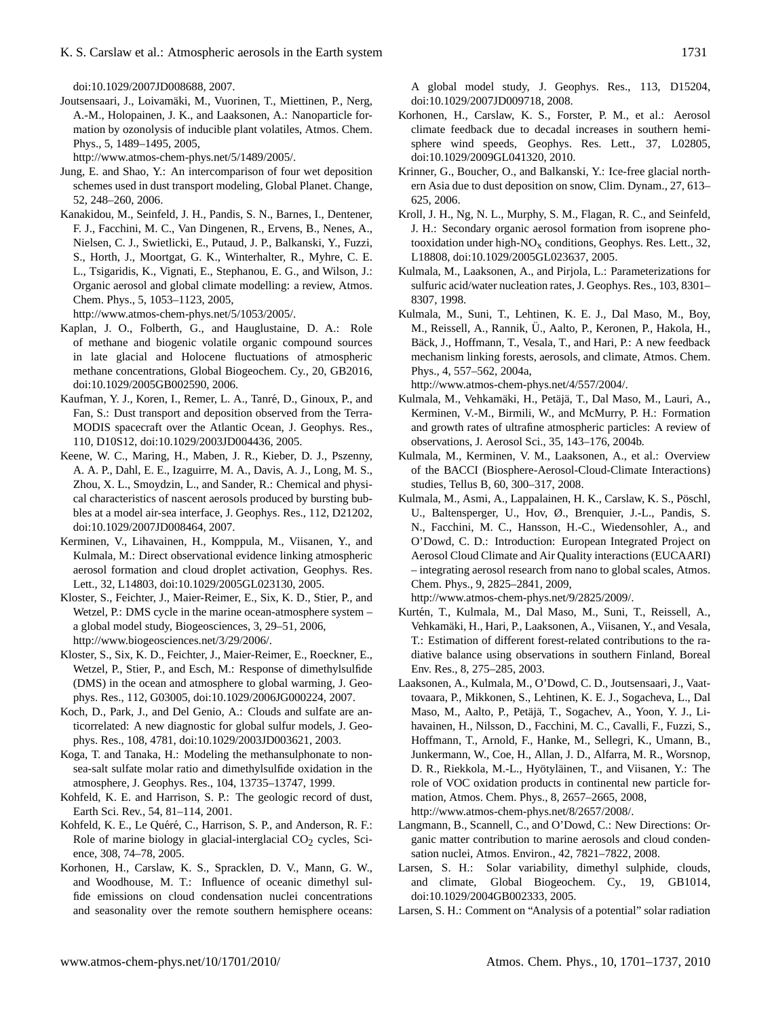doi:10.1029/2007JD008688, 2007.

Joutsensaari, J., Loivamäki, M., Vuorinen, T., Miettinen, P., Nerg, A.-M., Holopainen, J. K., and Laaksonen, A.: Nanoparticle formation by ozonolysis of inducible plant volatiles, Atmos. Chem. Phys., 5, 1489–1495, 2005,

[http://www.atmos-chem-phys.net/5/1489/2005/.](http://www.atmos-chem-phys.net/5/1489/2005/)

- Jung, E. and Shao, Y.: An intercomparison of four wet deposition schemes used in dust transport modeling, Global Planet. Change, 52, 248–260, 2006.
- Kanakidou, M., Seinfeld, J. H., Pandis, S. N., Barnes, I., Dentener, F. J., Facchini, M. C., Van Dingenen, R., Ervens, B., Nenes, A., Nielsen, C. J., Swietlicki, E., Putaud, J. P., Balkanski, Y., Fuzzi, S., Horth, J., Moortgat, G. K., Winterhalter, R., Myhre, C. E. L., Tsigaridis, K., Vignati, E., Stephanou, E. G., and Wilson, J.: Organic aerosol and global climate modelling: a review, Atmos. Chem. Phys., 5, 1053–1123, 2005,

[http://www.atmos-chem-phys.net/5/1053/2005/.](http://www.atmos-chem-phys.net/5/1053/2005/)

- Kaplan, J. O., Folberth, G., and Hauglustaine, D. A.: Role of methane and biogenic volatile organic compound sources in late glacial and Holocene fluctuations of atmospheric methane concentrations, Global Biogeochem. Cy., 20, GB2016, doi:10.1029/2005GB002590, 2006.
- Kaufman, Y. J., Koren, I., Remer, L. A., Tanré, D., Ginoux, P., and Fan, S.: Dust transport and deposition observed from the Terra-MODIS spacecraft over the Atlantic Ocean, J. Geophys. Res., 110, D10S12, doi:10.1029/2003JD004436, 2005.
- Keene, W. C., Maring, H., Maben, J. R., Kieber, D. J., Pszenny, A. A. P., Dahl, E. E., Izaguirre, M. A., Davis, A. J., Long, M. S., Zhou, X. L., Smoydzin, L., and Sander, R.: Chemical and physical characteristics of nascent aerosols produced by bursting bubbles at a model air-sea interface, J. Geophys. Res., 112, D21202, doi:10.1029/2007JD008464, 2007.
- Kerminen, V., Lihavainen, H., Komppula, M., Viisanen, Y., and Kulmala, M.: Direct observational evidence linking atmospheric aerosol formation and cloud droplet activation, Geophys. Res. Lett., 32, L14803, doi:10.1029/2005GL023130, 2005.
- Kloster, S., Feichter, J., Maier-Reimer, E., Six, K. D., Stier, P., and Wetzel, P.: DMS cycle in the marine ocean-atmosphere system – a global model study, Biogeosciences, 3, 29–51, 2006, [http://www.biogeosciences.net/3/29/2006/.](http://www.biogeosciences.net/3/29/2006/)
- Kloster, S., Six, K. D., Feichter, J., Maier-Reimer, E., Roeckner, E., Wetzel, P., Stier, P., and Esch, M.: Response of dimethylsulfide (DMS) in the ocean and atmosphere to global warming, J. Geophys. Res., 112, G03005, doi:10.1029/2006JG000224, 2007.
- Koch, D., Park, J., and Del Genio, A.: Clouds and sulfate are anticorrelated: A new diagnostic for global sulfur models, J. Geophys. Res., 108, 4781, doi:10.1029/2003JD003621, 2003.
- Koga, T. and Tanaka, H.: Modeling the methansulphonate to nonsea-salt sulfate molar ratio and dimethylsulfide oxidation in the atmosphere, J. Geophys. Res., 104, 13735–13747, 1999.
- Kohfeld, K. E. and Harrison, S. P.: The geologic record of dust, Earth Sci. Rev., 54, 81–114, 2001.
- Kohfeld, K. E., Le Quéré, C., Harrison, S. P., and Anderson, R. F.: Role of marine biology in glacial-interglacial CO<sub>2</sub> cycles, Science, 308, 74–78, 2005.
- Korhonen, H., Carslaw, K. S., Spracklen, D. V., Mann, G. W., and Woodhouse, M. T.: Influence of oceanic dimethyl sulfide emissions on cloud condensation nuclei concentrations and seasonality over the remote southern hemisphere oceans:

A global model study, J. Geophys. Res., 113, D15204, doi:10.1029/2007JD009718, 2008.

- Korhonen, H., Carslaw, K. S., Forster, P. M., et al.: Aerosol climate feedback due to decadal increases in southern hemisphere wind speeds, Geophys. Res. Lett., 37, L02805, doi:10.1029/2009GL041320, 2010.
- Krinner, G., Boucher, O., and Balkanski, Y.: Ice-free glacial northern Asia due to dust deposition on snow, Clim. Dynam., 27, 613– 625, 2006.
- Kroll, J. H., Ng, N. L., Murphy, S. M., Flagan, R. C., and Seinfeld, J. H.: Secondary organic aerosol formation from isoprene photooxidation under high- $NO<sub>x</sub>$  conditions, Geophys. Res. Lett., 32, L18808, doi:10.1029/2005GL023637, 2005.
- Kulmala, M., Laaksonen, A., and Pirjola, L.: Parameterizations for sulfuric acid/water nucleation rates, J. Geophys. Res., 103, 8301– 8307, 1998.
- Kulmala, M., Suni, T., Lehtinen, K. E. J., Dal Maso, M., Boy, M., Reissell, A., Rannik, Ü., Aalto, P., Keronen, P., Hakola, H., Bäck, J., Hoffmann, T., Vesala, T., and Hari, P.: A new feedback mechanism linking forests, aerosols, and climate, Atmos. Chem. Phys., 4, 557–562, 2004a,

[http://www.atmos-chem-phys.net/4/557/2004/.](http://www.atmos-chem-phys.net/4/557/2004/)

- Kulmala, M., Vehkamäki, H., Petäjä, T., Dal Maso, M., Lauri, A., Kerminen, V.-M., Birmili, W., and McMurry, P. H.: Formation and growth rates of ultrafine atmospheric particles: A review of observations, J. Aerosol Sci., 35, 143–176, 2004b.
- Kulmala, M., Kerminen, V. M., Laaksonen, A., et al.: Overview of the BACCI (Biosphere-Aerosol-Cloud-Climate Interactions) studies, Tellus B, 60, 300–317, 2008.
- Kulmala, M., Asmi, A., Lappalainen, H. K., Carslaw, K. S., Pöschl, U., Baltensperger, U., Hov, Ø., Brenquier, J.-L., Pandis, S. N., Facchini, M. C., Hansson, H.-C., Wiedensohler, A., and O'Dowd, C. D.: Introduction: European Integrated Project on Aerosol Cloud Climate and Air Quality interactions (EUCAARI) – integrating aerosol research from nano to global scales, Atmos. Chem. Phys., 9, 2825–2841, 2009,

[http://www.atmos-chem-phys.net/9/2825/2009/.](http://www.atmos-chem-phys.net/9/2825/2009/)

- Kurtén, T., Kulmala, M., Dal Maso, M., Suni, T., Reissell, A., Vehkamaki, H., Hari, P., Laaksonen, A., Viisanen, Y., and Vesala, ¨ T.: Estimation of different forest-related contributions to the radiative balance using observations in southern Finland, Boreal Env. Res., 8, 275–285, 2003.
- Laaksonen, A., Kulmala, M., O'Dowd, C. D., Joutsensaari, J., Vaattovaara, P., Mikkonen, S., Lehtinen, K. E. J., Sogacheva, L., Dal Maso, M., Aalto, P., Petäjä, T., Sogachev, A., Yoon, Y. J., Lihavainen, H., Nilsson, D., Facchini, M. C., Cavalli, F., Fuzzi, S., Hoffmann, T., Arnold, F., Hanke, M., Sellegri, K., Umann, B., Junkermann, W., Coe, H., Allan, J. D., Alfarra, M. R., Worsnop, D. R., Riekkola, M.-L., Hyötyläinen, T., and Viisanen, Y.: The role of VOC oxidation products in continental new particle formation, Atmos. Chem. Phys., 8, 2657–2665, 2008, [http://www.atmos-chem-phys.net/8/2657/2008/.](http://www.atmos-chem-phys.net/8/2657/2008/)
- Langmann, B., Scannell, C., and O'Dowd, C.: New Directions: Organic matter contribution to marine aerosols and cloud condensation nuclei, Atmos. Environ., 42, 7821–7822, 2008.
- Larsen, S. H.: Solar variability, dimethyl sulphide, clouds, and climate, Global Biogeochem. Cy., 19, GB1014, doi:10.1029/2004GB002333, 2005.
- Larsen, S. H.: Comment on "Analysis of a potential" solar radiation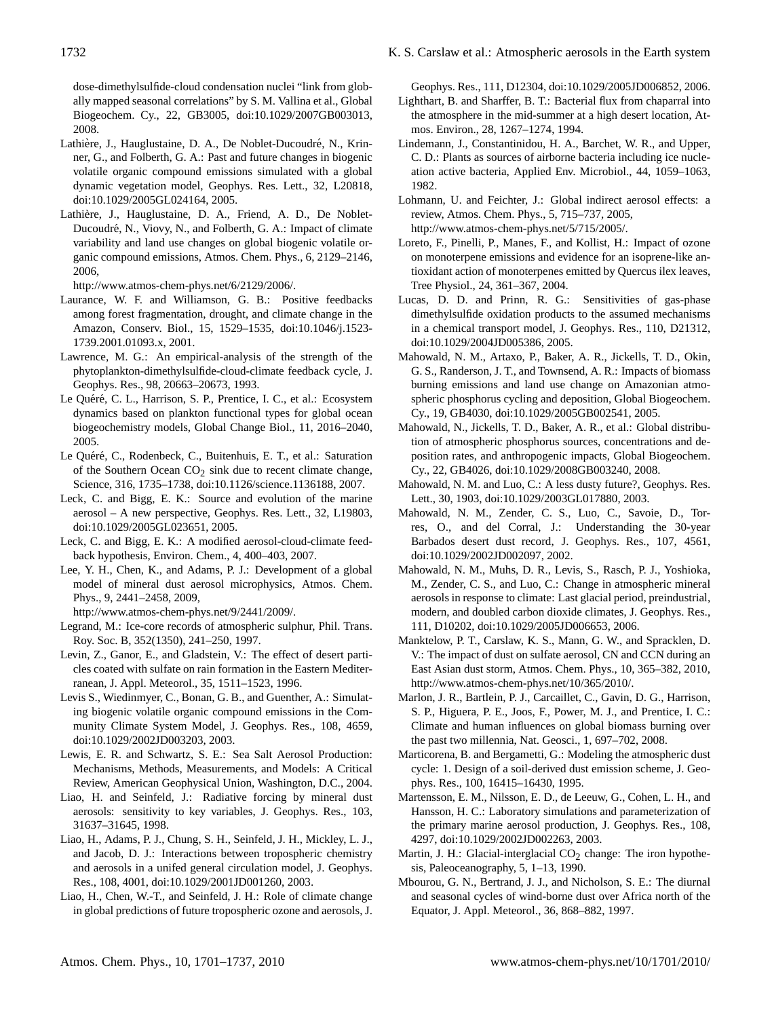dose-dimethylsulfide-cloud condensation nuclei "link from globally mapped seasonal correlations" by S. M. Vallina et al., Global Biogeochem. Cy., 22, GB3005, doi:10.1029/2007GB003013, 2008.

- Lathière, J., Hauglustaine, D. A., De Noblet-Ducoudré, N., Krinner, G., and Folberth, G. A.: Past and future changes in biogenic volatile organic compound emissions simulated with a global dynamic vegetation model, Geophys. Res. Lett., 32, L20818, doi:10.1029/2005GL024164, 2005.
- Lathière, J., Hauglustaine, D. A., Friend, A. D., De Noblet-Ducoudré, N., Viovy, N., and Folberth, G. A.: Impact of climate variability and land use changes on global biogenic volatile organic compound emissions, Atmos. Chem. Phys., 6, 2129–2146, 2006,

[http://www.atmos-chem-phys.net/6/2129/2006/.](http://www.atmos-chem-phys.net/6/2129/2006/)

- Laurance, W. F. and Williamson, G. B.: Positive feedbacks among forest fragmentation, drought, and climate change in the Amazon, Conserv. Biol., 15, 1529–1535, doi:10.1046/j.1523- 1739.2001.01093.x, 2001.
- Lawrence, M. G.: An empirical-analysis of the strength of the phytoplankton-dimethylsulfide-cloud-climate feedback cycle, J. Geophys. Res., 98, 20663–20673, 1993.
- Le Quéré, C. L., Harrison, S. P., Prentice, I. C., et al.: Ecosystem dynamics based on plankton functional types for global ocean biogeochemistry models, Global Change Biol., 11, 2016–2040, 2005.
- Le Quéré, C., Rodenbeck, C., Buitenhuis, E. T., et al.: Saturation of the Southern Ocean  $CO<sub>2</sub>$  sink due to recent climate change, Science, 316, 1735–1738, doi:10.1126/science.1136188, 2007.
- Leck, C. and Bigg, E. K.: Source and evolution of the marine aerosol – A new perspective, Geophys. Res. Lett., 32, L19803, doi:10.1029/2005GL023651, 2005.
- Leck, C. and Bigg, E. K.: A modified aerosol-cloud-climate feedback hypothesis, Environ. Chem., 4, 400–403, 2007.
- Lee, Y. H., Chen, K., and Adams, P. J.: Development of a global model of mineral dust aerosol microphysics, Atmos. Chem. Phys., 9, 2441–2458, 2009,

[http://www.atmos-chem-phys.net/9/2441/2009/.](http://www.atmos-chem-phys.net/9/2441/2009/)

- Legrand, M.: Ice-core records of atmospheric sulphur, Phil. Trans. Roy. Soc. B, 352(1350), 241–250, 1997.
- Levin, Z., Ganor, E., and Gladstein, V.: The effect of desert particles coated with sulfate on rain formation in the Eastern Mediterranean, J. Appl. Meteorol., 35, 1511–1523, 1996.
- Levis S., Wiedinmyer, C., Bonan, G. B., and Guenther, A.: Simulating biogenic volatile organic compound emissions in the Community Climate System Model, J. Geophys. Res., 108, 4659, doi:10.1029/2002JD003203, 2003.
- Lewis, E. R. and Schwartz, S. E.: Sea Salt Aerosol Production: Mechanisms, Methods, Measurements, and Models: A Critical Review, American Geophysical Union, Washington, D.C., 2004.
- Liao, H. and Seinfeld, J.: Radiative forcing by mineral dust aerosols: sensitivity to key variables, J. Geophys. Res., 103, 31637–31645, 1998.
- Liao, H., Adams, P. J., Chung, S. H., Seinfeld, J. H., Mickley, L. J., and Jacob, D. J.: Interactions between tropospheric chemistry and aerosols in a unifed general circulation model, J. Geophys. Res., 108, 4001, doi:10.1029/2001JD001260, 2003.
- Liao, H., Chen, W.-T., and Seinfeld, J. H.: Role of climate change in global predictions of future tropospheric ozone and aerosols, J.

Geophys. Res., 111, D12304, doi:10.1029/2005JD006852, 2006.

- Lighthart, B. and Sharffer, B. T.: Bacterial flux from chaparral into the atmosphere in the mid-summer at a high desert location, Atmos. Environ., 28, 1267–1274, 1994.
- Lindemann, J., Constantinidou, H. A., Barchet, W. R., and Upper, C. D.: Plants as sources of airborne bacteria including ice nucleation active bacteria, Applied Env. Microbiol., 44, 1059–1063, 1982.
- Lohmann, U. and Feichter, J.: Global indirect aerosol effects: a review, Atmos. Chem. Phys., 5, 715–737, 2005, [http://www.atmos-chem-phys.net/5/715/2005/.](http://www.atmos-chem-phys.net/5/715/2005/)
- Loreto, F., Pinelli, P., Manes, F., and Kollist, H.: Impact of ozone on monoterpene emissions and evidence for an isoprene-like antioxidant action of monoterpenes emitted by Quercus ilex leaves, Tree Physiol., 24, 361–367, 2004.
- Lucas, D. D. and Prinn, R. G.: Sensitivities of gas-phase dimethylsulfide oxidation products to the assumed mechanisms in a chemical transport model, J. Geophys. Res., 110, D21312, doi:10.1029/2004JD005386, 2005.
- Mahowald, N. M., Artaxo, P., Baker, A. R., Jickells, T. D., Okin, G. S., Randerson, J. T., and Townsend, A. R.: Impacts of biomass burning emissions and land use change on Amazonian atmospheric phosphorus cycling and deposition, Global Biogeochem. Cy., 19, GB4030, doi:10.1029/2005GB002541, 2005.
- Mahowald, N., Jickells, T. D., Baker, A. R., et al.: Global distribution of atmospheric phosphorus sources, concentrations and deposition rates, and anthropogenic impacts, Global Biogeochem. Cy., 22, GB4026, doi:10.1029/2008GB003240, 2008.
- Mahowald, N. M. and Luo, C.: A less dusty future?, Geophys. Res. Lett., 30, 1903, doi:10.1029/2003GL017880, 2003.
- Mahowald, N. M., Zender, C. S., Luo, C., Savoie, D., Torres, O., and del Corral, J.: Understanding the 30-year Barbados desert dust record, J. Geophys. Res., 107, 4561, doi:10.1029/2002JD002097, 2002.
- Mahowald, N. M., Muhs, D. R., Levis, S., Rasch, P. J., Yoshioka, M., Zender, C. S., and Luo, C.: Change in atmospheric mineral aerosols in response to climate: Last glacial period, preindustrial, modern, and doubled carbon dioxide climates, J. Geophys. Res., 111, D10202, doi:10.1029/2005JD006653, 2006.
- Manktelow, P. T., Carslaw, K. S., Mann, G. W., and Spracklen, D. V.: The impact of dust on sulfate aerosol, CN and CCN during an East Asian dust storm, Atmos. Chem. Phys., 10, 365–382, 2010, [http://www.atmos-chem-phys.net/10/365/2010/.](http://www.atmos-chem-phys.net/10/365/2010/)
- Marlon, J. R., Bartlein, P. J., Carcaillet, C., Gavin, D. G., Harrison, S. P., Higuera, P. E., Joos, F., Power, M. J., and Prentice, I. C.: Climate and human influences on global biomass burning over the past two millennia, Nat. Geosci., 1, 697–702, 2008.
- Marticorena, B. and Bergametti, G.: Modeling the atmospheric dust cycle: 1. Design of a soil-derived dust emission scheme, J. Geophys. Res., 100, 16415–16430, 1995.
- Martensson, E. M., Nilsson, E. D., de Leeuw, G., Cohen, L. H., and Hansson, H. C.: Laboratory simulations and parameterization of the primary marine aerosol production, J. Geophys. Res., 108, 4297, doi:10.1029/2002JD002263, 2003.
- Martin, J. H.: Glacial-interglacial  $CO<sub>2</sub>$  change: The iron hypothesis, Paleoceanography, 5, 1–13, 1990.
- Mbourou, G. N., Bertrand, J. J., and Nicholson, S. E.: The diurnal and seasonal cycles of wind-borne dust over Africa north of the Equator, J. Appl. Meteorol., 36, 868–882, 1997.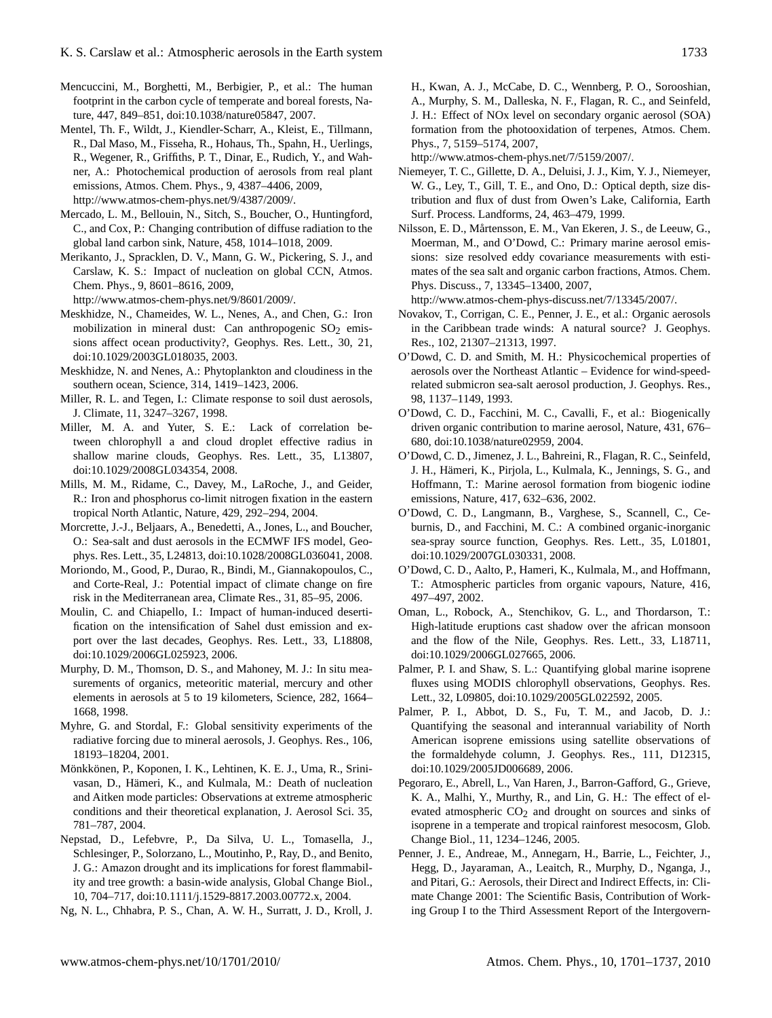- Mencuccini, M., Borghetti, M., Berbigier, P., et al.: The human footprint in the carbon cycle of temperate and boreal forests, Nature, 447, 849–851, doi:10.1038/nature05847, 2007.
- Mentel, Th. F., Wildt, J., Kiendler-Scharr, A., Kleist, E., Tillmann, R., Dal Maso, M., Fisseha, R., Hohaus, Th., Spahn, H., Uerlings, R., Wegener, R., Griffiths, P. T., Dinar, E., Rudich, Y., and Wahner, A.: Photochemical production of aerosols from real plant emissions, Atmos. Chem. Phys., 9, 4387–4406, 2009, [http://www.atmos-chem-phys.net/9/4387/2009/.](http://www.atmos-chem-phys.net/9/4387/2009/)
- Mercado, L. M., Bellouin, N., Sitch, S., Boucher, O., Huntingford, C., and Cox, P.: Changing contribution of diffuse radiation to the global land carbon sink, Nature, 458, 1014–1018, 2009.
- Merikanto, J., Spracklen, D. V., Mann, G. W., Pickering, S. J., and Carslaw, K. S.: Impact of nucleation on global CCN, Atmos. Chem. Phys., 9, 8601–8616, 2009,
- [http://www.atmos-chem-phys.net/9/8601/2009/.](http://www.atmos-chem-phys.net/9/8601/2009/)
- Meskhidze, N., Chameides, W. L., Nenes, A., and Chen, G.: Iron mobilization in mineral dust: Can anthropogenic  $SO_2$  emissions affect ocean productivity?, Geophys. Res. Lett., 30, 21, doi:10.1029/2003GL018035, 2003.
- Meskhidze, N. and Nenes, A.: Phytoplankton and cloudiness in the southern ocean, Science, 314, 1419–1423, 2006.
- Miller, R. L. and Tegen, I.: Climate response to soil dust aerosols, J. Climate, 11, 3247–3267, 1998.
- Miller, M. A. and Yuter, S. E.: Lack of correlation between chlorophyll a and cloud droplet effective radius in shallow marine clouds, Geophys. Res. Lett., 35, L13807, doi:10.1029/2008GL034354, 2008.
- Mills, M. M., Ridame, C., Davey, M., LaRoche, J., and Geider, R.: Iron and phosphorus co-limit nitrogen fixation in the eastern tropical North Atlantic, Nature, 429, 292–294, 2004.
- Morcrette, J.-J., Beljaars, A., Benedetti, A., Jones, L., and Boucher, O.: Sea-salt and dust aerosols in the ECMWF IFS model, Geophys. Res. Lett., 35, L24813, doi:10.1028/2008GL036041, 2008.
- Moriondo, M., Good, P., Durao, R., Bindi, M., Giannakopoulos, C., and Corte-Real, J.: Potential impact of climate change on fire risk in the Mediterranean area, Climate Res., 31, 85–95, 2006.
- Moulin, C. and Chiapello, I.: Impact of human-induced desertification on the intensification of Sahel dust emission and export over the last decades, Geophys. Res. Lett., 33, L18808, doi:10.1029/2006GL025923, 2006.
- Murphy, D. M., Thomson, D. S., and Mahoney, M. J.: In situ measurements of organics, meteoritic material, mercury and other elements in aerosols at 5 to 19 kilometers, Science, 282, 1664– 1668, 1998.
- Myhre, G. and Stordal, F.: Global sensitivity experiments of the radiative forcing due to mineral aerosols, J. Geophys. Res., 106, 18193–18204, 2001.
- Mönkkönen, P., Koponen, I. K., Lehtinen, K. E. J., Uma, R., Srinivasan, D., Hämeri, K., and Kulmala, M.: Death of nucleation and Aitken mode particles: Observations at extreme atmospheric conditions and their theoretical explanation, J. Aerosol Sci. 35, 781–787, 2004.
- Nepstad, D., Lefebvre, P., Da Silva, U. L., Tomasella, J., Schlesinger, P., Solorzano, L., Moutinho, P., Ray, D., and Benito, J. G.: Amazon drought and its implications for forest flammability and tree growth: a basin-wide analysis, Global Change Biol., 10, 704–717, doi:10.1111/j.1529-8817.2003.00772.x, 2004.
- Ng, N. L., Chhabra, P. S., Chan, A. W. H., Surratt, J. D., Kroll, J.

H., Kwan, A. J., McCabe, D. C., Wennberg, P. O., Sorooshian, A., Murphy, S. M., Dalleska, N. F., Flagan, R. C., and Seinfeld, J. H.: Effect of NOx level on secondary organic aerosol (SOA) formation from the photooxidation of terpenes, Atmos. Chem. Phys., 7, 5159–5174, 2007,

[http://www.atmos-chem-phys.net/7/5159/2007/.](http://www.atmos-chem-phys.net/7/5159/2007/)

- Niemeyer, T. C., Gillette, D. A., Deluisi, J. J., Kim, Y. J., Niemeyer, W. G., Ley, T., Gill, T. E., and Ono, D.: Optical depth, size distribution and flux of dust from Owen's Lake, California, Earth Surf. Process. Landforms, 24, 463–479, 1999.
- Nilsson, E. D., Mårtensson, E. M., Van Ekeren, J. S., de Leeuw, G., Moerman, M., and O'Dowd, C.: Primary marine aerosol emissions: size resolved eddy covariance measurements with estimates of the sea salt and organic carbon fractions, Atmos. Chem. Phys. Discuss., 7, 13345–13400, 2007,

[http://www.atmos-chem-phys-discuss.net/7/13345/2007/.](http://www.atmos-chem-phys-discuss.net/7/13345/2007/)

- Novakov, T., Corrigan, C. E., Penner, J. E., et al.: Organic aerosols in the Caribbean trade winds: A natural source? J. Geophys. Res., 102, 21307–21313, 1997.
- O'Dowd, C. D. and Smith, M. H.: Physicochemical properties of aerosols over the Northeast Atlantic – Evidence for wind-speedrelated submicron sea-salt aerosol production, J. Geophys. Res., 98, 1137–1149, 1993.
- O'Dowd, C. D., Facchini, M. C., Cavalli, F., et al.: Biogenically driven organic contribution to marine aerosol, Nature, 431, 676– 680, doi:10.1038/nature02959, 2004.
- O'Dowd, C. D., Jimenez, J. L., Bahreini, R., Flagan, R. C., Seinfeld, J. H., Hämeri, K., Pirjola, L., Kulmala, K., Jennings, S. G., and Hoffmann, T.: Marine aerosol formation from biogenic iodine emissions, Nature, 417, 632–636, 2002.
- O'Dowd, C. D., Langmann, B., Varghese, S., Scannell, C., Ceburnis, D., and Facchini, M. C.: A combined organic-inorganic sea-spray source function, Geophys. Res. Lett., 35, L01801, doi:10.1029/2007GL030331, 2008.
- O'Dowd, C. D., Aalto, P., Hameri, K., Kulmala, M., and Hoffmann, T.: Atmospheric particles from organic vapours, Nature, 416, 497–497, 2002.
- Oman, L., Robock, A., Stenchikov, G. L., and Thordarson, T.: High-latitude eruptions cast shadow over the african monsoon and the flow of the Nile, Geophys. Res. Lett., 33, L18711, doi:10.1029/2006GL027665, 2006.
- Palmer, P. I. and Shaw, S. L.: Quantifying global marine isoprene fluxes using MODIS chlorophyll observations, Geophys. Res. Lett., 32, L09805, doi:10.1029/2005GL022592, 2005.
- Palmer, P. I., Abbot, D. S., Fu, T. M., and Jacob, D. J.: Quantifying the seasonal and interannual variability of North American isoprene emissions using satellite observations of the formaldehyde column, J. Geophys. Res., 111, D12315, doi:10.1029/2005JD006689, 2006.
- Pegoraro, E., Abrell, L., Van Haren, J., Barron-Gafford, G., Grieve, K. A., Malhi, Y., Murthy, R., and Lin, G. H.: The effect of elevated atmospheric  $CO<sub>2</sub>$  and drought on sources and sinks of isoprene in a temperate and tropical rainforest mesocosm, Glob. Change Biol., 11, 1234–1246, 2005.
- Penner, J. E., Andreae, M., Annegarn, H., Barrie, L., Feichter, J., Hegg, D., Jayaraman, A., Leaitch, R., Murphy, D., Nganga, J., and Pitari, G.: Aerosols, their Direct and Indirect Effects, in: Climate Change 2001: The Scientific Basis, Contribution of Working Group I to the Third Assessment Report of the Intergovern-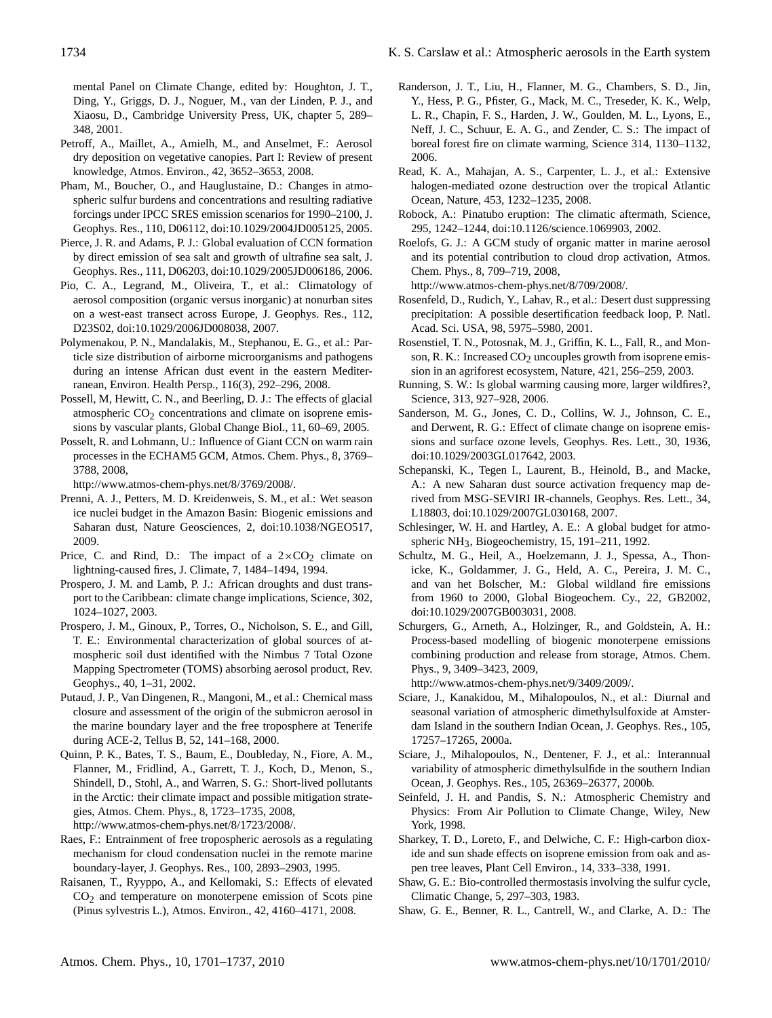mental Panel on Climate Change, edited by: Houghton, J. T., Ding, Y., Griggs, D. J., Noguer, M., van der Linden, P. J., and Xiaosu, D., Cambridge University Press, UK, chapter 5, 289– 348, 2001.

- Petroff, A., Maillet, A., Amielh, M., and Anselmet, F.: Aerosol dry deposition on vegetative canopies. Part I: Review of present knowledge, Atmos. Environ., 42, 3652–3653, 2008.
- Pham, M., Boucher, O., and Hauglustaine, D.: Changes in atmospheric sulfur burdens and concentrations and resulting radiative forcings under IPCC SRES emission scenarios for 1990–2100, J. Geophys. Res., 110, D06112, doi:10.1029/2004JD005125, 2005.
- Pierce, J. R. and Adams, P. J.: Global evaluation of CCN formation by direct emission of sea salt and growth of ultrafine sea salt, J. Geophys. Res., 111, D06203, doi:10.1029/2005JD006186, 2006.
- Pio, C. A., Legrand, M., Oliveira, T., et al.: Climatology of aerosol composition (organic versus inorganic) at nonurban sites on a west-east transect across Europe, J. Geophys. Res., 112, D23S02, doi:10.1029/2006JD008038, 2007.
- Polymenakou, P. N., Mandalakis, M., Stephanou, E. G., et al.: Particle size distribution of airborne microorganisms and pathogens during an intense African dust event in the eastern Mediterranean, Environ. Health Persp., 116(3), 292–296, 2008.
- Possell, M, Hewitt, C. N., and Beerling, D. J.: The effects of glacial atmospheric  $CO<sub>2</sub>$  concentrations and climate on isoprene emissions by vascular plants, Global Change Biol., 11, 60–69, 2005.
- Posselt, R. and Lohmann, U.: Influence of Giant CCN on warm rain processes in the ECHAM5 GCM, Atmos. Chem. Phys., 8, 3769– 3788, 2008,

[http://www.atmos-chem-phys.net/8/3769/2008/.](http://www.atmos-chem-phys.net/8/3769/2008/)

- Prenni, A. J., Petters, M. D. Kreidenweis, S. M., et al.: Wet season ice nuclei budget in the Amazon Basin: Biogenic emissions and Saharan dust, Nature Geosciences, 2, doi:10.1038/NGEO517, 2009.
- Price, C. and Rind, D.: The impact of a  $2 \times CO_2$  climate on lightning-caused fires, J. Climate, 7, 1484–1494, 1994.
- Prospero, J. M. and Lamb, P. J.: African droughts and dust transport to the Caribbean: climate change implications, Science, 302, 1024–1027, 2003.
- Prospero, J. M., Ginoux, P., Torres, O., Nicholson, S. E., and Gill, T. E.: Environmental characterization of global sources of atmospheric soil dust identified with the Nimbus 7 Total Ozone Mapping Spectrometer (TOMS) absorbing aerosol product, Rev. Geophys., 40, 1–31, 2002.
- Putaud, J. P., Van Dingenen, R., Mangoni, M., et al.: Chemical mass closure and assessment of the origin of the submicron aerosol in the marine boundary layer and the free troposphere at Tenerife during ACE-2, Tellus B, 52, 141–168, 2000.
- Quinn, P. K., Bates, T. S., Baum, E., Doubleday, N., Fiore, A. M., Flanner, M., Fridlind, A., Garrett, T. J., Koch, D., Menon, S., Shindell, D., Stohl, A., and Warren, S. G.: Short-lived pollutants in the Arctic: their climate impact and possible mitigation strategies, Atmos. Chem. Phys., 8, 1723–1735, 2008, [http://www.atmos-chem-phys.net/8/1723/2008/.](http://www.atmos-chem-phys.net/8/1723/2008/)

- Raes, F.: Entrainment of free tropospheric aerosols as a regulating mechanism for cloud condensation nuclei in the remote marine boundary-layer, J. Geophys. Res., 100, 2893–2903, 1995.
- Raisanen, T., Ryyppo, A., and Kellomaki, S.: Effects of elevated  $CO<sub>2</sub>$  and temperature on monoterpene emission of Scots pine (Pinus sylvestris L.), Atmos. Environ., 42, 4160–4171, 2008.
- Randerson, J. T., Liu, H., Flanner, M. G., Chambers, S. D., Jin, Y., Hess, P. G., Pfister, G., Mack, M. C., Treseder, K. K., Welp, L. R., Chapin, F. S., Harden, J. W., Goulden, M. L., Lyons, E., Neff, J. C., Schuur, E. A. G., and Zender, C. S.: The impact of boreal forest fire on climate warming, Science 314, 1130–1132, 2006.
- Read, K. A., Mahajan, A. S., Carpenter, L. J., et al.: Extensive halogen-mediated ozone destruction over the tropical Atlantic Ocean, Nature, 453, 1232–1235, 2008.
- Robock, A.: Pinatubo eruption: The climatic aftermath, Science, 295, 1242–1244, doi:10.1126/science.1069903, 2002.
- Roelofs, G. J.: A GCM study of organic matter in marine aerosol and its potential contribution to cloud drop activation, Atmos. Chem. Phys., 8, 709–719, 2008,

[http://www.atmos-chem-phys.net/8/709/2008/.](http://www.atmos-chem-phys.net/8/709/2008/)

- Rosenfeld, D., Rudich, Y., Lahav, R., et al.: Desert dust suppressing precipitation: A possible desertification feedback loop, P. Natl. Acad. Sci. USA, 98, 5975–5980, 2001.
- Rosenstiel, T. N., Potosnak, M. J., Griffin, K. L., Fall, R., and Monson, R. K.: Increased  $CO<sub>2</sub>$  uncouples growth from isoprene emission in an agriforest ecosystem, Nature, 421, 256–259, 2003.
- Running, S. W.: Is global warming causing more, larger wildfires?, Science, 313, 927–928, 2006.
- Sanderson, M. G., Jones, C. D., Collins, W. J., Johnson, C. E., and Derwent, R. G.: Effect of climate change on isoprene emissions and surface ozone levels, Geophys. Res. Lett., 30, 1936, doi:10.1029/2003GL017642, 2003.
- Schepanski, K., Tegen I., Laurent, B., Heinold, B., and Macke, A.: A new Saharan dust source activation frequency map derived from MSG-SEVIRI IR-channels, Geophys. Res. Lett., 34, L18803, doi:10.1029/2007GL030168, 2007.
- Schlesinger, W. H. and Hartley, A. E.: A global budget for atmospheric NH3, Biogeochemistry, 15, 191–211, 1992.
- Schultz, M. G., Heil, A., Hoelzemann, J. J., Spessa, A., Thonicke, K., Goldammer, J. G., Held, A. C., Pereira, J. M. C., and van het Bolscher, M.: Global wildland fire emissions from 1960 to 2000, Global Biogeochem. Cy., 22, GB2002, doi:10.1029/2007GB003031, 2008.
- Schurgers, G., Arneth, A., Holzinger, R., and Goldstein, A. H.: Process-based modelling of biogenic monoterpene emissions combining production and release from storage, Atmos. Chem. Phys., 9, 3409–3423, 2009,

[http://www.atmos-chem-phys.net/9/3409/2009/.](http://www.atmos-chem-phys.net/9/3409/2009/)

- Sciare, J., Kanakidou, M., Mihalopoulos, N., et al.: Diurnal and seasonal variation of atmospheric dimethylsulfoxide at Amsterdam Island in the southern Indian Ocean, J. Geophys. Res., 105, 17257–17265, 2000a.
- Sciare, J., Mihalopoulos, N., Dentener, F. J., et al.: Interannual variability of atmospheric dimethylsulfide in the southern Indian Ocean, J. Geophys. Res., 105, 26369–26377, 2000b.
- Seinfeld, J. H. and Pandis, S. N.: Atmospheric Chemistry and Physics: From Air Pollution to Climate Change, Wiley, New York, 1998.
- Sharkey, T. D., Loreto, F., and Delwiche, C. F.: High-carbon dioxide and sun shade effects on isoprene emission from oak and aspen tree leaves, Plant Cell Environ., 14, 333–338, 1991.
- Shaw, G. E.: Bio-controlled thermostasis involving the sulfur cycle, Climatic Change, 5, 297–303, 1983.
- Shaw, G. E., Benner, R. L., Cantrell, W., and Clarke, A. D.: The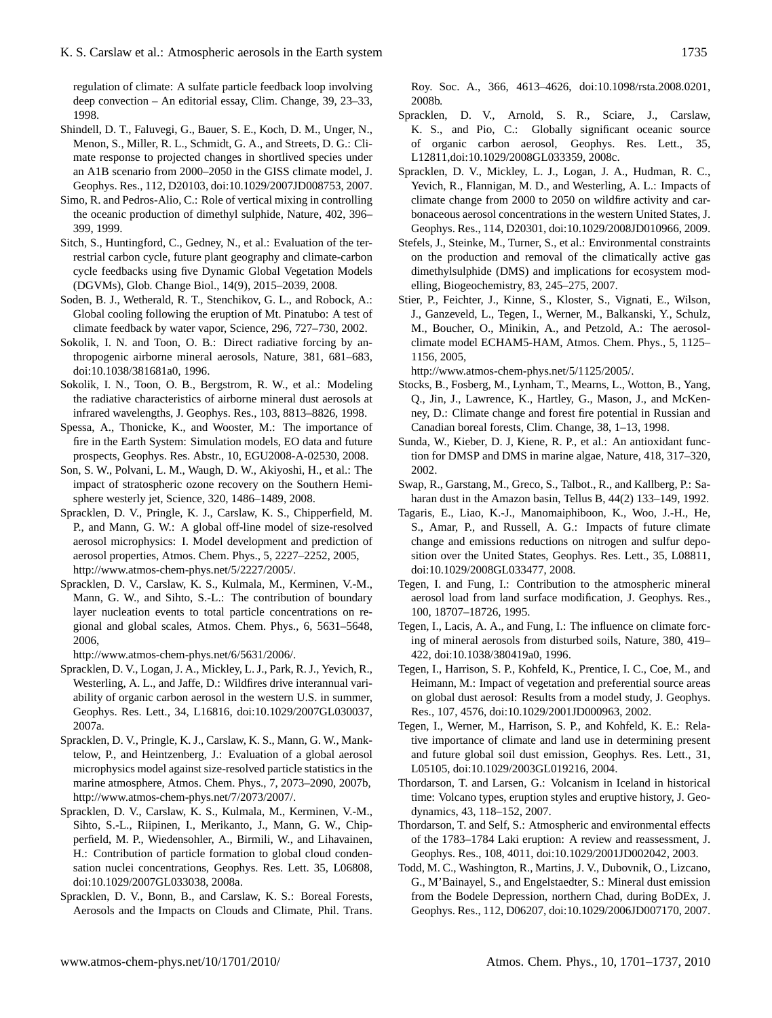regulation of climate: A sulfate particle feedback loop involving deep convection – An editorial essay, Clim. Change, 39, 23–33, 1998.

- Shindell, D. T., Faluvegi, G., Bauer, S. E., Koch, D. M., Unger, N., Menon, S., Miller, R. L., Schmidt, G. A., and Streets, D. G.: Climate response to projected changes in shortlived species under an A1B scenario from 2000–2050 in the GISS climate model, J. Geophys. Res., 112, D20103, doi:10.1029/2007JD008753, 2007.
- Simo, R. and Pedros-Alio, C.: Role of vertical mixing in controlling the oceanic production of dimethyl sulphide, Nature, 402, 396– 399, 1999.
- Sitch, S., Huntingford, C., Gedney, N., et al.: Evaluation of the terrestrial carbon cycle, future plant geography and climate-carbon cycle feedbacks using five Dynamic Global Vegetation Models (DGVMs), Glob. Change Biol., 14(9), 2015–2039, 2008.
- Soden, B. J., Wetherald, R. T., Stenchikov, G. L., and Robock, A.: Global cooling following the eruption of Mt. Pinatubo: A test of climate feedback by water vapor, Science, 296, 727–730, 2002.
- Sokolik, I. N. and Toon, O. B.: Direct radiative forcing by anthropogenic airborne mineral aerosols, Nature, 381, 681–683, doi:10.1038/381681a0, 1996.
- Sokolik, I. N., Toon, O. B., Bergstrom, R. W., et al.: Modeling the radiative characteristics of airborne mineral dust aerosols at infrared wavelengths, J. Geophys. Res., 103, 8813–8826, 1998.
- Spessa, A., Thonicke, K., and Wooster, M.: The importance of fire in the Earth System: Simulation models, EO data and future prospects, Geophys. Res. Abstr., 10, EGU2008-A-02530, 2008.
- Son, S. W., Polvani, L. M., Waugh, D. W., Akiyoshi, H., et al.: The impact of stratospheric ozone recovery on the Southern Hemisphere westerly jet, Science, 320, 1486–1489, 2008.
- Spracklen, D. V., Pringle, K. J., Carslaw, K. S., Chipperfield, M. P., and Mann, G. W.: A global off-line model of size-resolved aerosol microphysics: I. Model development and prediction of aerosol properties, Atmos. Chem. Phys., 5, 2227–2252, 2005, [http://www.atmos-chem-phys.net/5/2227/2005/.](http://www.atmos-chem-phys.net/5/2227/2005/)
- Spracklen, D. V., Carslaw, K. S., Kulmala, M., Kerminen, V.-M., Mann, G. W., and Sihto, S.-L.: The contribution of boundary layer nucleation events to total particle concentrations on regional and global scales, Atmos. Chem. Phys., 6, 5631–5648, 2006,
- [http://www.atmos-chem-phys.net/6/5631/2006/.](http://www.atmos-chem-phys.net/6/5631/2006/)
- Spracklen, D. V., Logan, J. A., Mickley, L. J., Park, R. J., Yevich, R., Westerling, A. L., and Jaffe, D.: Wildfires drive interannual variability of organic carbon aerosol in the western U.S. in summer, Geophys. Res. Lett., 34, L16816, doi:10.1029/2007GL030037, 2007a.
- Spracklen, D. V., Pringle, K. J., Carslaw, K. S., Mann, G. W., Manktelow, P., and Heintzenberg, J.: Evaluation of a global aerosol microphysics model against size-resolved particle statistics in the marine atmosphere, Atmos. Chem. Phys., 7, 2073–2090, 2007b, [http://www.atmos-chem-phys.net/7/2073/2007/.](http://www.atmos-chem-phys.net/7/2073/2007/)
- Spracklen, D. V., Carslaw, K. S., Kulmala, M., Kerminen, V.-M., Sihto, S.-L., Riipinen, I., Merikanto, J., Mann, G. W., Chipperfield, M. P., Wiedensohler, A., Birmili, W., and Lihavainen, H.: Contribution of particle formation to global cloud condensation nuclei concentrations, Geophys. Res. Lett. 35, L06808, doi:10.1029/2007GL033038, 2008a.
- Spracklen, D. V., Bonn, B., and Carslaw, K. S.: Boreal Forests, Aerosols and the Impacts on Clouds and Climate, Phil. Trans.

Roy. Soc. A., 366, 4613–4626, doi:10.1098/rsta.2008.0201, 2008b.

- Spracklen, D. V., Arnold, S. R., Sciare, J., Carslaw, K. S., and Pio, C.: Globally significant oceanic source of organic carbon aerosol, Geophys. Res. Lett., 35, L12811,doi:10.1029/2008GL033359, 2008c.
- Spracklen, D. V., Mickley, L. J., Logan, J. A., Hudman, R. C., Yevich, R., Flannigan, M. D., and Westerling, A. L.: Impacts of climate change from 2000 to 2050 on wildfire activity and carbonaceous aerosol concentrations in the western United States, J. Geophys. Res., 114, D20301, doi:10.1029/2008JD010966, 2009.
- Stefels, J., Steinke, M., Turner, S., et al.: Environmental constraints on the production and removal of the climatically active gas dimethylsulphide (DMS) and implications for ecosystem modelling, Biogeochemistry, 83, 245–275, 2007.
- Stier, P., Feichter, J., Kinne, S., Kloster, S., Vignati, E., Wilson, J., Ganzeveld, L., Tegen, I., Werner, M., Balkanski, Y., Schulz, M., Boucher, O., Minikin, A., and Petzold, A.: The aerosolclimate model ECHAM5-HAM, Atmos. Chem. Phys., 5, 1125– 1156, 2005,

[http://www.atmos-chem-phys.net/5/1125/2005/.](http://www.atmos-chem-phys.net/5/1125/2005/)

- Stocks, B., Fosberg, M., Lynham, T., Mearns, L., Wotton, B., Yang, Q., Jin, J., Lawrence, K., Hartley, G., Mason, J., and McKenney, D.: Climate change and forest fire potential in Russian and Canadian boreal forests, Clim. Change, 38, 1–13, 1998.
- Sunda, W., Kieber, D. J, Kiene, R. P., et al.: An antioxidant function for DMSP and DMS in marine algae, Nature, 418, 317–320, 2002.
- Swap, R., Garstang, M., Greco, S., Talbot., R., and Kallberg, P.: Saharan dust in the Amazon basin, Tellus B, 44(2) 133–149, 1992.
- Tagaris, E., Liao, K.-J., Manomaiphiboon, K., Woo, J.-H., He, S., Amar, P., and Russell, A. G.: Impacts of future climate change and emissions reductions on nitrogen and sulfur deposition over the United States, Geophys. Res. Lett., 35, L08811, doi:10.1029/2008GL033477, 2008.
- Tegen, I. and Fung, I.: Contribution to the atmospheric mineral aerosol load from land surface modification, J. Geophys. Res., 100, 18707–18726, 1995.
- Tegen, I., Lacis, A. A., and Fung, I.: The influence on climate forcing of mineral aerosols from disturbed soils, Nature, 380, 419– 422, doi:10.1038/380419a0, 1996.
- Tegen, I., Harrison, S. P., Kohfeld, K., Prentice, I. C., Coe, M., and Heimann, M.: Impact of vegetation and preferential source areas on global dust aerosol: Results from a model study, J. Geophys. Res., 107, 4576, doi:10.1029/2001JD000963, 2002.
- Tegen, I., Werner, M., Harrison, S. P., and Kohfeld, K. E.: Relative importance of climate and land use in determining present and future global soil dust emission, Geophys. Res. Lett., 31, L05105, doi:10.1029/2003GL019216, 2004.
- Thordarson, T. and Larsen, G.: Volcanism in Iceland in historical time: Volcano types, eruption styles and eruptive history, J. Geodynamics, 43, 118–152, 2007.
- Thordarson, T. and Self, S.: Atmospheric and environmental effects of the 1783–1784 Laki eruption: A review and reassessment, J. Geophys. Res., 108, 4011, doi:10.1029/2001JD002042, 2003.
- Todd, M. C., Washington, R., Martins, J. V., Dubovnik, O., Lizcano, G., M'Bainayel, S., and Engelstaedter, S.: Mineral dust emission from the Bodele Depression, northern Chad, during BoDEx, J. Geophys. Res., 112, D06207, doi:10.1029/2006JD007170, 2007.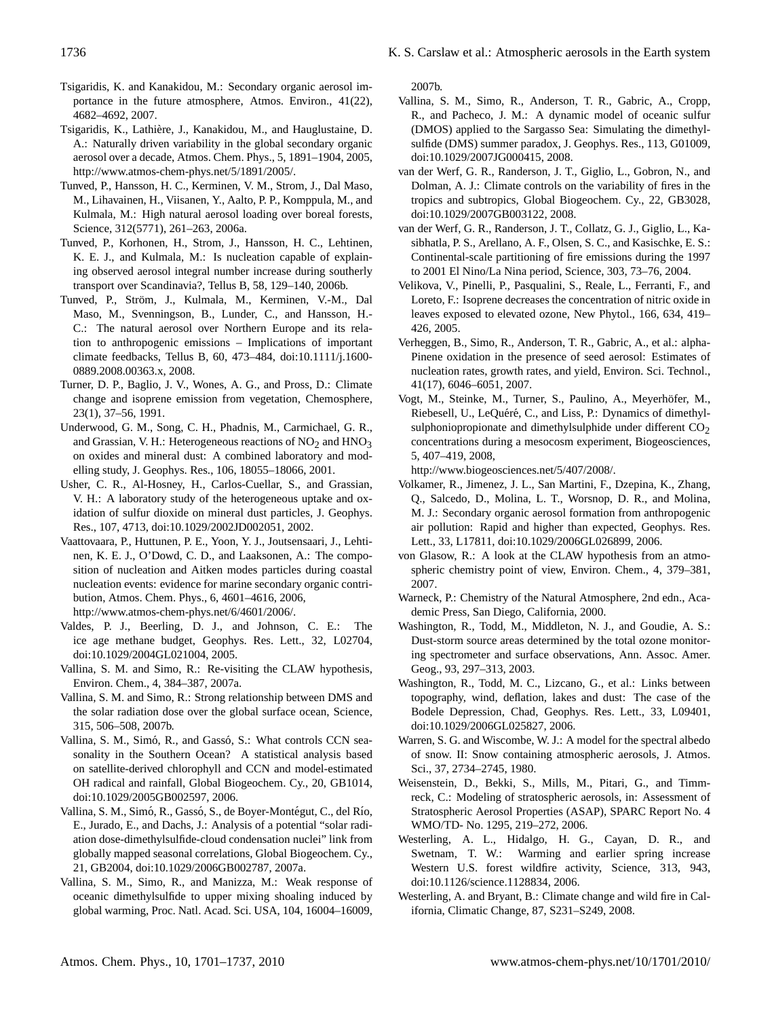- Tsigaridis, K. and Kanakidou, M.: Secondary organic aerosol importance in the future atmosphere, Atmos. Environ., 41(22), 4682–4692, 2007.
- Tsigaridis, K., Lathiere, J., Kanakidou, M., and Hauglustaine, D. ` A.: Naturally driven variability in the global secondary organic aerosol over a decade, Atmos. Chem. Phys., 5, 1891–1904, 2005, [http://www.atmos-chem-phys.net/5/1891/2005/.](http://www.atmos-chem-phys.net/5/1891/2005/)
- Tunved, P., Hansson, H. C., Kerminen, V. M., Strom, J., Dal Maso, M., Lihavainen, H., Viisanen, Y., Aalto, P. P., Komppula, M., and Kulmala, M.: High natural aerosol loading over boreal forests, Science, 312(5771), 261–263, 2006a.
- Tunved, P., Korhonen, H., Strom, J., Hansson, H. C., Lehtinen, K. E. J., and Kulmala, M.: Is nucleation capable of explaining observed aerosol integral number increase during southerly transport over Scandinavia?, Tellus B, 58, 129–140, 2006b.
- Tunved, P., Ström, J., Kulmala, M., Kerminen, V.-M., Dal Maso, M., Svenningson, B., Lunder, C., and Hansson, H.- C.: The natural aerosol over Northern Europe and its relation to anthropogenic emissions – Implications of important climate feedbacks, Tellus B, 60, 473–484, doi:10.1111/j.1600- 0889.2008.00363.x, 2008.
- Turner, D. P., Baglio, J. V., Wones, A. G., and Pross, D.: Climate change and isoprene emission from vegetation, Chemosphere, 23(1), 37–56, 1991.
- Underwood, G. M., Song, C. H., Phadnis, M., Carmichael, G. R., and Grassian, V. H.: Heterogeneous reactions of  $NO<sub>2</sub>$  and  $HNO<sub>3</sub>$ on oxides and mineral dust: A combined laboratory and modelling study, J. Geophys. Res., 106, 18055–18066, 2001.
- Usher, C. R., Al-Hosney, H., Carlos-Cuellar, S., and Grassian, V. H.: A laboratory study of the heterogeneous uptake and oxidation of sulfur dioxide on mineral dust particles, J. Geophys. Res., 107, 4713, doi:10.1029/2002JD002051, 2002.
- Vaattovaara, P., Huttunen, P. E., Yoon, Y. J., Joutsensaari, J., Lehtinen, K. E. J., O'Dowd, C. D., and Laaksonen, A.: The composition of nucleation and Aitken modes particles during coastal nucleation events: evidence for marine secondary organic contribution, Atmos. Chem. Phys., 6, 4601–4616, 2006, [http://www.atmos-chem-phys.net/6/4601/2006/.](http://www.atmos-chem-phys.net/6/4601/2006/)
- Valdes, P. J., Beerling, D. J., and Johnson, C. E.: The ice age methane budget, Geophys. Res. Lett., 32, L02704, doi:10.1029/2004GL021004, 2005.
- Vallina, S. M. and Simo, R.: Re-visiting the CLAW hypothesis, Environ. Chem., 4, 384–387, 2007a.
- Vallina, S. M. and Simo, R.: Strong relationship between DMS and the solar radiation dose over the global surface ocean, Science, 315, 506–508, 2007b.
- Vallina, S. M., Simó, R., and Gassó, S.: What controls CCN seasonality in the Southern Ocean? A statistical analysis based on satellite-derived chlorophyll and CCN and model-estimated OH radical and rainfall, Global Biogeochem. Cy., 20, GB1014, doi:10.1029/2005GB002597, 2006.
- Vallina, S. M., Simó, R., Gassó, S., de Boyer-Montégut, C., del Río, E., Jurado, E., and Dachs, J.: Analysis of a potential "solar radiation dose-dimethylsulfide-cloud condensation nuclei" link from globally mapped seasonal correlations, Global Biogeochem. Cy., 21, GB2004, doi:10.1029/2006GB002787, 2007a.
- Vallina, S. M., Simo, R., and Manizza, M.: Weak response of oceanic dimethylsulfide to upper mixing shoaling induced by global warming, Proc. Natl. Acad. Sci. USA, 104, 16004–16009,

2007b.

- Vallina, S. M., Simo, R., Anderson, T. R., Gabric, A., Cropp, R., and Pacheco, J. M.: A dynamic model of oceanic sulfur (DMOS) applied to the Sargasso Sea: Simulating the dimethylsulfide (DMS) summer paradox, J. Geophys. Res., 113, G01009, doi:10.1029/2007JG000415, 2008.
- van der Werf, G. R., Randerson, J. T., Giglio, L., Gobron, N., and Dolman, A. J.: Climate controls on the variability of fires in the tropics and subtropics, Global Biogeochem. Cy., 22, GB3028, doi:10.1029/2007GB003122, 2008.
- van der Werf, G. R., Randerson, J. T., Collatz, G. J., Giglio, L., Kasibhatla, P. S., Arellano, A. F., Olsen, S. C., and Kasischke, E. S.: Continental-scale partitioning of fire emissions during the 1997 to 2001 El Nino/La Nina period, Science, 303, 73–76, 2004.
- Velikova, V., Pinelli, P., Pasqualini, S., Reale, L., Ferranti, F., and Loreto, F.: Isoprene decreases the concentration of nitric oxide in leaves exposed to elevated ozone, New Phytol., 166, 634, 419– 426, 2005.
- Verheggen, B., Simo, R., Anderson, T. R., Gabric, A., et al.: alpha-Pinene oxidation in the presence of seed aerosol: Estimates of nucleation rates, growth rates, and yield, Environ. Sci. Technol., 41(17), 6046–6051, 2007.
- Vogt, M., Steinke, M., Turner, S., Paulino, A., Meyerhöfer, M., Riebesell, U., LeQuéré, C., and Liss, P.: Dynamics of dimethylsulphoniopropionate and dimethylsulphide under different  $CO<sub>2</sub>$ concentrations during a mesocosm experiment, Biogeosciences, 5, 407–419, 2008,

[http://www.biogeosciences.net/5/407/2008/.](http://www.biogeosciences.net/5/407/2008/)

- Volkamer, R., Jimenez, J. L., San Martini, F., Dzepina, K., Zhang, Q., Salcedo, D., Molina, L. T., Worsnop, D. R., and Molina, M. J.: Secondary organic aerosol formation from anthropogenic air pollution: Rapid and higher than expected, Geophys. Res. Lett., 33, L17811, doi:10.1029/2006GL026899, 2006.
- von Glasow, R.: A look at the CLAW hypothesis from an atmospheric chemistry point of view, Environ. Chem., 4, 379–381, 2007.
- Warneck, P.: Chemistry of the Natural Atmosphere, 2nd edn., Academic Press, San Diego, California, 2000.
- Washington, R., Todd, M., Middleton, N. J., and Goudie, A. S.: Dust-storm source areas determined by the total ozone monitoring spectrometer and surface observations, Ann. Assoc. Amer. Geog., 93, 297–313, 2003.
- Washington, R., Todd, M. C., Lizcano, G., et al.: Links between topography, wind, deflation, lakes and dust: The case of the Bodele Depression, Chad, Geophys. Res. Lett., 33, L09401, doi:10.1029/2006GL025827, 2006.
- Warren, S. G. and Wiscombe, W. J.: A model for the spectral albedo of snow. II: Snow containing atmospheric aerosols, J. Atmos. Sci., 37, 2734–2745, 1980.
- Weisenstein, D., Bekki, S., Mills, M., Pitari, G., and Timmreck, C.: Modeling of stratospheric aerosols, in: Assessment of Stratospheric Aerosol Properties (ASAP), SPARC Report No. 4 WMO/TD- No. 1295, 219–272, 2006.
- Westerling, A. L., Hidalgo, H. G., Cayan, D. R., and Swetnam, T. W.: Warming and earlier spring increase Western U.S. forest wildfire activity, Science, 313, 943, doi:10.1126/science.1128834, 2006.
- Westerling, A. and Bryant, B.: Climate change and wild fire in California, Climatic Change, 87, S231–S249, 2008.